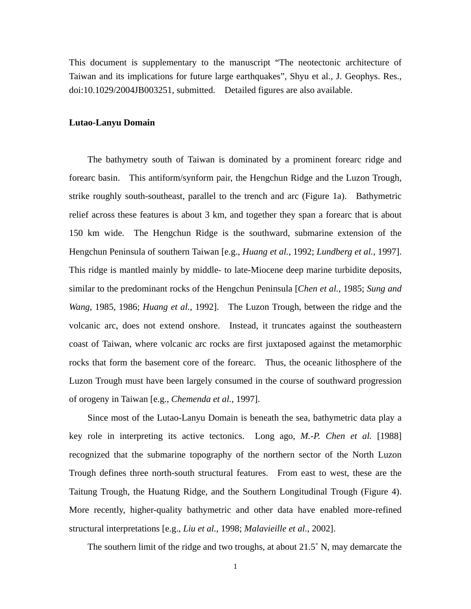This document is supplementary to the manuscript "The neotectonic architecture of Taiwan and its implications for future large earthquakes", Shyu et al., J. Geophys. Res., doi:10.1029/2004JB003251, submitted. Detailed figures are also available.

# **Lutao-Lanyu Domain**

The bathymetry south of Taiwan is dominated by a prominent forearc ridge and forearc basin. This antiform/synform pair, the Hengchun Ridge and the Luzon Trough, strike roughly south-southeast, parallel to the trench and arc (Figure 1a). Bathymetric relief across these features is about 3 km, and together they span a forearc that is about 150 km wide. The Hengchun Ridge is the southward, submarine extension of the Hengchun Peninsula of southern Taiwan [e.g., *Huang et al.*, 1992; *Lundberg et al.*, 1997]. This ridge is mantled mainly by middle- to late-Miocene deep marine turbidite deposits, similar to the predominant rocks of the Hengchun Peninsula [*Chen et al.*, 1985; *Sung and Wang*, 1985, 1986; *Huang et al.*, 1992]. The Luzon Trough, between the ridge and the volcanic arc, does not extend onshore. Instead, it truncates against the southeastern coast of Taiwan, where volcanic arc rocks are first juxtaposed against the metamorphic rocks that form the basement core of the forearc. Thus, the oceanic lithosphere of the Luzon Trough must have been largely consumed in the course of southward progression of orogeny in Taiwan [e.g., *Chemenda et al.*, 1997].

Since most of the Lutao-Lanyu Domain is beneath the sea, bathymetric data play a key role in interpreting its active tectonics. Long ago, *M.-P. Chen et al.* [1988] recognized that the submarine topography of the northern sector of the North Luzon Trough defines three north-south structural features. From east to west, these are the Taitung Trough, the Huatung Ridge, and the Southern Longitudinal Trough (Figure 4). More recently, higher-quality bathymetric and other data have enabled more-refined structural interpretations [e.g., *Liu et al.*, 1998; *Malavieille et al.*, 2002].

The southern limit of the ridge and two troughs, at about 21.5˚ N, may demarcate the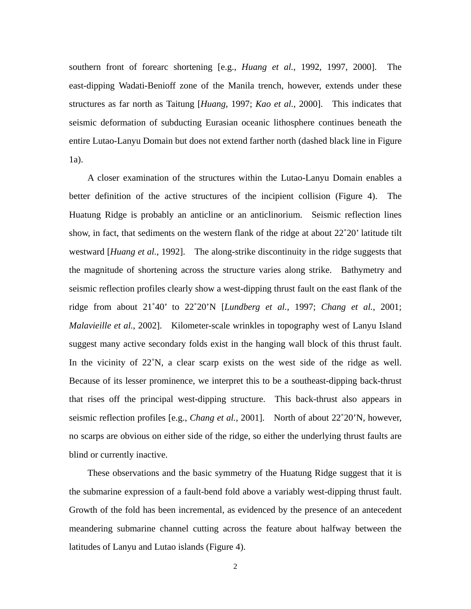southern front of forearc shortening [e.g., *Huang et al.*, 1992, 1997, 2000]. The east-dipping Wadati-Benioff zone of the Manila trench, however, extends under these structures as far north as Taitung [*Huang*, 1997; *Kao et al.*, 2000]. This indicates that seismic deformation of subducting Eurasian oceanic lithosphere continues beneath the entire Lutao-Lanyu Domain but does not extend farther north (dashed black line in Figure 1a).

A closer examination of the structures within the Lutao-Lanyu Domain enables a better definition of the active structures of the incipient collision (Figure 4). The Huatung Ridge is probably an anticline or an anticlinorium. Seismic reflection lines show, in fact, that sediments on the western flank of the ridge at about 22˚20' latitude tilt westward [*Huang et al.*, 1992]. The along-strike discontinuity in the ridge suggests that the magnitude of shortening across the structure varies along strike. Bathymetry and seismic reflection profiles clearly show a west-dipping thrust fault on the east flank of the ridge from about 21˚40' to 22˚20'N [*Lundberg et al.*, 1997; *Chang et al.*, 2001; *Malavieille et al.*, 2002]. Kilometer-scale wrinkles in topography west of Lanyu Island suggest many active secondary folds exist in the hanging wall block of this thrust fault. In the vicinity of 22˚N, a clear scarp exists on the west side of the ridge as well. Because of its lesser prominence, we interpret this to be a southeast-dipping back-thrust that rises off the principal west-dipping structure. This back-thrust also appears in seismic reflection profiles [e.g., *Chang et al.*, 2001]. North of about 22˚20'N, however, no scarps are obvious on either side of the ridge, so either the underlying thrust faults are blind or currently inactive.

These observations and the basic symmetry of the Huatung Ridge suggest that it is the submarine expression of a fault-bend fold above a variably west-dipping thrust fault. Growth of the fold has been incremental, as evidenced by the presence of an antecedent meandering submarine channel cutting across the feature about halfway between the latitudes of Lanyu and Lutao islands (Figure 4).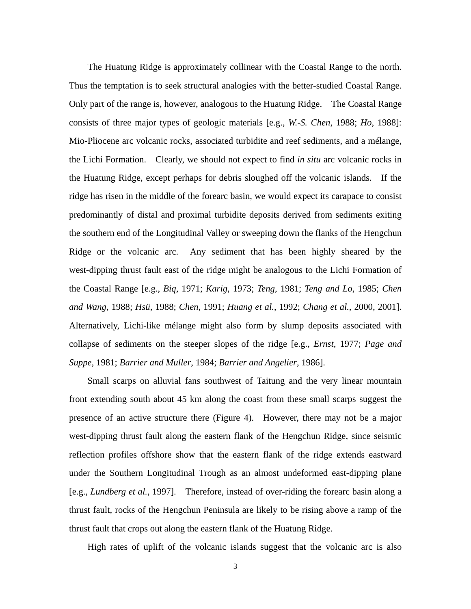The Huatung Ridge is approximately collinear with the Coastal Range to the north. Thus the temptation is to seek structural analogies with the better-studied Coastal Range. Only part of the range is, however, analogous to the Huatung Ridge. The Coastal Range consists of three major types of geologic materials [e.g., *W.-S. Chen*, 1988; *Ho*, 1988]: Mio-Pliocene arc volcanic rocks, associated turbidite and reef sediments, and a mélange, the Lichi Formation. Clearly, we should not expect to find *in situ* arc volcanic rocks in the Huatung Ridge, except perhaps for debris sloughed off the volcanic islands. If the ridge has risen in the middle of the forearc basin, we would expect its carapace to consist predominantly of distal and proximal turbidite deposits derived from sediments exiting the southern end of the Longitudinal Valley or sweeping down the flanks of the Hengchun Ridge or the volcanic arc. Any sediment that has been highly sheared by the west-dipping thrust fault east of the ridge might be analogous to the Lichi Formation of the Coastal Range [e.g., *Biq*, 1971; *Karig*, 1973; *Teng*, 1981; *Teng and Lo*, 1985; *Chen and Wang*, 1988; *Hsü*, 1988; *Chen*, 1991; *Huang et al.*, 1992; *Chang et al.*, 2000, 2001]. Alternatively, Lichi-like mélange might also form by slump deposits associated with collapse of sediments on the steeper slopes of the ridge [e.g., *Ernst*, 1977; *Page and Suppe*, 1981; *Barrier and Muller*, 1984; *Barrier and Angelier*, 1986].

Small scarps on alluvial fans southwest of Taitung and the very linear mountain front extending south about 45 km along the coast from these small scarps suggest the presence of an active structure there (Figure 4). However, there may not be a major west-dipping thrust fault along the eastern flank of the Hengchun Ridge, since seismic reflection profiles offshore show that the eastern flank of the ridge extends eastward under the Southern Longitudinal Trough as an almost undeformed east-dipping plane [e.g., *Lundberg et al.*, 1997]. Therefore, instead of over-riding the forearc basin along a thrust fault, rocks of the Hengchun Peninsula are likely to be rising above a ramp of the thrust fault that crops out along the eastern flank of the Huatung Ridge.

High rates of uplift of the volcanic islands suggest that the volcanic arc is also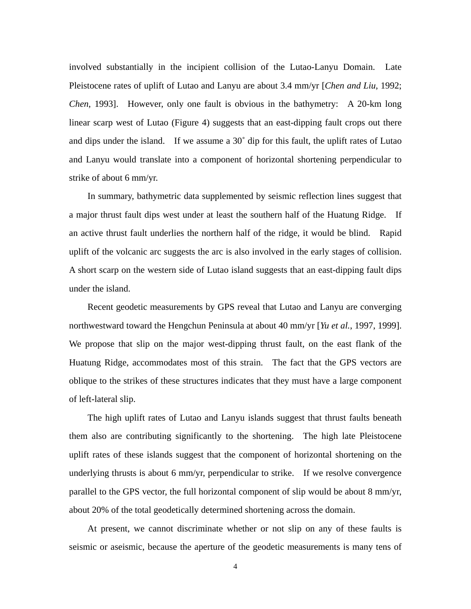involved substantially in the incipient collision of the Lutao-Lanyu Domain. Late Pleistocene rates of uplift of Lutao and Lanyu are about 3.4 mm/yr [*Chen and Liu*, 1992; *Chen*, 1993]. However, only one fault is obvious in the bathymetry: A 20-km long linear scarp west of Lutao (Figure 4) suggests that an east-dipping fault crops out there and dips under the island. If we assume a 30˚ dip for this fault, the uplift rates of Lutao and Lanyu would translate into a component of horizontal shortening perpendicular to strike of about 6 mm/yr.

In summary, bathymetric data supplemented by seismic reflection lines suggest that a major thrust fault dips west under at least the southern half of the Huatung Ridge. If an active thrust fault underlies the northern half of the ridge, it would be blind. Rapid uplift of the volcanic arc suggests the arc is also involved in the early stages of collision. A short scarp on the western side of Lutao island suggests that an east-dipping fault dips under the island.

Recent geodetic measurements by GPS reveal that Lutao and Lanyu are converging northwestward toward the Hengchun Peninsula at about 40 mm/yr [*Yu et al.*, 1997, 1999]. We propose that slip on the major west-dipping thrust fault, on the east flank of the Huatung Ridge, accommodates most of this strain. The fact that the GPS vectors are oblique to the strikes of these structures indicates that they must have a large component of left-lateral slip.

The high uplift rates of Lutao and Lanyu islands suggest that thrust faults beneath them also are contributing significantly to the shortening. The high late Pleistocene uplift rates of these islands suggest that the component of horizontal shortening on the underlying thrusts is about 6 mm/yr, perpendicular to strike. If we resolve convergence parallel to the GPS vector, the full horizontal component of slip would be about 8 mm/yr, about 20% of the total geodetically determined shortening across the domain.

At present, we cannot discriminate whether or not slip on any of these faults is seismic or aseismic, because the aperture of the geodetic measurements is many tens of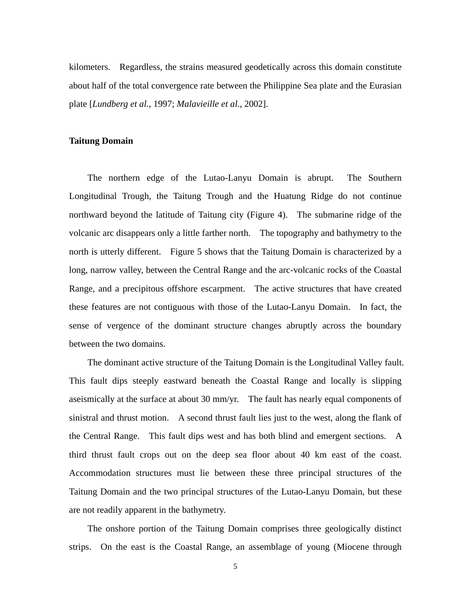kilometers. Regardless, the strains measured geodetically across this domain constitute about half of the total convergence rate between the Philippine Sea plate and the Eurasian plate [*Lundberg et al.*, 1997; *Malavieille et al.*, 2002].

# **Taitung Domain**

The northern edge of the Lutao-Lanyu Domain is abrupt. The Southern Longitudinal Trough, the Taitung Trough and the Huatung Ridge do not continue northward beyond the latitude of Taitung city (Figure 4). The submarine ridge of the volcanic arc disappears only a little farther north. The topography and bathymetry to the north is utterly different. Figure 5 shows that the Taitung Domain is characterized by a long, narrow valley, between the Central Range and the arc-volcanic rocks of the Coastal Range, and a precipitous offshore escarpment. The active structures that have created these features are not contiguous with those of the Lutao-Lanyu Domain. In fact, the sense of vergence of the dominant structure changes abruptly across the boundary between the two domains.

The dominant active structure of the Taitung Domain is the Longitudinal Valley fault. This fault dips steeply eastward beneath the Coastal Range and locally is slipping aseismically at the surface at about 30 mm/yr. The fault has nearly equal components of sinistral and thrust motion. A second thrust fault lies just to the west, along the flank of the Central Range. This fault dips west and has both blind and emergent sections. A third thrust fault crops out on the deep sea floor about 40 km east of the coast. Accommodation structures must lie between these three principal structures of the Taitung Domain and the two principal structures of the Lutao-Lanyu Domain, but these are not readily apparent in the bathymetry.

The onshore portion of the Taitung Domain comprises three geologically distinct strips. On the east is the Coastal Range, an assemblage of young (Miocene through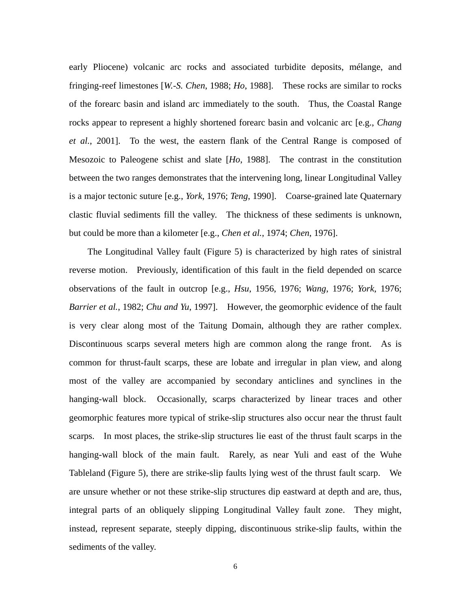early Pliocene) volcanic arc rocks and associated turbidite deposits, mélange, and fringing-reef limestones [*W.-S. Chen*, 1988; *Ho*, 1988]. These rocks are similar to rocks of the forearc basin and island arc immediately to the south. Thus, the Coastal Range rocks appear to represent a highly shortened forearc basin and volcanic arc [e.g., *Chang et al.*, 2001]. To the west, the eastern flank of the Central Range is composed of Mesozoic to Paleogene schist and slate [*Ho*, 1988]. The contrast in the constitution between the two ranges demonstrates that the intervening long, linear Longitudinal Valley is a major tectonic suture [e.g., *York*, 1976; *Teng*, 1990]. Coarse-grained late Quaternary clastic fluvial sediments fill the valley. The thickness of these sediments is unknown, but could be more than a kilometer [e.g., *Chen et al.*, 1974; *Chen*, 1976].

The Longitudinal Valley fault (Figure 5) is characterized by high rates of sinistral reverse motion. Previously, identification of this fault in the field depended on scarce observations of the fault in outcrop [e.g., *Hsu*, 1956, 1976; *Wang*, 1976; *York*, 1976; *Barrier et al.*, 1982; *Chu and Yu*, 1997]. However, the geomorphic evidence of the fault is very clear along most of the Taitung Domain, although they are rather complex. Discontinuous scarps several meters high are common along the range front. As is common for thrust-fault scarps, these are lobate and irregular in plan view, and along most of the valley are accompanied by secondary anticlines and synclines in the hanging-wall block. Occasionally, scarps characterized by linear traces and other geomorphic features more typical of strike-slip structures also occur near the thrust fault scarps. In most places, the strike-slip structures lie east of the thrust fault scarps in the hanging-wall block of the main fault. Rarely, as near Yuli and east of the Wuhe Tableland (Figure 5), there are strike-slip faults lying west of the thrust fault scarp. We are unsure whether or not these strike-slip structures dip eastward at depth and are, thus, integral parts of an obliquely slipping Longitudinal Valley fault zone. They might, instead, represent separate, steeply dipping, discontinuous strike-slip faults, within the sediments of the valley.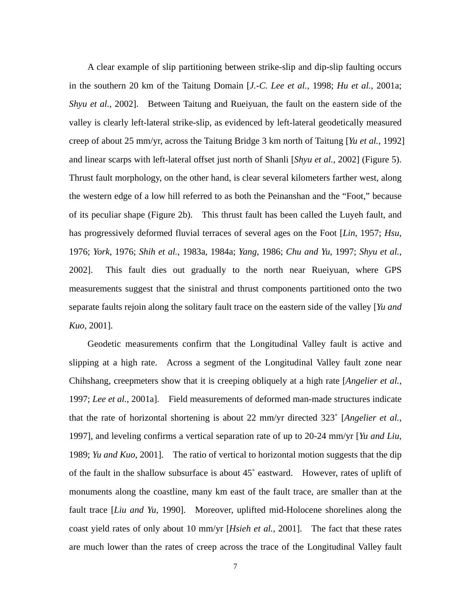A clear example of slip partitioning between strike-slip and dip-slip faulting occurs in the southern 20 km of the Taitung Domain [*J.-C. Lee et al.*, 1998; *Hu et al.*, 2001a; *Shyu et al.*, 2002]. Between Taitung and Rueiyuan, the fault on the eastern side of the valley is clearly left-lateral strike-slip, as evidenced by left-lateral geodetically measured creep of about 25 mm/yr, across the Taitung Bridge 3 km north of Taitung [*Yu et al.*, 1992] and linear scarps with left-lateral offset just north of Shanli [*Shyu et al.*, 2002] (Figure 5). Thrust fault morphology, on the other hand, is clear several kilometers farther west, along the western edge of a low hill referred to as both the Peinanshan and the "Foot," because of its peculiar shape (Figure 2b). This thrust fault has been called the Luyeh fault, and has progressively deformed fluvial terraces of several ages on the Foot [*Lin*, 1957; *Hsu*, 1976; *York*, 1976; *Shih et al.*, 1983a, 1984a; *Yang*, 1986; *Chu and Yu*, 1997; *Shyu et al.*, 2002]. This fault dies out gradually to the north near Rueiyuan, where GPS measurements suggest that the sinistral and thrust components partitioned onto the two separate faults rejoin along the solitary fault trace on the eastern side of the valley [*Yu and Kuo*, 2001].

Geodetic measurements confirm that the Longitudinal Valley fault is active and slipping at a high rate. Across a segment of the Longitudinal Valley fault zone near Chihshang, creepmeters show that it is creeping obliquely at a high rate [*Angelier et al.*, 1997; *Lee et al.*, 2001a]. Field measurements of deformed man-made structures indicate that the rate of horizontal shortening is about 22 mm/yr directed 323˚ [*Angelier et al.*, 1997], and leveling confirms a vertical separation rate of up to 20-24 mm/yr [*Yu and Liu*, 1989; *Yu and Kuo*, 2001]. The ratio of vertical to horizontal motion suggests that the dip of the fault in the shallow subsurface is about 45˚ eastward. However, rates of uplift of monuments along the coastline, many km east of the fault trace, are smaller than at the fault trace [*Liu and Yu*, 1990]. Moreover, uplifted mid-Holocene shorelines along the coast yield rates of only about 10 mm/yr [*Hsieh et al.*, 2001]. The fact that these rates are much lower than the rates of creep across the trace of the Longitudinal Valley fault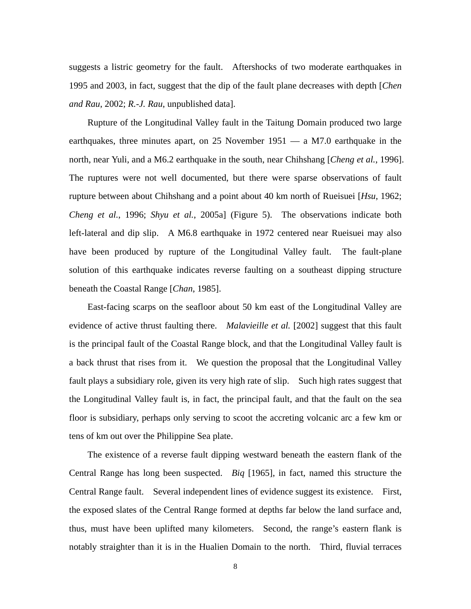suggests a listric geometry for the fault. Aftershocks of two moderate earthquakes in 1995 and 2003, in fact, suggest that the dip of the fault plane decreases with depth [*Chen and Rau*, 2002; *R.-J. Rau*, unpublished data].

Rupture of the Longitudinal Valley fault in the Taitung Domain produced two large earthquakes, three minutes apart, on 25 November 1951 — a M7.0 earthquake in the north, near Yuli, and a M6.2 earthquake in the south, near Chihshang [*Cheng et al.*, 1996]. The ruptures were not well documented, but there were sparse observations of fault rupture between about Chihshang and a point about 40 km north of Rueisuei [*Hsu*, 1962; *Cheng et al.*, 1996; *Shyu et al.*, 2005a] (Figure 5). The observations indicate both left-lateral and dip slip. A M6.8 earthquake in 1972 centered near Rueisuei may also have been produced by rupture of the Longitudinal Valley fault. The fault-plane solution of this earthquake indicates reverse faulting on a southeast dipping structure beneath the Coastal Range [*Chan*, 1985].

East-facing scarps on the seafloor about 50 km east of the Longitudinal Valley are evidence of active thrust faulting there. *Malavieille et al.* [2002] suggest that this fault is the principal fault of the Coastal Range block, and that the Longitudinal Valley fault is a back thrust that rises from it. We question the proposal that the Longitudinal Valley fault plays a subsidiary role, given its very high rate of slip. Such high rates suggest that the Longitudinal Valley fault is, in fact, the principal fault, and that the fault on the sea floor is subsidiary, perhaps only serving to scoot the accreting volcanic arc a few km or tens of km out over the Philippine Sea plate.

The existence of a reverse fault dipping westward beneath the eastern flank of the Central Range has long been suspected. *Biq* [1965], in fact, named this structure the Central Range fault. Several independent lines of evidence suggest its existence. First, the exposed slates of the Central Range formed at depths far below the land surface and, thus, must have been uplifted many kilometers. Second, the range's eastern flank is notably straighter than it is in the Hualien Domain to the north. Third, fluvial terraces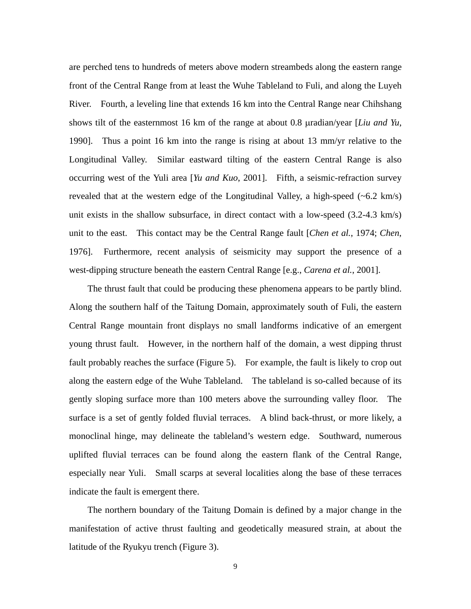are perched tens to hundreds of meters above modern streambeds along the eastern range front of the Central Range from at least the Wuhe Tableland to Fuli, and along the Luyeh River. Fourth, a leveling line that extends 16 km into the Central Range near Chihshang shows tilt of the easternmost 16 km of the range at about 0.8 µradian/year [*Liu and Yu*, 1990]. Thus a point 16 km into the range is rising at about 13 mm/yr relative to the Longitudinal Valley. Similar eastward tilting of the eastern Central Range is also occurring west of the Yuli area [*Yu and Kuo*, 2001]. Fifth, a seismic-refraction survey revealed that at the western edge of the Longitudinal Valley, a high-speed  $(-6.2 \text{ km/s})$ unit exists in the shallow subsurface, in direct contact with a low-speed (3.2-4.3 km/s) unit to the east. This contact may be the Central Range fault [*Chen et al.*, 1974; *Chen*, 1976]. Furthermore, recent analysis of seismicity may support the presence of a west-dipping structure beneath the eastern Central Range [e.g., *Carena et al.*, 2001].

The thrust fault that could be producing these phenomena appears to be partly blind. Along the southern half of the Taitung Domain, approximately south of Fuli, the eastern Central Range mountain front displays no small landforms indicative of an emergent young thrust fault. However, in the northern half of the domain, a west dipping thrust fault probably reaches the surface (Figure 5). For example, the fault is likely to crop out along the eastern edge of the Wuhe Tableland. The tableland is so-called because of its gently sloping surface more than 100 meters above the surrounding valley floor. The surface is a set of gently folded fluvial terraces. A blind back-thrust, or more likely, a monoclinal hinge, may delineate the tableland's western edge. Southward, numerous uplifted fluvial terraces can be found along the eastern flank of the Central Range, especially near Yuli. Small scarps at several localities along the base of these terraces indicate the fault is emergent there.

The northern boundary of the Taitung Domain is defined by a major change in the manifestation of active thrust faulting and geodetically measured strain, at about the latitude of the Ryukyu trench (Figure 3).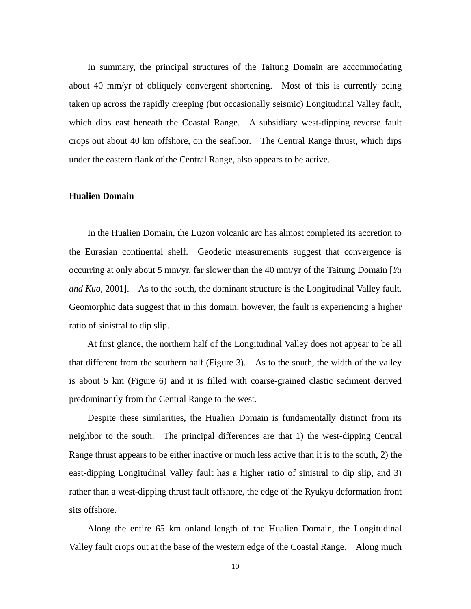In summary, the principal structures of the Taitung Domain are accommodating about 40 mm/yr of obliquely convergent shortening. Most of this is currently being taken up across the rapidly creeping (but occasionally seismic) Longitudinal Valley fault, which dips east beneath the Coastal Range. A subsidiary west-dipping reverse fault crops out about 40 km offshore, on the seafloor. The Central Range thrust, which dips under the eastern flank of the Central Range, also appears to be active.

### **Hualien Domain**

In the Hualien Domain, the Luzon volcanic arc has almost completed its accretion to the Eurasian continental shelf. Geodetic measurements suggest that convergence is occurring at only about 5 mm/yr, far slower than the 40 mm/yr of the Taitung Domain [*Yu and Kuo*, 2001]. As to the south, the dominant structure is the Longitudinal Valley fault. Geomorphic data suggest that in this domain, however, the fault is experiencing a higher ratio of sinistral to dip slip.

At first glance, the northern half of the Longitudinal Valley does not appear to be all that different from the southern half (Figure 3). As to the south, the width of the valley is about 5 km (Figure 6) and it is filled with coarse-grained clastic sediment derived predominantly from the Central Range to the west.

Despite these similarities, the Hualien Domain is fundamentally distinct from its neighbor to the south. The principal differences are that 1) the west-dipping Central Range thrust appears to be either inactive or much less active than it is to the south, 2) the east-dipping Longitudinal Valley fault has a higher ratio of sinistral to dip slip, and 3) rather than a west-dipping thrust fault offshore, the edge of the Ryukyu deformation front sits offshore.

Along the entire 65 km onland length of the Hualien Domain, the Longitudinal Valley fault crops out at the base of the western edge of the Coastal Range. Along much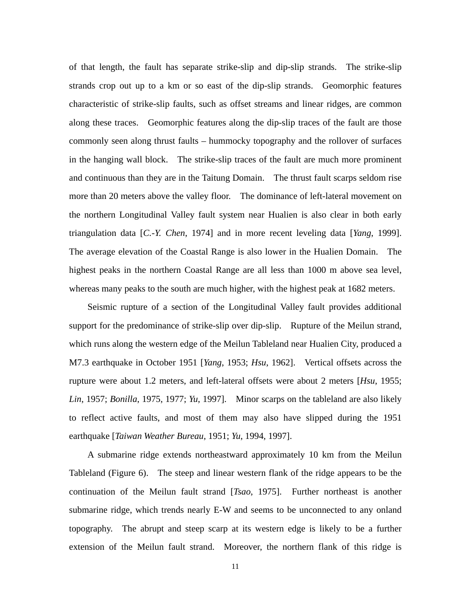of that length, the fault has separate strike-slip and dip-slip strands. The strike-slip strands crop out up to a km or so east of the dip-slip strands. Geomorphic features characteristic of strike-slip faults, such as offset streams and linear ridges, are common along these traces. Geomorphic features along the dip-slip traces of the fault are those commonly seen along thrust faults – hummocky topography and the rollover of surfaces in the hanging wall block. The strike-slip traces of the fault are much more prominent and continuous than they are in the Taitung Domain. The thrust fault scarps seldom rise more than 20 meters above the valley floor. The dominance of left-lateral movement on the northern Longitudinal Valley fault system near Hualien is also clear in both early triangulation data [*C.-Y. Chen*, 1974] and in more recent leveling data [*Yang*, 1999]. The average elevation of the Coastal Range is also lower in the Hualien Domain. The highest peaks in the northern Coastal Range are all less than 1000 m above sea level, whereas many peaks to the south are much higher, with the highest peak at 1682 meters.

Seismic rupture of a section of the Longitudinal Valley fault provides additional support for the predominance of strike-slip over dip-slip. Rupture of the Meilun strand, which runs along the western edge of the Meilun Tableland near Hualien City, produced a M7.3 earthquake in October 1951 [*Yang*, 1953; *Hsu*, 1962]. Vertical offsets across the rupture were about 1.2 meters, and left-lateral offsets were about 2 meters [*Hsu*, 1955; *Lin*, 1957; *Bonilla*, 1975, 1977; *Yu*, 1997]. Minor scarps on the tableland are also likely to reflect active faults, and most of them may also have slipped during the 1951 earthquake [*Taiwan Weather Bureau*, 1951; *Yu*, 1994, 1997].

A submarine ridge extends northeastward approximately 10 km from the Meilun Tableland (Figure 6). The steep and linear western flank of the ridge appears to be the continuation of the Meilun fault strand [*Tsao*, 1975]. Further northeast is another submarine ridge, which trends nearly E-W and seems to be unconnected to any onland topography. The abrupt and steep scarp at its western edge is likely to be a further extension of the Meilun fault strand. Moreover, the northern flank of this ridge is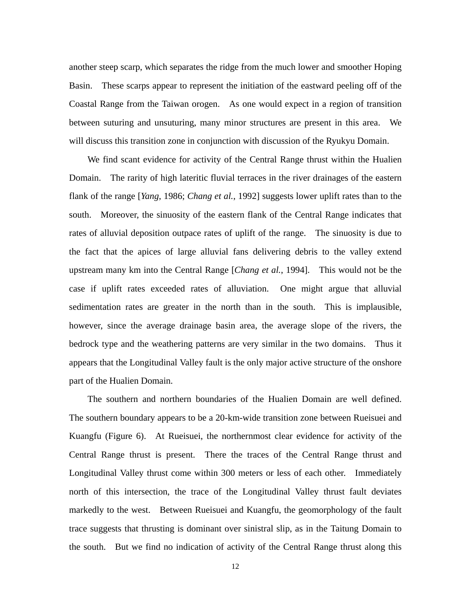another steep scarp, which separates the ridge from the much lower and smoother Hoping Basin. These scarps appear to represent the initiation of the eastward peeling off of the Coastal Range from the Taiwan orogen. As one would expect in a region of transition between suturing and unsuturing, many minor structures are present in this area. We will discuss this transition zone in conjunction with discussion of the Ryukyu Domain.

We find scant evidence for activity of the Central Range thrust within the Hualien Domain. The rarity of high lateritic fluvial terraces in the river drainages of the eastern flank of the range [*Yang*, 1986; *Chang et al.*, 1992] suggests lower uplift rates than to the south. Moreover, the sinuosity of the eastern flank of the Central Range indicates that rates of alluvial deposition outpace rates of uplift of the range. The sinuosity is due to the fact that the apices of large alluvial fans delivering debris to the valley extend upstream many km into the Central Range [*Chang et al.*, 1994]. This would not be the case if uplift rates exceeded rates of alluviation. One might argue that alluvial sedimentation rates are greater in the north than in the south. This is implausible, however, since the average drainage basin area, the average slope of the rivers, the bedrock type and the weathering patterns are very similar in the two domains. Thus it appears that the Longitudinal Valley fault is the only major active structure of the onshore part of the Hualien Domain.

The southern and northern boundaries of the Hualien Domain are well defined. The southern boundary appears to be a 20-km-wide transition zone between Rueisuei and Kuangfu (Figure 6). At Rueisuei, the northernmost clear evidence for activity of the Central Range thrust is present. There the traces of the Central Range thrust and Longitudinal Valley thrust come within 300 meters or less of each other. Immediately north of this intersection, the trace of the Longitudinal Valley thrust fault deviates markedly to the west. Between Rueisuei and Kuangfu, the geomorphology of the fault trace suggests that thrusting is dominant over sinistral slip, as in the Taitung Domain to the south. But we find no indication of activity of the Central Range thrust along this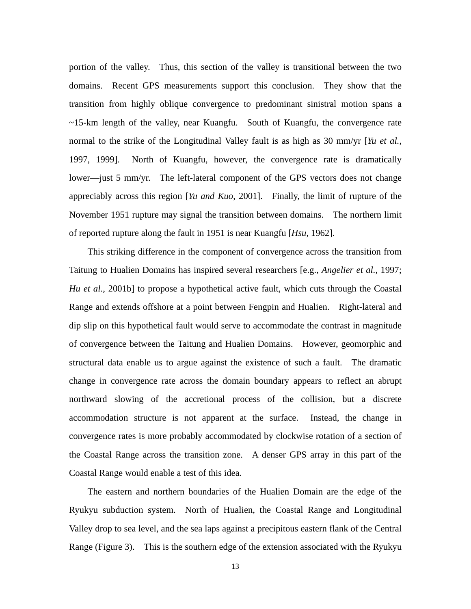portion of the valley. Thus, this section of the valley is transitional between the two domains. Recent GPS measurements support this conclusion. They show that the transition from highly oblique convergence to predominant sinistral motion spans a ~15-km length of the valley, near Kuangfu. South of Kuangfu, the convergence rate normal to the strike of the Longitudinal Valley fault is as high as 30 mm/yr [*Yu et al.*, 1997, 1999]. North of Kuangfu, however, the convergence rate is dramatically lower—just 5 mm/yr. The left-lateral component of the GPS vectors does not change appreciably across this region [*Yu and Kuo*, 2001]. Finally, the limit of rupture of the November 1951 rupture may signal the transition between domains. The northern limit of reported rupture along the fault in 1951 is near Kuangfu [*Hsu*, 1962].

This striking difference in the component of convergence across the transition from Taitung to Hualien Domains has inspired several researchers [e.g., *Angelier et al.*, 1997; *Hu et al.*, 2001b] to propose a hypothetical active fault, which cuts through the Coastal Range and extends offshore at a point between Fengpin and Hualien. Right-lateral and dip slip on this hypothetical fault would serve to accommodate the contrast in magnitude of convergence between the Taitung and Hualien Domains. However, geomorphic and structural data enable us to argue against the existence of such a fault. The dramatic change in convergence rate across the domain boundary appears to reflect an abrupt northward slowing of the accretional process of the collision, but a discrete accommodation structure is not apparent at the surface. Instead, the change in convergence rates is more probably accommodated by clockwise rotation of a section of the Coastal Range across the transition zone. A denser GPS array in this part of the Coastal Range would enable a test of this idea.

The eastern and northern boundaries of the Hualien Domain are the edge of the Ryukyu subduction system. North of Hualien, the Coastal Range and Longitudinal Valley drop to sea level, and the sea laps against a precipitous eastern flank of the Central Range (Figure 3). This is the southern edge of the extension associated with the Ryukyu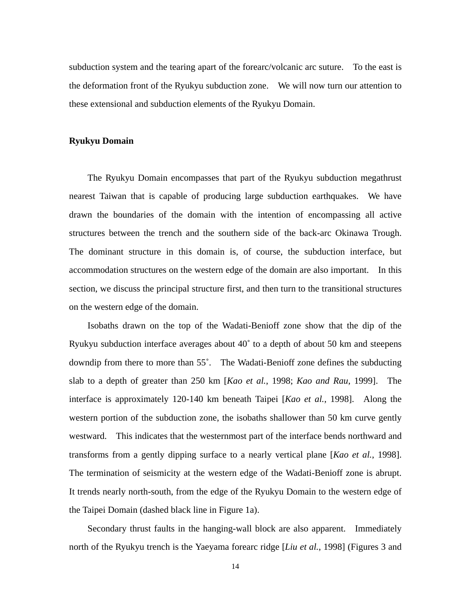subduction system and the tearing apart of the forearc/volcanic arc suture. To the east is the deformation front of the Ryukyu subduction zone. We will now turn our attention to these extensional and subduction elements of the Ryukyu Domain.

## **Ryukyu Domain**

The Ryukyu Domain encompasses that part of the Ryukyu subduction megathrust nearest Taiwan that is capable of producing large subduction earthquakes. We have drawn the boundaries of the domain with the intention of encompassing all active structures between the trench and the southern side of the back-arc Okinawa Trough. The dominant structure in this domain is, of course, the subduction interface, but accommodation structures on the western edge of the domain are also important. In this section, we discuss the principal structure first, and then turn to the transitional structures on the western edge of the domain.

Isobaths drawn on the top of the Wadati-Benioff zone show that the dip of the Ryukyu subduction interface averages about 40˚ to a depth of about 50 km and steepens downdip from there to more than 55˚. The Wadati-Benioff zone defines the subducting slab to a depth of greater than 250 km [*Kao et al.*, 1998; *Kao and Rau*, 1999]. The interface is approximately 120-140 km beneath Taipei [*Kao et al.*, 1998]. Along the western portion of the subduction zone, the isobaths shallower than 50 km curve gently westward. This indicates that the westernmost part of the interface bends northward and transforms from a gently dipping surface to a nearly vertical plane [*Kao et al.*, 1998]. The termination of seismicity at the western edge of the Wadati-Benioff zone is abrupt. It trends nearly north-south, from the edge of the Ryukyu Domain to the western edge of the Taipei Domain (dashed black line in Figure 1a).

Secondary thrust faults in the hanging-wall block are also apparent. Immediately north of the Ryukyu trench is the Yaeyama forearc ridge [*Liu et al.*, 1998] (Figures 3 and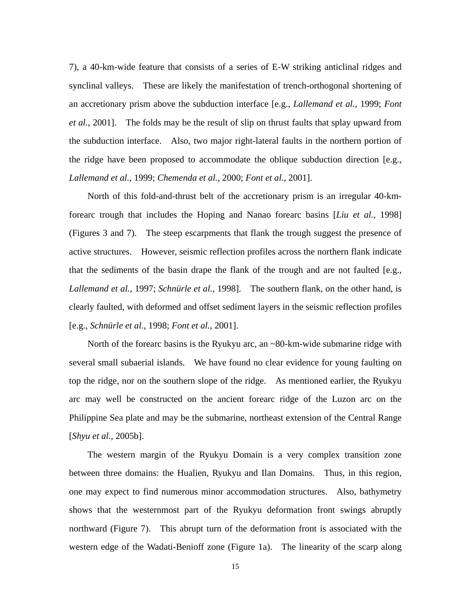7), a 40-km-wide feature that consists of a series of E-W striking anticlinal ridges and synclinal valleys. These are likely the manifestation of trench-orthogonal shortening of an accretionary prism above the subduction interface [e.g., *Lallemand et al.*, 1999; *Font et al.*, 2001]. The folds may be the result of slip on thrust faults that splay upward from the subduction interface. Also, two major right-lateral faults in the northern portion of the ridge have been proposed to accommodate the oblique subduction direction [e.g., *Lallemand et al.*, 1999; *Chemenda et al.*, 2000; *Font et al.*, 2001].

North of this fold-and-thrust belt of the accretionary prism is an irregular 40-kmforearc trough that includes the Hoping and Nanao forearc basins [*Liu et al.*, 1998] (Figures 3 and 7). The steep escarpments that flank the trough suggest the presence of active structures. However, seismic reflection profiles across the northern flank indicate that the sediments of the basin drape the flank of the trough and are not faulted [e.g., *Lallemand et al.*, 1997; *Schnürle et al.*, 1998]. The southern flank, on the other hand, is clearly faulted, with deformed and offset sediment layers in the seismic reflection profiles [e.g., *Schnürle et al.*, 1998; *Font et al.*, 2001].

North of the forearc basins is the Ryukyu arc, an ~80-km-wide submarine ridge with several small subaerial islands. We have found no clear evidence for young faulting on top the ridge, nor on the southern slope of the ridge. As mentioned earlier, the Ryukyu arc may well be constructed on the ancient forearc ridge of the Luzon arc on the Philippine Sea plate and may be the submarine, northeast extension of the Central Range [*Shyu et al.*, 2005b].

The western margin of the Ryukyu Domain is a very complex transition zone between three domains: the Hualien, Ryukyu and Ilan Domains. Thus, in this region, one may expect to find numerous minor accommodation structures. Also, bathymetry shows that the westernmost part of the Ryukyu deformation front swings abruptly northward (Figure 7). This abrupt turn of the deformation front is associated with the western edge of the Wadati-Benioff zone (Figure 1a). The linearity of the scarp along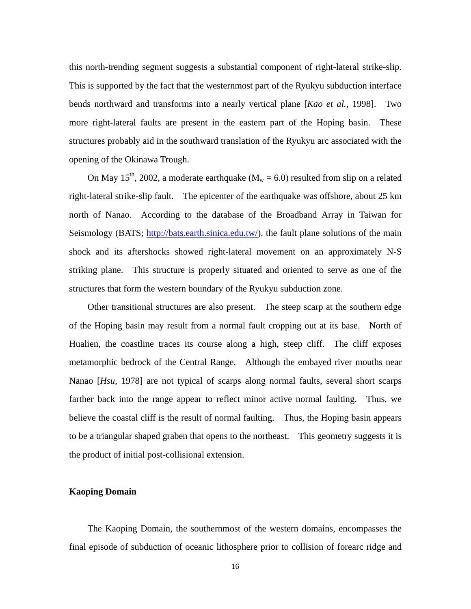this north-trending segment suggests a substantial component of right-lateral strike-slip. This is supported by the fact that the westernmost part of the Ryukyu subduction interface bends northward and transforms into a nearly vertical plane [*Kao et al.*, 1998]. Two more right-lateral faults are present in the eastern part of the Hoping basin. These structures probably aid in the southward translation of the Ryukyu arc associated with the opening of the Okinawa Trough.

On May 15<sup>th</sup>, 2002, a moderate earthquake ( $M_w = 6.0$ ) resulted from slip on a related right-lateral strike-slip fault. The epicenter of the earthquake was offshore, about 25 km north of Nanao. According to the database of the Broadband Array in Taiwan for Seismology (BATS; <http://bats.earth.sinica.edu.tw/>), the fault plane solutions of the main shock and its aftershocks showed right-lateral movement on an approximately N-S striking plane. This structure is properly situated and oriented to serve as one of the structures that form the western boundary of the Ryukyu subduction zone.

Other transitional structures are also present. The steep scarp at the southern edge of the Hoping basin may result from a normal fault cropping out at its base. North of Hualien, the coastline traces its course along a high, steep cliff. The cliff exposes metamorphic bedrock of the Central Range. Although the embayed river mouths near Nanao [*Hsu*, 1978] are not typical of scarps along normal faults, several short scarps farther back into the range appear to reflect minor active normal faulting. Thus, we believe the coastal cliff is the result of normal faulting. Thus, the Hoping basin appears to be a triangular shaped graben that opens to the northeast. This geometry suggests it is the product of initial post-collisional extension.

### **Kaoping Domain**

The Kaoping Domain, the southernmost of the western domains, encompasses the final episode of subduction of oceanic lithosphere prior to collision of forearc ridge and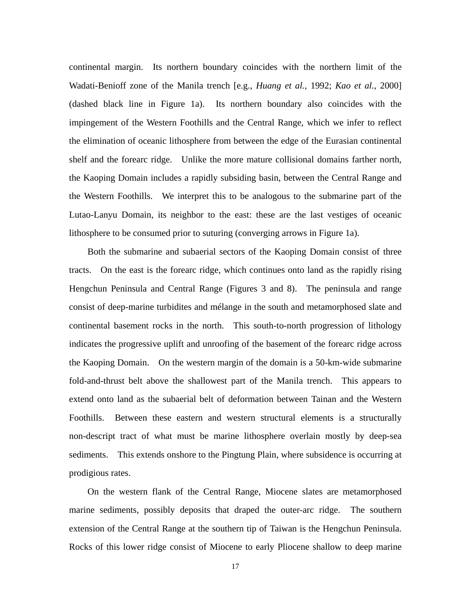continental margin. Its northern boundary coincides with the northern limit of the Wadati-Benioff zone of the Manila trench [e.g., *Huang et al.*, 1992; *Kao et al.*, 2000] (dashed black line in Figure 1a). Its northern boundary also coincides with the impingement of the Western Foothills and the Central Range, which we infer to reflect the elimination of oceanic lithosphere from between the edge of the Eurasian continental shelf and the forearc ridge. Unlike the more mature collisional domains farther north, the Kaoping Domain includes a rapidly subsiding basin, between the Central Range and the Western Foothills. We interpret this to be analogous to the submarine part of the Lutao-Lanyu Domain, its neighbor to the east: these are the last vestiges of oceanic lithosphere to be consumed prior to suturing (converging arrows in Figure 1a).

Both the submarine and subaerial sectors of the Kaoping Domain consist of three tracts. On the east is the forearc ridge, which continues onto land as the rapidly rising Hengchun Peninsula and Central Range (Figures 3 and 8). The peninsula and range consist of deep-marine turbidites and mélange in the south and metamorphosed slate and continental basement rocks in the north. This south-to-north progression of lithology indicates the progressive uplift and unroofing of the basement of the forearc ridge across the Kaoping Domain. On the western margin of the domain is a 50-km-wide submarine fold-and-thrust belt above the shallowest part of the Manila trench. This appears to extend onto land as the subaerial belt of deformation between Tainan and the Western Foothills. Between these eastern and western structural elements is a structurally non-descript tract of what must be marine lithosphere overlain mostly by deep-sea sediments. This extends onshore to the Pingtung Plain, where subsidence is occurring at prodigious rates.

On the western flank of the Central Range, Miocene slates are metamorphosed marine sediments, possibly deposits that draped the outer-arc ridge. The southern extension of the Central Range at the southern tip of Taiwan is the Hengchun Peninsula. Rocks of this lower ridge consist of Miocene to early Pliocene shallow to deep marine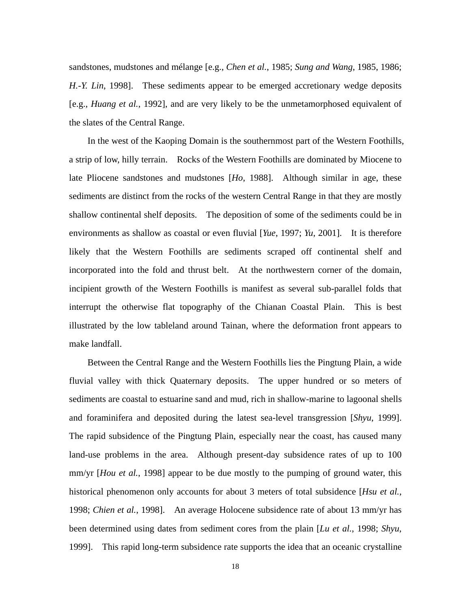sandstones, mudstones and mélange [e.g., *Chen et al.*, 1985; *Sung and Wang*, 1985, 1986; *H.-Y. Lin*, 1998]. These sediments appear to be emerged accretionary wedge deposits [e.g., *Huang et al.*, 1992], and are very likely to be the unmetamorphosed equivalent of the slates of the Central Range.

In the west of the Kaoping Domain is the southernmost part of the Western Foothills, a strip of low, hilly terrain. Rocks of the Western Foothills are dominated by Miocene to late Pliocene sandstones and mudstones [*Ho*, 1988]. Although similar in age, these sediments are distinct from the rocks of the western Central Range in that they are mostly shallow continental shelf deposits. The deposition of some of the sediments could be in environments as shallow as coastal or even fluvial [*Yue*, 1997; *Yu*, 2001]. It is therefore likely that the Western Foothills are sediments scraped off continental shelf and incorporated into the fold and thrust belt. At the northwestern corner of the domain, incipient growth of the Western Foothills is manifest as several sub-parallel folds that interrupt the otherwise flat topography of the Chianan Coastal Plain. This is best illustrated by the low tableland around Tainan, where the deformation front appears to make landfall.

Between the Central Range and the Western Foothills lies the Pingtung Plain, a wide fluvial valley with thick Quaternary deposits. The upper hundred or so meters of sediments are coastal to estuarine sand and mud, rich in shallow-marine to lagoonal shells and foraminifera and deposited during the latest sea-level transgression [*Shyu*, 1999]. The rapid subsidence of the Pingtung Plain, especially near the coast, has caused many land-use problems in the area. Although present-day subsidence rates of up to 100 mm/yr [*Hou et al.*, 1998] appear to be due mostly to the pumping of ground water, this historical phenomenon only accounts for about 3 meters of total subsidence [*Hsu et al.*, 1998; *Chien et al.*, 1998]. An average Holocene subsidence rate of about 13 mm/yr has been determined using dates from sediment cores from the plain [*Lu et al.*, 1998; *Shyu*, 1999]. This rapid long-term subsidence rate supports the idea that an oceanic crystalline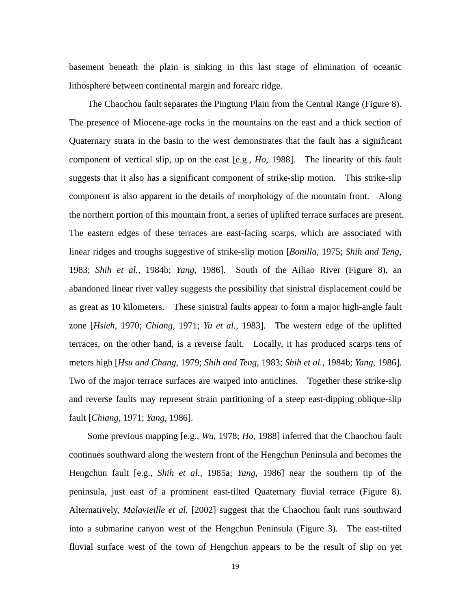basement beneath the plain is sinking in this last stage of elimination of oceanic lithosphere between continental margin and forearc ridge.

The Chaochou fault separates the Pingtung Plain from the Central Range (Figure 8). The presence of Miocene-age rocks in the mountains on the east and a thick section of Quaternary strata in the basin to the west demonstrates that the fault has a significant component of vertical slip, up on the east [e.g., *Ho*, 1988]. The linearity of this fault suggests that it also has a significant component of strike-slip motion. This strike-slip component is also apparent in the details of morphology of the mountain front. Along the northern portion of this mountain front, a series of uplifted terrace surfaces are present. The eastern edges of these terraces are east-facing scarps, which are associated with linear ridges and troughs suggestive of strike-slip motion [*Bonilla*, 1975; *Shih and Teng*, 1983; *Shih et al.*, 1984b; *Yang*, 1986]. South of the Ailiao River (Figure 8), an abandoned linear river valley suggests the possibility that sinistral displacement could be as great as 10 kilometers. These sinistral faults appear to form a major high-angle fault zone [*Hsieh*, 1970; *Chiang*, 1971; *Yu et al.*, 1983]. The western edge of the uplifted terraces, on the other hand, is a reverse fault. Locally, it has produced scarps tens of meters high [*Hsu and Chang*, 1979; *Shih and Teng*, 1983; *Shih et al.*, 1984b; *Yang*, 1986]. Two of the major terrace surfaces are warped into anticlines. Together these strike-slip and reverse faults may represent strain partitioning of a steep east-dipping oblique-slip fault [*Chiang*, 1971; *Yang*, 1986].

Some previous mapping [e.g., *Wu*, 1978; *Ho*, 1988] inferred that the Chaochou fault continues southward along the western front of the Hengchun Peninsula and becomes the Hengchun fault [e.g., *Shih et al.*, 1985a; *Yang*, 1986] near the southern tip of the peninsula, just east of a prominent east-tilted Quaternary fluvial terrace (Figure 8). Alternatively, *Malavieille et al.* [2002] suggest that the Chaochou fault runs southward into a submarine canyon west of the Hengchun Peninsula (Figure 3). The east-tilted fluvial surface west of the town of Hengchun appears to be the result of slip on yet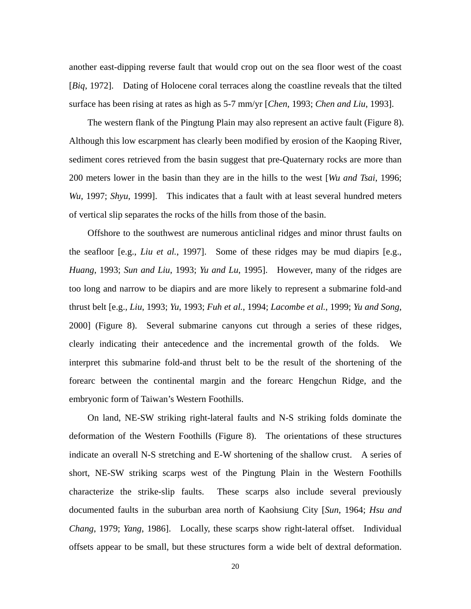another east-dipping reverse fault that would crop out on the sea floor west of the coast [*Biq*, 1972]. Dating of Holocene coral terraces along the coastline reveals that the tilted surface has been rising at rates as high as 5-7 mm/yr [*Chen*, 1993; *Chen and Liu*, 1993].

The western flank of the Pingtung Plain may also represent an active fault (Figure 8). Although this low escarpment has clearly been modified by erosion of the Kaoping River, sediment cores retrieved from the basin suggest that pre-Quaternary rocks are more than 200 meters lower in the basin than they are in the hills to the west [*Wu and Tsai*, 1996; *Wu*, 1997; *Shyu*, 1999]. This indicates that a fault with at least several hundred meters of vertical slip separates the rocks of the hills from those of the basin.

Offshore to the southwest are numerous anticlinal ridges and minor thrust faults on the seafloor [e.g., *Liu et al.*, 1997]. Some of these ridges may be mud diapirs [e.g., *Huang*, 1993; *Sun and Liu*, 1993; *Yu and Lu*, 1995]. However, many of the ridges are too long and narrow to be diapirs and are more likely to represent a submarine fold-and thrust belt [e.g., *Liu*, 1993; *Yu*, 1993; *Fuh et al.*, 1994; *Lacombe et al.*, 1999; *Yu and Song*, 2000] (Figure 8). Several submarine canyons cut through a series of these ridges, clearly indicating their antecedence and the incremental growth of the folds. We interpret this submarine fold-and thrust belt to be the result of the shortening of the forearc between the continental margin and the forearc Hengchun Ridge, and the embryonic form of Taiwan's Western Foothills.

On land, NE-SW striking right-lateral faults and N-S striking folds dominate the deformation of the Western Foothills (Figure 8). The orientations of these structures indicate an overall N-S stretching and E-W shortening of the shallow crust. A series of short, NE-SW striking scarps west of the Pingtung Plain in the Western Foothills characterize the strike-slip faults. These scarps also include several previously documented faults in the suburban area north of Kaohsiung City [*Sun*, 1964; *Hsu and Chang*, 1979; *Yang*, 1986]. Locally, these scarps show right-lateral offset. Individual offsets appear to be small, but these structures form a wide belt of dextral deformation.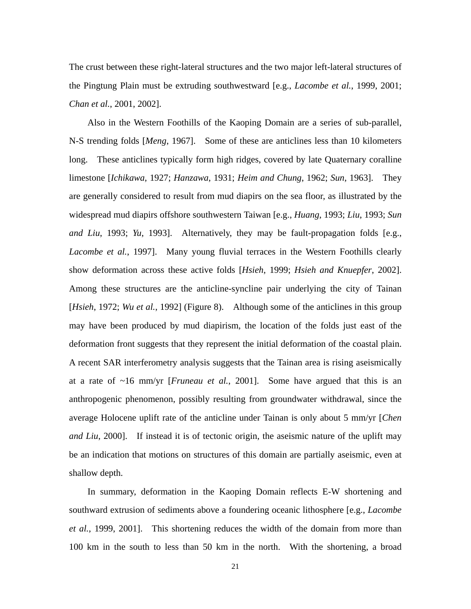The crust between these right-lateral structures and the two major left-lateral structures of the Pingtung Plain must be extruding southwestward [e.g., *Lacombe et al.*, 1999, 2001; *Chan et al.*, 2001, 2002].

Also in the Western Foothills of the Kaoping Domain are a series of sub-parallel, N-S trending folds [*Meng*, 1967]. Some of these are anticlines less than 10 kilometers long. These anticlines typically form high ridges, covered by late Quaternary coralline limestone [*Ichikawa*, 1927; *Hanzawa*, 1931; *Heim and Chung*, 1962; *Sun*, 1963]. They are generally considered to result from mud diapirs on the sea floor, as illustrated by the widespread mud diapirs offshore southwestern Taiwan [e.g., *Huang*, 1993; *Liu*, 1993; *Sun and Liu*, 1993; *Yu*, 1993]. Alternatively, they may be fault-propagation folds [e.g., *Lacombe et al.*, 1997]. Many young fluvial terraces in the Western Foothills clearly show deformation across these active folds [*Hsieh*, 1999; *Hsieh and Knuepfer*, 2002]. Among these structures are the anticline-syncline pair underlying the city of Tainan [*Hsieh*, 1972; *Wu et al.*, 1992] (Figure 8). Although some of the anticlines in this group may have been produced by mud diapirism, the location of the folds just east of the deformation front suggests that they represent the initial deformation of the coastal plain. A recent SAR interferometry analysis suggests that the Tainan area is rising aseismically at a rate of ~16 mm/yr [*Fruneau et al.*, 2001]. Some have argued that this is an anthropogenic phenomenon, possibly resulting from groundwater withdrawal, since the average Holocene uplift rate of the anticline under Tainan is only about 5 mm/yr [*Chen and Liu*, 2000]. If instead it is of tectonic origin, the aseismic nature of the uplift may be an indication that motions on structures of this domain are partially aseismic, even at shallow depth.

In summary, deformation in the Kaoping Domain reflects E-W shortening and southward extrusion of sediments above a foundering oceanic lithosphere [e.g., *Lacombe et al.*, 1999, 2001]. This shortening reduces the width of the domain from more than 100 km in the south to less than 50 km in the north. With the shortening, a broad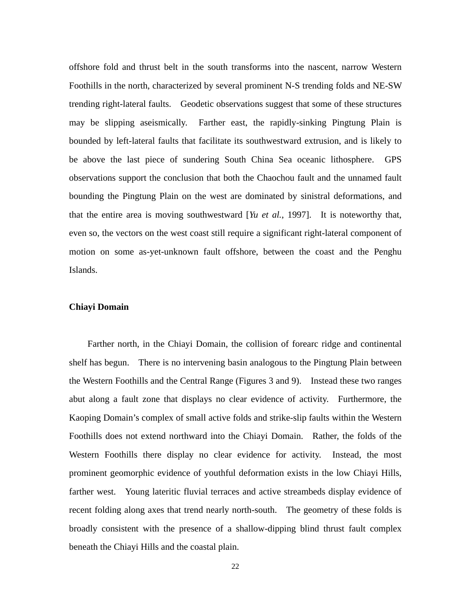offshore fold and thrust belt in the south transforms into the nascent, narrow Western Foothills in the north, characterized by several prominent N-S trending folds and NE-SW trending right-lateral faults. Geodetic observations suggest that some of these structures may be slipping aseismically. Farther east, the rapidly-sinking Pingtung Plain is bounded by left-lateral faults that facilitate its southwestward extrusion, and is likely to be above the last piece of sundering South China Sea oceanic lithosphere. GPS observations support the conclusion that both the Chaochou fault and the unnamed fault bounding the Pingtung Plain on the west are dominated by sinistral deformations, and that the entire area is moving southwestward [*Yu et al.*, 1997]. It is noteworthy that, even so, the vectors on the west coast still require a significant right-lateral component of motion on some as-yet-unknown fault offshore, between the coast and the Penghu Islands.

#### **Chiayi Domain**

Farther north, in the Chiayi Domain, the collision of forearc ridge and continental shelf has begun. There is no intervening basin analogous to the Pingtung Plain between the Western Foothills and the Central Range (Figures 3 and 9). Instead these two ranges abut along a fault zone that displays no clear evidence of activity. Furthermore, the Kaoping Domain's complex of small active folds and strike-slip faults within the Western Foothills does not extend northward into the Chiayi Domain. Rather, the folds of the Western Foothills there display no clear evidence for activity. Instead, the most prominent geomorphic evidence of youthful deformation exists in the low Chiayi Hills, farther west. Young lateritic fluvial terraces and active streambeds display evidence of recent folding along axes that trend nearly north-south. The geometry of these folds is broadly consistent with the presence of a shallow-dipping blind thrust fault complex beneath the Chiayi Hills and the coastal plain.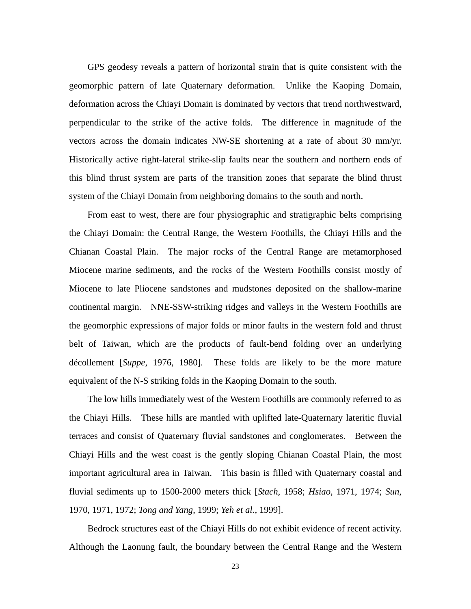GPS geodesy reveals a pattern of horizontal strain that is quite consistent with the geomorphic pattern of late Quaternary deformation. Unlike the Kaoping Domain, deformation across the Chiayi Domain is dominated by vectors that trend northwestward, perpendicular to the strike of the active folds. The difference in magnitude of the vectors across the domain indicates NW-SE shortening at a rate of about 30 mm/yr. Historically active right-lateral strike-slip faults near the southern and northern ends of this blind thrust system are parts of the transition zones that separate the blind thrust system of the Chiayi Domain from neighboring domains to the south and north.

From east to west, there are four physiographic and stratigraphic belts comprising the Chiayi Domain: the Central Range, the Western Foothills, the Chiayi Hills and the Chianan Coastal Plain. The major rocks of the Central Range are metamorphosed Miocene marine sediments, and the rocks of the Western Foothills consist mostly of Miocene to late Pliocene sandstones and mudstones deposited on the shallow-marine continental margin. NNE-SSW-striking ridges and valleys in the Western Foothills are the geomorphic expressions of major folds or minor faults in the western fold and thrust belt of Taiwan, which are the products of fault-bend folding over an underlying décollement [*Suppe*, 1976, 1980]. These folds are likely to be the more mature equivalent of the N-S striking folds in the Kaoping Domain to the south.

The low hills immediately west of the Western Foothills are commonly referred to as the Chiayi Hills. These hills are mantled with uplifted late-Quaternary lateritic fluvial terraces and consist of Quaternary fluvial sandstones and conglomerates. Between the Chiayi Hills and the west coast is the gently sloping Chianan Coastal Plain, the most important agricultural area in Taiwan. This basin is filled with Quaternary coastal and fluvial sediments up to 1500-2000 meters thick [*Stach*, 1958; *Hsiao*, 1971, 1974; *Sun*, 1970, 1971, 1972; *Tong and Yang*, 1999; *Yeh et al.*, 1999].

Bedrock structures east of the Chiayi Hills do not exhibit evidence of recent activity. Although the Laonung fault, the boundary between the Central Range and the Western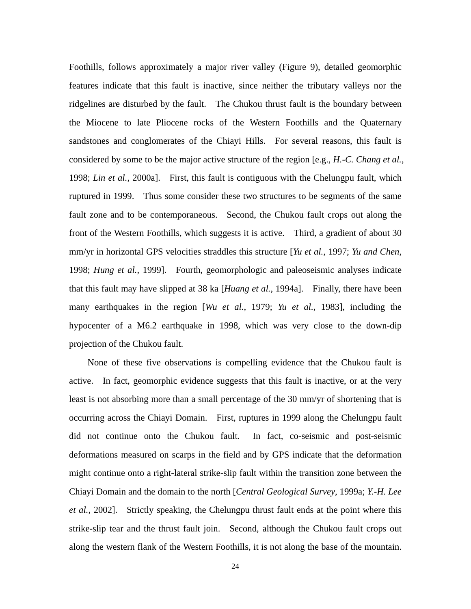Foothills, follows approximately a major river valley (Figure 9), detailed geomorphic features indicate that this fault is inactive, since neither the tributary valleys nor the ridgelines are disturbed by the fault. The Chukou thrust fault is the boundary between the Miocene to late Pliocene rocks of the Western Foothills and the Quaternary sandstones and conglomerates of the Chiayi Hills. For several reasons, this fault is considered by some to be the major active structure of the region [e.g., *H.-C. Chang et al.*, 1998; *Lin et al.*, 2000a]. First, this fault is contiguous with the Chelungpu fault, which ruptured in 1999. Thus some consider these two structures to be segments of the same fault zone and to be contemporaneous. Second, the Chukou fault crops out along the front of the Western Foothills, which suggests it is active. Third, a gradient of about 30 mm/yr in horizontal GPS velocities straddles this structure [*Yu et al.*, 1997; *Yu and Chen*, 1998; *Hung et al.*, 1999]. Fourth, geomorphologic and paleoseismic analyses indicate that this fault may have slipped at 38 ka [*Huang et al.*, 1994a]. Finally, there have been many earthquakes in the region [*Wu et al.*, 1979; *Yu et al.*, 1983], including the hypocenter of a M6.2 earthquake in 1998, which was very close to the down-dip projection of the Chukou fault.

None of these five observations is compelling evidence that the Chukou fault is active. In fact, geomorphic evidence suggests that this fault is inactive, or at the very least is not absorbing more than a small percentage of the 30 mm/yr of shortening that is occurring across the Chiayi Domain. First, ruptures in 1999 along the Chelungpu fault did not continue onto the Chukou fault. In fact, co-seismic and post-seismic deformations measured on scarps in the field and by GPS indicate that the deformation might continue onto a right-lateral strike-slip fault within the transition zone between the Chiayi Domain and the domain to the north [*Central Geological Survey*, 1999a; *Y.-H. Lee et al.*, 2002]. Strictly speaking, the Chelungpu thrust fault ends at the point where this strike-slip tear and the thrust fault join. Second, although the Chukou fault crops out along the western flank of the Western Foothills, it is not along the base of the mountain.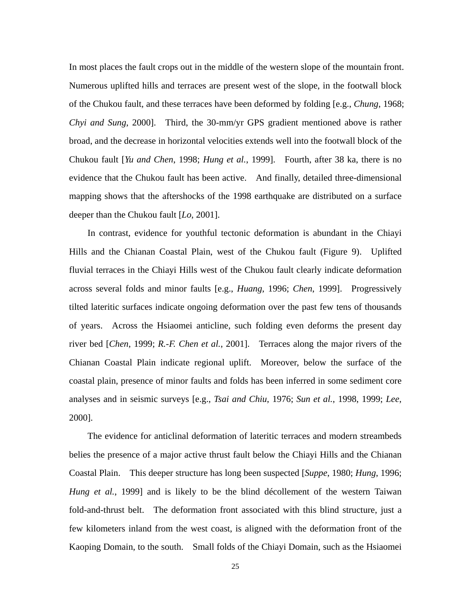In most places the fault crops out in the middle of the western slope of the mountain front. Numerous uplifted hills and terraces are present west of the slope, in the footwall block of the Chukou fault, and these terraces have been deformed by folding [e.g., *Chung*, 1968; *Chyi and Sung*, 2000]. Third, the 30-mm/yr GPS gradient mentioned above is rather broad, and the decrease in horizontal velocities extends well into the footwall block of the Chukou fault [*Yu and Chen*, 1998; *Hung et al.*, 1999]. Fourth, after 38 ka, there is no evidence that the Chukou fault has been active. And finally, detailed three-dimensional mapping shows that the aftershocks of the 1998 earthquake are distributed on a surface deeper than the Chukou fault [*Lo*, 2001].

In contrast, evidence for youthful tectonic deformation is abundant in the Chiayi Hills and the Chianan Coastal Plain, west of the Chukou fault (Figure 9). Uplifted fluvial terraces in the Chiayi Hills west of the Chukou fault clearly indicate deformation across several folds and minor faults [e.g., *Huang*, 1996; *Chen*, 1999]. Progressively tilted lateritic surfaces indicate ongoing deformation over the past few tens of thousands of years. Across the Hsiaomei anticline, such folding even deforms the present day river bed [*Chen*, 1999; *R.-F. Chen et al.*, 2001]. Terraces along the major rivers of the Chianan Coastal Plain indicate regional uplift. Moreover, below the surface of the coastal plain, presence of minor faults and folds has been inferred in some sediment core analyses and in seismic surveys [e.g., *Tsai and Chiu*, 1976; *Sun et al.*, 1998, 1999; *Lee*, 2000].

The evidence for anticlinal deformation of lateritic terraces and modern streambeds belies the presence of a major active thrust fault below the Chiayi Hills and the Chianan Coastal Plain. This deeper structure has long been suspected [*Suppe*, 1980; *Hung*, 1996; *Hung et al.*, 1999] and is likely to be the blind décollement of the western Taiwan fold-and-thrust belt. The deformation front associated with this blind structure, just a few kilometers inland from the west coast, is aligned with the deformation front of the Kaoping Domain, to the south. Small folds of the Chiayi Domain, such as the Hsiaomei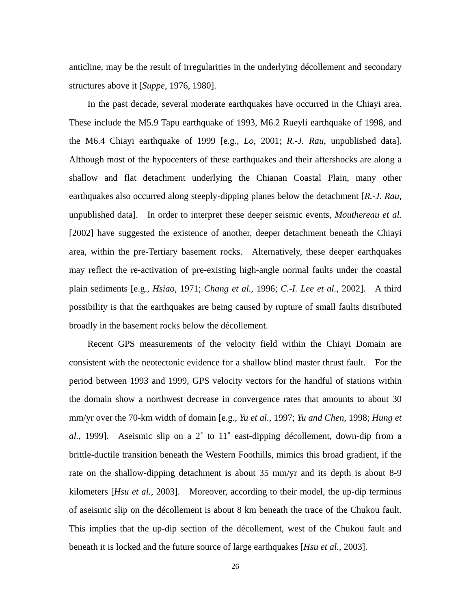anticline, may be the result of irregularities in the underlying décollement and secondary structures above it [*Suppe*, 1976, 1980].

In the past decade, several moderate earthquakes have occurred in the Chiayi area. These include the M5.9 Tapu earthquake of 1993, M6.2 Rueyli earthquake of 1998, and the M6.4 Chiayi earthquake of 1999 [e.g., *Lo*, 2001; *R.-J. Rau*, unpublished data]. Although most of the hypocenters of these earthquakes and their aftershocks are along a shallow and flat detachment underlying the Chianan Coastal Plain, many other earthquakes also occurred along steeply-dipping planes below the detachment [*R.-J. Rau*, unpublished data]. In order to interpret these deeper seismic events, *Mouthereau et al.* [2002] have suggested the existence of another, deeper detachment beneath the Chiayi area, within the pre-Tertiary basement rocks. Alternatively, these deeper earthquakes may reflect the re-activation of pre-existing high-angle normal faults under the coastal plain sediments [e.g., *Hsiao*, 1971; *Chang et al.*, 1996; *C.-I. Lee et al.*, 2002]. A third possibility is that the earthquakes are being caused by rupture of small faults distributed broadly in the basement rocks below the décollement.

Recent GPS measurements of the velocity field within the Chiayi Domain are consistent with the neotectonic evidence for a shallow blind master thrust fault. For the period between 1993 and 1999, GPS velocity vectors for the handful of stations within the domain show a northwest decrease in convergence rates that amounts to about 30 mm/yr over the 70-km width of domain [e.g., *Yu et al.*, 1997; *Yu and Chen*, 1998; *Hung et al.*, 1999]. Aseismic slip on a 2˚ to 11˚ east-dipping décollement, down-dip from a brittle-ductile transition beneath the Western Foothills, mimics this broad gradient, if the rate on the shallow-dipping detachment is about 35 mm/yr and its depth is about 8-9 kilometers [*Hsu et al.*, 2003]. Moreover, according to their model, the up-dip terminus of aseismic slip on the décollement is about 8 km beneath the trace of the Chukou fault. This implies that the up-dip section of the décollement, west of the Chukou fault and beneath it is locked and the future source of large earthquakes [*Hsu et al.*, 2003].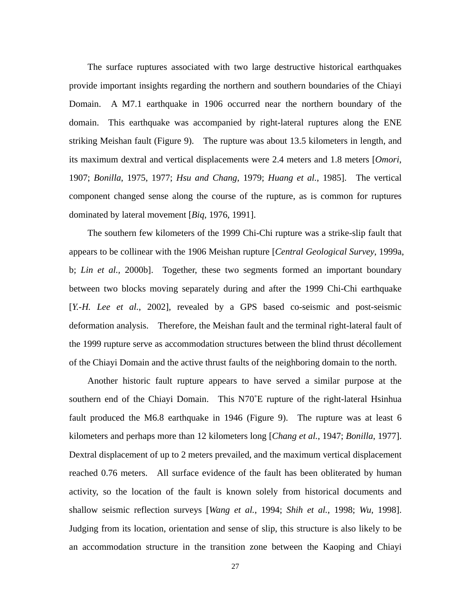The surface ruptures associated with two large destructive historical earthquakes provide important insights regarding the northern and southern boundaries of the Chiayi Domain. A M7.1 earthquake in 1906 occurred near the northern boundary of the domain. This earthquake was accompanied by right-lateral ruptures along the ENE striking Meishan fault (Figure 9). The rupture was about 13.5 kilometers in length, and its maximum dextral and vertical displacements were 2.4 meters and 1.8 meters [*Omori*, 1907; *Bonilla*, 1975, 1977; *Hsu and Chang*, 1979; *Huang et al.*, 1985]. The vertical component changed sense along the course of the rupture, as is common for ruptures dominated by lateral movement [*Biq*, 1976, 1991].

The southern few kilometers of the 1999 Chi-Chi rupture was a strike-slip fault that appears to be collinear with the 1906 Meishan rupture [*Central Geological Survey*, 1999a, b; *Lin et al.,* 2000b]. Together, these two segments formed an important boundary between two blocks moving separately during and after the 1999 Chi-Chi earthquake [*Y.-H. Lee et al.*, 2002], revealed by a GPS based co-seismic and post-seismic deformation analysis. Therefore, the Meishan fault and the terminal right-lateral fault of the 1999 rupture serve as accommodation structures between the blind thrust décollement of the Chiayi Domain and the active thrust faults of the neighboring domain to the north.

Another historic fault rupture appears to have served a similar purpose at the southern end of the Chiayi Domain. This N70˚E rupture of the right-lateral Hsinhua fault produced the M6.8 earthquake in 1946 (Figure 9). The rupture was at least 6 kilometers and perhaps more than 12 kilometers long [*Chang et al.*, 1947; *Bonilla*, 1977]. Dextral displacement of up to 2 meters prevailed, and the maximum vertical displacement reached 0.76 meters. All surface evidence of the fault has been obliterated by human activity, so the location of the fault is known solely from historical documents and shallow seismic reflection surveys [*Wang et al.*, 1994; *Shih et al.*, 1998; *Wu*, 1998]. Judging from its location, orientation and sense of slip, this structure is also likely to be an accommodation structure in the transition zone between the Kaoping and Chiayi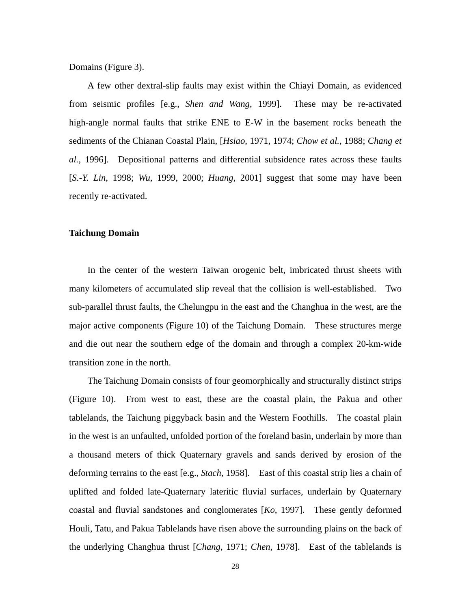Domains (Figure 3).

A few other dextral-slip faults may exist within the Chiayi Domain, as evidenced from seismic profiles [e.g., *Shen and Wang*, 1999]. These may be re-activated high-angle normal faults that strike ENE to E-W in the basement rocks beneath the sediments of the Chianan Coastal Plain, [*Hsiao*, 1971, 1974; *Chow et al.*, 1988; *Chang et al.*, 1996]. Depositional patterns and differential subsidence rates across these faults [*S.-Y. Lin*, 1998; *Wu*, 1999, 2000; *Huang*, 2001] suggest that some may have been recently re-activated.

### **Taichung Domain**

In the center of the western Taiwan orogenic belt, imbricated thrust sheets with many kilometers of accumulated slip reveal that the collision is well-established. Two sub-parallel thrust faults, the Chelungpu in the east and the Changhua in the west, are the major active components (Figure 10) of the Taichung Domain. These structures merge and die out near the southern edge of the domain and through a complex 20-km-wide transition zone in the north.

The Taichung Domain consists of four geomorphically and structurally distinct strips (Figure 10). From west to east, these are the coastal plain, the Pakua and other tablelands, the Taichung piggyback basin and the Western Foothills. The coastal plain in the west is an unfaulted, unfolded portion of the foreland basin, underlain by more than a thousand meters of thick Quaternary gravels and sands derived by erosion of the deforming terrains to the east [e.g., *Stach*, 1958]. East of this coastal strip lies a chain of uplifted and folded late-Quaternary lateritic fluvial surfaces, underlain by Quaternary coastal and fluvial sandstones and conglomerates [*Ko*, 1997]. These gently deformed Houli, Tatu, and Pakua Tablelands have risen above the surrounding plains on the back of the underlying Changhua thrust [*Chang*, 1971; *Chen*, 1978]. East of the tablelands is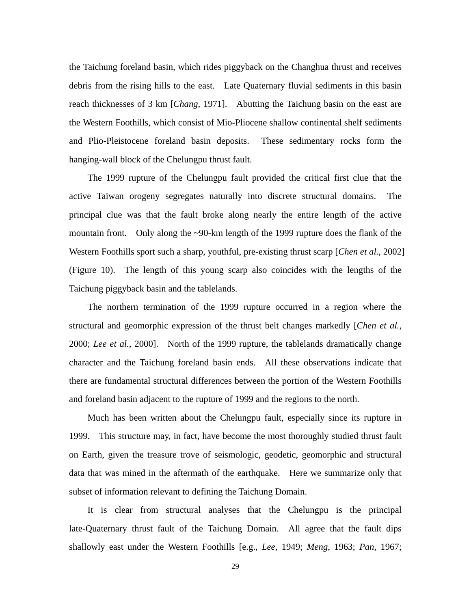the Taichung foreland basin, which rides piggyback on the Changhua thrust and receives debris from the rising hills to the east. Late Quaternary fluvial sediments in this basin reach thicknesses of 3 km [*Chang*, 1971]. Abutting the Taichung basin on the east are the Western Foothills, which consist of Mio-Pliocene shallow continental shelf sediments and Plio-Pleistocene foreland basin deposits. These sedimentary rocks form the hanging-wall block of the Chelungpu thrust fault.

The 1999 rupture of the Chelungpu fault provided the critical first clue that the active Taiwan orogeny segregates naturally into discrete structural domains. The principal clue was that the fault broke along nearly the entire length of the active mountain front. Only along the ~90-km length of the 1999 rupture does the flank of the Western Foothills sport such a sharp, youthful, pre-existing thrust scarp [*Chen et al.*, 2002] (Figure 10). The length of this young scarp also coincides with the lengths of the Taichung piggyback basin and the tablelands.

The northern termination of the 1999 rupture occurred in a region where the structural and geomorphic expression of the thrust belt changes markedly [*Chen et al.*, 2000; *Lee et al.*, 2000]. North of the 1999 rupture, the tablelands dramatically change character and the Taichung foreland basin ends. All these observations indicate that there are fundamental structural differences between the portion of the Western Foothills and foreland basin adjacent to the rupture of 1999 and the regions to the north.

Much has been written about the Chelungpu fault, especially since its rupture in 1999. This structure may, in fact, have become the most thoroughly studied thrust fault on Earth, given the treasure trove of seismologic, geodetic, geomorphic and structural data that was mined in the aftermath of the earthquake. Here we summarize only that subset of information relevant to defining the Taichung Domain.

It is clear from structural analyses that the Chelungpu is the principal late-Quaternary thrust fault of the Taichung Domain. All agree that the fault dips shallowly east under the Western Foothills [e.g., *Lee*, 1949; *Meng*, 1963; *Pan*, 1967;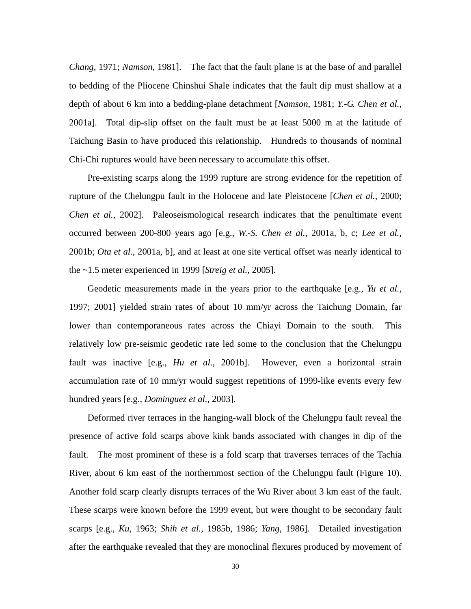*Chang*, 1971; *Namson*, 1981]. The fact that the fault plane is at the base of and parallel to bedding of the Pliocene Chinshui Shale indicates that the fault dip must shallow at a depth of about 6 km into a bedding-plane detachment [*Namson*, 1981; *Y.-G. Chen et al.*, 2001a]. Total dip-slip offset on the fault must be at least 5000 m at the latitude of Taichung Basin to have produced this relationship. Hundreds to thousands of nominal Chi-Chi ruptures would have been necessary to accumulate this offset.

Pre-existing scarps along the 1999 rupture are strong evidence for the repetition of rupture of the Chelungpu fault in the Holocene and late Pleistocene [*Chen et al.*, 2000; *Chen et al.*, 2002]. Paleoseismological research indicates that the penultimate event occurred between 200-800 years ago [e.g., *W.-S. Chen et al.*, 2001a, b, c; *Lee et al.*, 2001b; *Ota et al.*, 2001a, b], and at least at one site vertical offset was nearly identical to the ~1.5 meter experienced in 1999 [*Streig et al.*, 2005].

Geodetic measurements made in the years prior to the earthquake [e.g., *Yu et al.*, 1997; 2001] yielded strain rates of about 10 mm/yr across the Taichung Domain, far lower than contemporaneous rates across the Chiayi Domain to the south. This relatively low pre-seismic geodetic rate led some to the conclusion that the Chelungpu fault was inactive [e.g., *Hu et al.*, 2001b]. However, even a horizontal strain accumulation rate of 10 mm/yr would suggest repetitions of 1999-like events every few hundred years [e.g., *Dominguez et al.*, 2003].

Deformed river terraces in the hanging-wall block of the Chelungpu fault reveal the presence of active fold scarps above kink bands associated with changes in dip of the fault. The most prominent of these is a fold scarp that traverses terraces of the Tachia River, about 6 km east of the northernmost section of the Chelungpu fault (Figure 10). Another fold scarp clearly disrupts terraces of the Wu River about 3 km east of the fault. These scarps were known before the 1999 event, but were thought to be secondary fault scarps [e.g., *Ku*, 1963; *Shih et al.*, 1985b, 1986; *Yang*, 1986]. Detailed investigation after the earthquake revealed that they are monoclinal flexures produced by movement of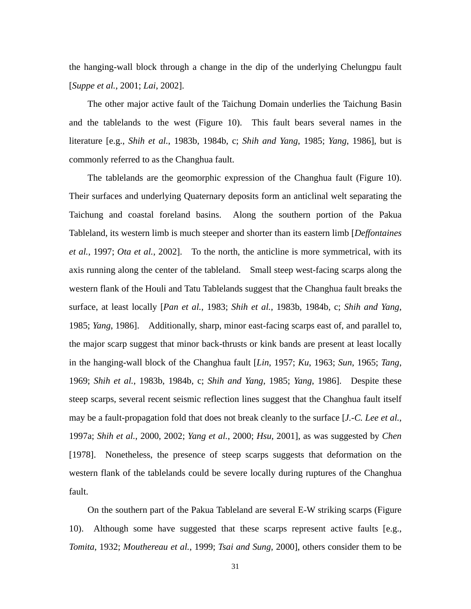the hanging-wall block through a change in the dip of the underlying Chelungpu fault [*Suppe et al.*, 2001; *Lai*, 2002].

The other major active fault of the Taichung Domain underlies the Taichung Basin and the tablelands to the west (Figure 10). This fault bears several names in the literature [e.g., *Shih et al.*, 1983b, 1984b, c; *Shih and Yang*, 1985; *Yang*, 1986], but is commonly referred to as the Changhua fault.

The tablelands are the geomorphic expression of the Changhua fault (Figure 10). Their surfaces and underlying Quaternary deposits form an anticlinal welt separating the Taichung and coastal foreland basins. Along the southern portion of the Pakua Tableland, its western limb is much steeper and shorter than its eastern limb [*Deffontaines et al.*, 1997; *Ota et al.*, 2002]. To the north, the anticline is more symmetrical, with its axis running along the center of the tableland. Small steep west-facing scarps along the western flank of the Houli and Tatu Tablelands suggest that the Changhua fault breaks the surface, at least locally [*Pan et al.*, 1983; *Shih et al.*, 1983b, 1984b, c; *Shih and Yang*, 1985; *Yang*, 1986]. Additionally, sharp, minor east-facing scarps east of, and parallel to, the major scarp suggest that minor back-thrusts or kink bands are present at least locally in the hanging-wall block of the Changhua fault [*Lin*, 1957; *Ku*, 1963; *Sun*, 1965; *Tang*, 1969; *Shih et al.*, 1983b, 1984b, c; *Shih and Yang*, 1985; *Yang*, 1986]. Despite these steep scarps, several recent seismic reflection lines suggest that the Changhua fault itself may be a fault-propagation fold that does not break cleanly to the surface [*J.-C. Lee et al.*, 1997a; *Shih et al.*, 2000, 2002; *Yang et al.*, 2000; *Hsu*, 2001], as was suggested by *Chen* [1978]. Nonetheless, the presence of steep scarps suggests that deformation on the western flank of the tablelands could be severe locally during ruptures of the Changhua fault.

On the southern part of the Pakua Tableland are several E-W striking scarps (Figure 10). Although some have suggested that these scarps represent active faults [e.g., *Tomita*, 1932; *Mouthereau et al.*, 1999; *Tsai and Sung*, 2000], others consider them to be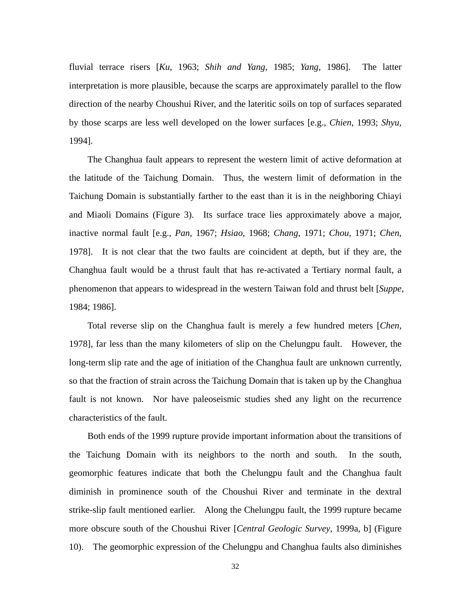fluvial terrace risers [*Ku*, 1963; *Shih and Yang*, 1985; *Yang*, 1986]. The latter interpretation is more plausible, because the scarps are approximately parallel to the flow direction of the nearby Choushui River, and the lateritic soils on top of surfaces separated by those scarps are less well developed on the lower surfaces [e.g., *Chien*, 1993; *Shyu*, 1994].

The Changhua fault appears to represent the western limit of active deformation at the latitude of the Taichung Domain. Thus, the western limit of deformation in the Taichung Domain is substantially farther to the east than it is in the neighboring Chiayi and Miaoli Domains (Figure 3). Its surface trace lies approximately above a major, inactive normal fault [e.g., *Pan*, 1967; *Hsiao*, 1968; *Chang*, 1971; *Chou*, 1971; *Chen*, 1978]. It is not clear that the two faults are coincident at depth, but if they are, the Changhua fault would be a thrust fault that has re-activated a Tertiary normal fault, a phenomenon that appears to widespread in the western Taiwan fold and thrust belt [*Suppe*, 1984; 1986].

Total reverse slip on the Changhua fault is merely a few hundred meters [*Chen*, 1978], far less than the many kilometers of slip on the Chelungpu fault. However, the long-term slip rate and the age of initiation of the Changhua fault are unknown currently, so that the fraction of strain across the Taichung Domain that is taken up by the Changhua fault is not known. Nor have paleoseismic studies shed any light on the recurrence characteristics of the fault.

Both ends of the 1999 rupture provide important information about the transitions of the Taichung Domain with its neighbors to the north and south. In the south, geomorphic features indicate that both the Chelungpu fault and the Changhua fault diminish in prominence south of the Choushui River and terminate in the dextral strike-slip fault mentioned earlier. Along the Chelungpu fault, the 1999 rupture became more obscure south of the Choushui River [*Central Geologic Survey*, 1999a, b] (Figure 10). The geomorphic expression of the Chelungpu and Changhua faults also diminishes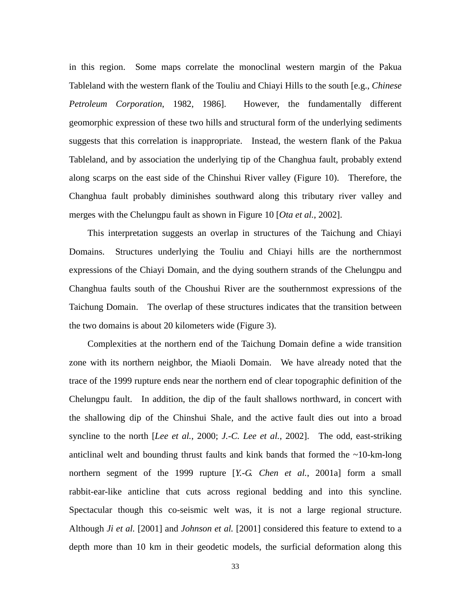in this region. Some maps correlate the monoclinal western margin of the Pakua Tableland with the western flank of the Touliu and Chiayi Hills to the south [e.g., *Chinese Petroleum Corporation*, 1982, 1986]. However, the fundamentally different geomorphic expression of these two hills and structural form of the underlying sediments suggests that this correlation is inappropriate. Instead, the western flank of the Pakua Tableland, and by association the underlying tip of the Changhua fault, probably extend along scarps on the east side of the Chinshui River valley (Figure 10). Therefore, the Changhua fault probably diminishes southward along this tributary river valley and merges with the Chelungpu fault as shown in Figure 10 [*Ota et al.*, 2002].

This interpretation suggests an overlap in structures of the Taichung and Chiayi Domains. Structures underlying the Touliu and Chiayi hills are the northernmost expressions of the Chiayi Domain, and the dying southern strands of the Chelungpu and Changhua faults south of the Choushui River are the southernmost expressions of the Taichung Domain. The overlap of these structures indicates that the transition between the two domains is about 20 kilometers wide (Figure 3).

Complexities at the northern end of the Taichung Domain define a wide transition zone with its northern neighbor, the Miaoli Domain. We have already noted that the trace of the 1999 rupture ends near the northern end of clear topographic definition of the Chelungpu fault. In addition, the dip of the fault shallows northward, in concert with the shallowing dip of the Chinshui Shale, and the active fault dies out into a broad syncline to the north [*Lee et al.*, 2000; *J.-C. Lee et al.*, 2002]. The odd, east-striking anticlinal welt and bounding thrust faults and kink bands that formed the  $\sim$ 10-km-long northern segment of the 1999 rupture [*Y.-G. Chen et al.*, 2001a] form a small rabbit-ear-like anticline that cuts across regional bedding and into this syncline. Spectacular though this co-seismic welt was, it is not a large regional structure. Although *Ji et al.* [2001] and *Johnson et al.* [2001] considered this feature to extend to a depth more than 10 km in their geodetic models, the surficial deformation along this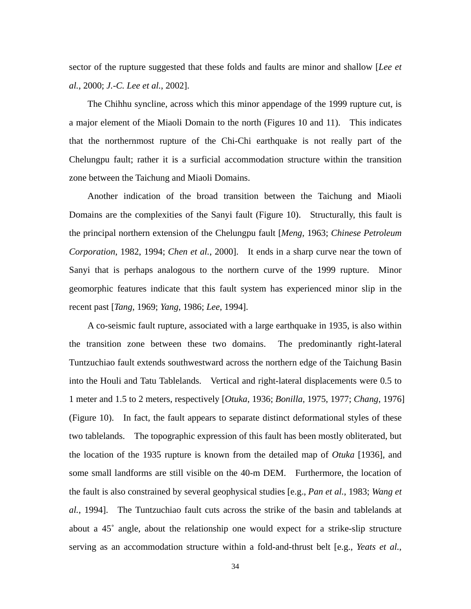sector of the rupture suggested that these folds and faults are minor and shallow [*Lee et al.*, 2000; *J.-C. Lee et al.*, 2002].

The Chihhu syncline, across which this minor appendage of the 1999 rupture cut, is a major element of the Miaoli Domain to the north (Figures 10 and 11). This indicates that the northernmost rupture of the Chi-Chi earthquake is not really part of the Chelungpu fault; rather it is a surficial accommodation structure within the transition zone between the Taichung and Miaoli Domains.

Another indication of the broad transition between the Taichung and Miaoli Domains are the complexities of the Sanyi fault (Figure 10). Structurally, this fault is the principal northern extension of the Chelungpu fault [*Meng*, 1963; *Chinese Petroleum Corporation*, 1982, 1994; *Chen et al.*, 2000]. It ends in a sharp curve near the town of Sanyi that is perhaps analogous to the northern curve of the 1999 rupture. Minor geomorphic features indicate that this fault system has experienced minor slip in the recent past [*Tang*, 1969; *Yang*, 1986; *Lee*, 1994].

A co-seismic fault rupture, associated with a large earthquake in 1935, is also within the transition zone between these two domains. The predominantly right-lateral Tuntzuchiao fault extends southwestward across the northern edge of the Taichung Basin into the Houli and Tatu Tablelands. Vertical and right-lateral displacements were 0.5 to 1 meter and 1.5 to 2 meters, respectively [*Otuka*, 1936; *Bonilla*, 1975, 1977; *Chang*, 1976] (Figure 10). In fact, the fault appears to separate distinct deformational styles of these two tablelands. The topographic expression of this fault has been mostly obliterated, but the location of the 1935 rupture is known from the detailed map of *Otuka* [1936], and some small landforms are still visible on the 40-m DEM. Furthermore, the location of the fault is also constrained by several geophysical studies [e.g., *Pan et al.*, 1983; *Wang et al.*, 1994]. The Tuntzuchiao fault cuts across the strike of the basin and tablelands at about a 45˚ angle, about the relationship one would expect for a strike-slip structure serving as an accommodation structure within a fold-and-thrust belt [e.g., *Yeats et al.*,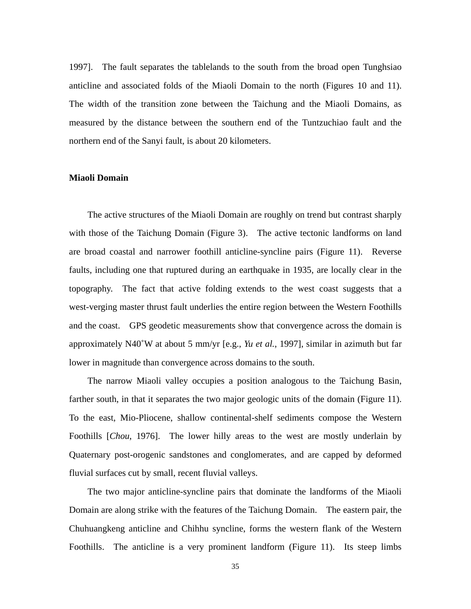1997]. The fault separates the tablelands to the south from the broad open Tunghsiao anticline and associated folds of the Miaoli Domain to the north (Figures 10 and 11). The width of the transition zone between the Taichung and the Miaoli Domains, as measured by the distance between the southern end of the Tuntzuchiao fault and the northern end of the Sanyi fault, is about 20 kilometers.

# **Miaoli Domain**

The active structures of the Miaoli Domain are roughly on trend but contrast sharply with those of the Taichung Domain (Figure 3). The active tectonic landforms on land are broad coastal and narrower foothill anticline-syncline pairs (Figure 11). Reverse faults, including one that ruptured during an earthquake in 1935, are locally clear in the topography. The fact that active folding extends to the west coast suggests that a west-verging master thrust fault underlies the entire region between the Western Foothills and the coast. GPS geodetic measurements show that convergence across the domain is approximately N40˚W at about 5 mm/yr [e.g., *Yu et al.*, 1997], similar in azimuth but far lower in magnitude than convergence across domains to the south.

The narrow Miaoli valley occupies a position analogous to the Taichung Basin, farther south, in that it separates the two major geologic units of the domain (Figure 11). To the east, Mio-Pliocene, shallow continental-shelf sediments compose the Western Foothills [*Chou*, 1976]. The lower hilly areas to the west are mostly underlain by Quaternary post-orogenic sandstones and conglomerates, and are capped by deformed fluvial surfaces cut by small, recent fluvial valleys.

The two major anticline-syncline pairs that dominate the landforms of the Miaoli Domain are along strike with the features of the Taichung Domain. The eastern pair, the Chuhuangkeng anticline and Chihhu syncline, forms the western flank of the Western Foothills. The anticline is a very prominent landform (Figure 11). Its steep limbs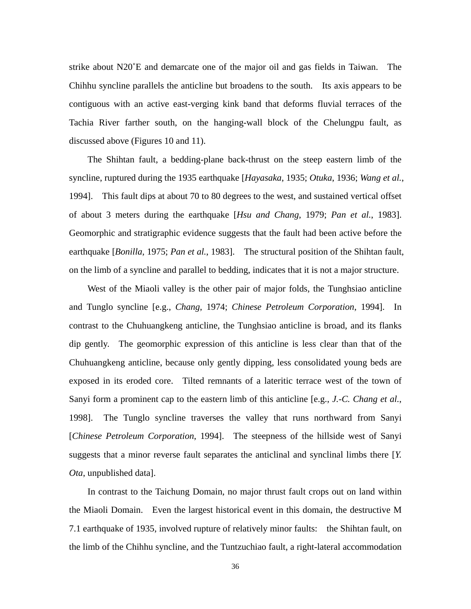strike about N20˚E and demarcate one of the major oil and gas fields in Taiwan. The Chihhu syncline parallels the anticline but broadens to the south. Its axis appears to be contiguous with an active east-verging kink band that deforms fluvial terraces of the Tachia River farther south, on the hanging-wall block of the Chelungpu fault, as discussed above (Figures 10 and 11).

The Shihtan fault, a bedding-plane back-thrust on the steep eastern limb of the syncline, ruptured during the 1935 earthquake [*Hayasaka*, 1935; *Otuka*, 1936; *Wang et al.*, 1994]. This fault dips at about 70 to 80 degrees to the west, and sustained vertical offset of about 3 meters during the earthquake [*Hsu and Chang*, 1979; *Pan et al.*, 1983]. Geomorphic and stratigraphic evidence suggests that the fault had been active before the earthquake [*Bonilla*, 1975; *Pan et al.*, 1983]. The structural position of the Shihtan fault, on the limb of a syncline and parallel to bedding, indicates that it is not a major structure.

West of the Miaoli valley is the other pair of major folds, the Tunghsiao anticline and Tunglo syncline [e.g., *Chang*, 1974; *Chinese Petroleum Corporation*, 1994]. In contrast to the Chuhuangkeng anticline, the Tunghsiao anticline is broad, and its flanks dip gently. The geomorphic expression of this anticline is less clear than that of the Chuhuangkeng anticline, because only gently dipping, less consolidated young beds are exposed in its eroded core. Tilted remnants of a lateritic terrace west of the town of Sanyi form a prominent cap to the eastern limb of this anticline [e.g., *J.-C. Chang et al.*, 1998]. The Tunglo syncline traverses the valley that runs northward from Sanyi [*Chinese Petroleum Corporation*, 1994]. The steepness of the hillside west of Sanyi suggests that a minor reverse fault separates the anticlinal and synclinal limbs there [*Y. Ota*, unpublished data].

In contrast to the Taichung Domain, no major thrust fault crops out on land within the Miaoli Domain. Even the largest historical event in this domain, the destructive M 7.1 earthquake of 1935, involved rupture of relatively minor faults: the Shihtan fault, on the limb of the Chihhu syncline, and the Tuntzuchiao fault, a right-lateral accommodation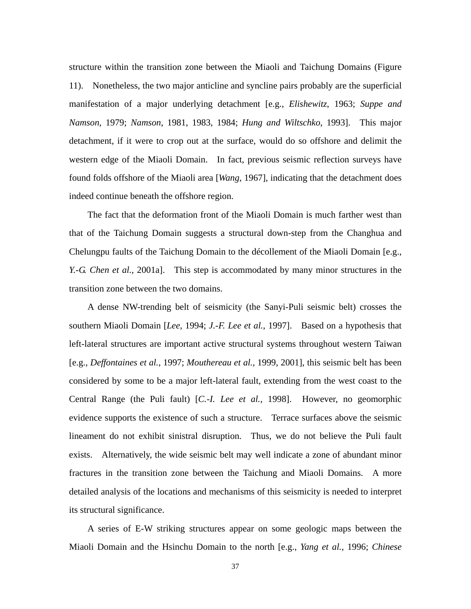structure within the transition zone between the Miaoli and Taichung Domains (Figure 11). Nonetheless, the two major anticline and syncline pairs probably are the superficial manifestation of a major underlying detachment [e.g., *Elishewitz*, 1963; *Suppe and Namson*, 1979; *Namson*, 1981, 1983, 1984; *Hung and Wiltschko*, 1993]. This major detachment, if it were to crop out at the surface, would do so offshore and delimit the western edge of the Miaoli Domain. In fact, previous seismic reflection surveys have found folds offshore of the Miaoli area [*Wang*, 1967], indicating that the detachment does indeed continue beneath the offshore region.

The fact that the deformation front of the Miaoli Domain is much farther west than that of the Taichung Domain suggests a structural down-step from the Changhua and Chelungpu faults of the Taichung Domain to the décollement of the Miaoli Domain [e.g., *Y.-G. Chen et al.*, 2001a]. This step is accommodated by many minor structures in the transition zone between the two domains.

A dense NW-trending belt of seismicity (the Sanyi-Puli seismic belt) crosses the southern Miaoli Domain [*Lee*, 1994; *J.-F. Lee et al.*, 1997]. Based on a hypothesis that left-lateral structures are important active structural systems throughout western Taiwan [e.g., *Deffontaines et al.*, 1997; *Mouthereau et al.*, 1999, 2001], this seismic belt has been considered by some to be a major left-lateral fault, extending from the west coast to the Central Range (the Puli fault) [*C.-I. Lee et al.*, 1998]. However, no geomorphic evidence supports the existence of such a structure. Terrace surfaces above the seismic lineament do not exhibit sinistral disruption. Thus, we do not believe the Puli fault exists. Alternatively, the wide seismic belt may well indicate a zone of abundant minor fractures in the transition zone between the Taichung and Miaoli Domains. A more detailed analysis of the locations and mechanisms of this seismicity is needed to interpret its structural significance.

A series of E-W striking structures appear on some geologic maps between the Miaoli Domain and the Hsinchu Domain to the north [e.g., *Yang et al.*, 1996; *Chinese*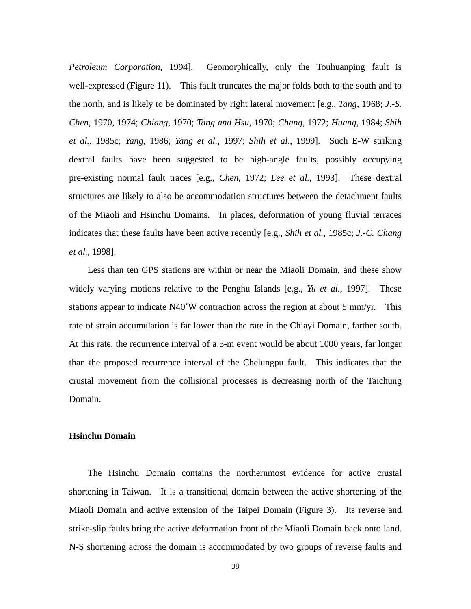*Petroleum Corporation*, 1994]. Geomorphically, only the Touhuanping fault is well-expressed (Figure 11). This fault truncates the major folds both to the south and to the north, and is likely to be dominated by right lateral movement [e.g., *Tang*, 1968; *J.-S. Chen*, 1970, 1974; *Chiang*, 1970; *Tang and Hsu*, 1970; *Chang*, 1972; *Huang*, 1984; *Shih et al.*, 1985c; *Yang*, 1986; *Yang et al.*, 1997; *Shih et al.*, 1999]. Such E-W striking dextral faults have been suggested to be high-angle faults, possibly occupying pre-existing normal fault traces [e.g., *Chen*, 1972; *Lee et al.*, 1993]. These dextral structures are likely to also be accommodation structures between the detachment faults of the Miaoli and Hsinchu Domains. In places, deformation of young fluvial terraces indicates that these faults have been active recently [e.g., *Shih et al.*, 1985c; *J.-C. Chang et al.*, 1998].

Less than ten GPS stations are within or near the Miaoli Domain, and these show widely varying motions relative to the Penghu Islands [e.g., *Yu et al.*, 1997]. These stations appear to indicate N40˚W contraction across the region at about 5 mm/yr. This rate of strain accumulation is far lower than the rate in the Chiayi Domain, farther south. At this rate, the recurrence interval of a 5-m event would be about 1000 years, far longer than the proposed recurrence interval of the Chelungpu fault. This indicates that the crustal movement from the collisional processes is decreasing north of the Taichung Domain.

## **Hsinchu Domain**

The Hsinchu Domain contains the northernmost evidence for active crustal shortening in Taiwan. It is a transitional domain between the active shortening of the Miaoli Domain and active extension of the Taipei Domain (Figure 3). Its reverse and strike-slip faults bring the active deformation front of the Miaoli Domain back onto land. N-S shortening across the domain is accommodated by two groups of reverse faults and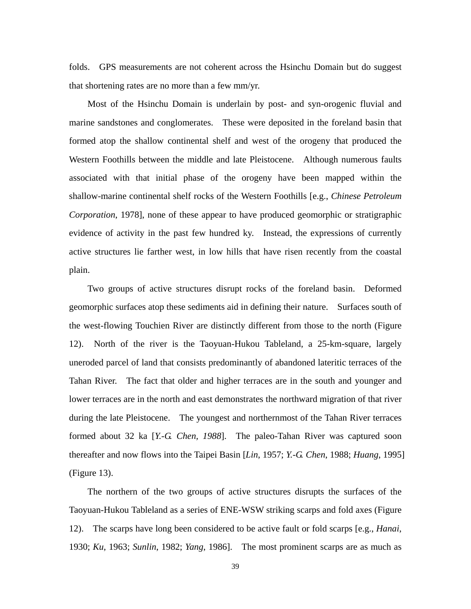folds. GPS measurements are not coherent across the Hsinchu Domain but do suggest that shortening rates are no more than a few mm/yr.

Most of the Hsinchu Domain is underlain by post- and syn-orogenic fluvial and marine sandstones and conglomerates. These were deposited in the foreland basin that formed atop the shallow continental shelf and west of the orogeny that produced the Western Foothills between the middle and late Pleistocene. Although numerous faults associated with that initial phase of the orogeny have been mapped within the shallow-marine continental shelf rocks of the Western Foothills [e.g., *Chinese Petroleum Corporation*, 1978], none of these appear to have produced geomorphic or stratigraphic evidence of activity in the past few hundred ky. Instead, the expressions of currently active structures lie farther west, in low hills that have risen recently from the coastal plain.

Two groups of active structures disrupt rocks of the foreland basin. Deformed geomorphic surfaces atop these sediments aid in defining their nature. Surfaces south of the west-flowing Touchien River are distinctly different from those to the north (Figure 12). North of the river is the Taoyuan-Hukou Tableland, a 25-km-square, largely uneroded parcel of land that consists predominantly of abandoned lateritic terraces of the Tahan River. The fact that older and higher terraces are in the south and younger and lower terraces are in the north and east demonstrates the northward migration of that river during the late Pleistocene. The youngest and northernmost of the Tahan River terraces formed about 32 ka [*Y.-G. Chen, 1988*]. The paleo-Tahan River was captured soon thereafter and now flows into the Taipei Basin [*Lin*, 1957; *Y.-G. Chen*, 1988; *Huang*, 1995] (Figure 13).

The northern of the two groups of active structures disrupts the surfaces of the Taoyuan-Hukou Tableland as a series of ENE-WSW striking scarps and fold axes (Figure 12). The scarps have long been considered to be active fault or fold scarps [e.g., *Hanai*, 1930; *Ku*, 1963; *Sunlin*, 1982; *Yang*, 1986]. The most prominent scarps are as much as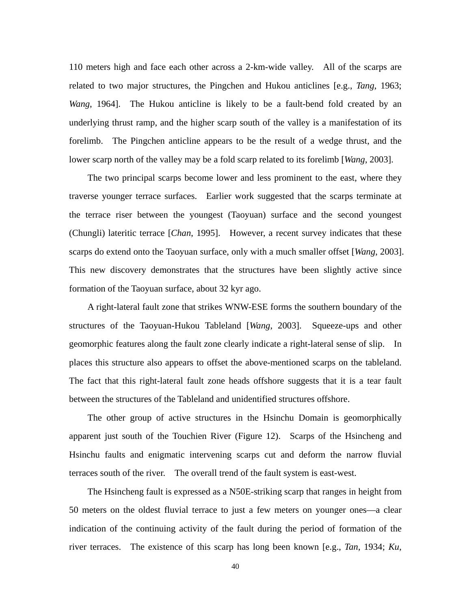110 meters high and face each other across a 2-km-wide valley. All of the scarps are related to two major structures, the Pingchen and Hukou anticlines [e.g., *Tang*, 1963; *Wang*, 1964]. The Hukou anticline is likely to be a fault-bend fold created by an underlying thrust ramp, and the higher scarp south of the valley is a manifestation of its forelimb. The Pingchen anticline appears to be the result of a wedge thrust, and the lower scarp north of the valley may be a fold scarp related to its forelimb [*Wang*, 2003].

The two principal scarps become lower and less prominent to the east, where they traverse younger terrace surfaces. Earlier work suggested that the scarps terminate at the terrace riser between the youngest (Taoyuan) surface and the second youngest (Chungli) lateritic terrace [*Chan*, 1995]. However, a recent survey indicates that these scarps do extend onto the Taoyuan surface, only with a much smaller offset [*Wang*, 2003]. This new discovery demonstrates that the structures have been slightly active since formation of the Taoyuan surface, about 32 kyr ago.

A right-lateral fault zone that strikes WNW-ESE forms the southern boundary of the structures of the Taoyuan-Hukou Tableland [*Wang*, 2003]. Squeeze-ups and other geomorphic features along the fault zone clearly indicate a right-lateral sense of slip. In places this structure also appears to offset the above-mentioned scarps on the tableland. The fact that this right-lateral fault zone heads offshore suggests that it is a tear fault between the structures of the Tableland and unidentified structures offshore.

The other group of active structures in the Hsinchu Domain is geomorphically apparent just south of the Touchien River (Figure 12). Scarps of the Hsincheng and Hsinchu faults and enigmatic intervening scarps cut and deform the narrow fluvial terraces south of the river. The overall trend of the fault system is east-west.

The Hsincheng fault is expressed as a N50E-striking scarp that ranges in height from 50 meters on the oldest fluvial terrace to just a few meters on younger ones—a clear indication of the continuing activity of the fault during the period of formation of the river terraces. The existence of this scarp has long been known [e.g., *Tan*, 1934; *Ku*,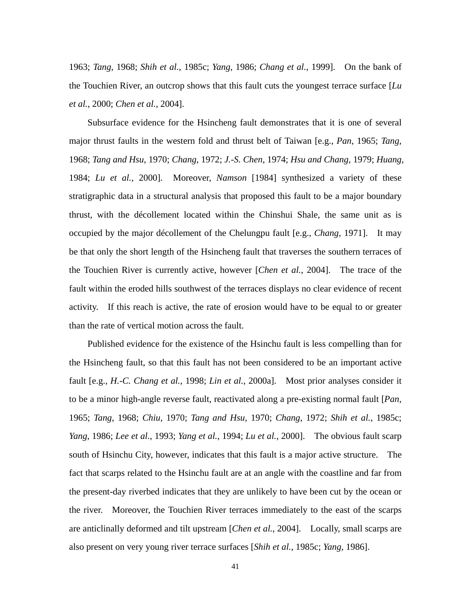1963; *Tang*, 1968; *Shih et al.*, 1985c; *Yang*, 1986; *Chang et al.*, 1999]. On the bank of the Touchien River, an outcrop shows that this fault cuts the youngest terrace surface [*Lu et al.*, 2000; *Chen et al.*, 2004].

Subsurface evidence for the Hsincheng fault demonstrates that it is one of several major thrust faults in the western fold and thrust belt of Taiwan [e.g., *Pan*, 1965; *Tang*, 1968; *Tang and Hsu*, 1970; *Chang*, 1972; *J.-S. Chen*, 1974; *Hsu and Chang*, 1979; *Huang*, 1984; *Lu et al.*, 2000]. Moreover, *Namson* [1984] synthesized a variety of these stratigraphic data in a structural analysis that proposed this fault to be a major boundary thrust, with the décollement located within the Chinshui Shale, the same unit as is occupied by the major décollement of the Chelungpu fault [e.g., *Chang*, 1971]. It may be that only the short length of the Hsincheng fault that traverses the southern terraces of the Touchien River is currently active, however [*Chen et al.*, 2004]. The trace of the fault within the eroded hills southwest of the terraces displays no clear evidence of recent activity. If this reach is active, the rate of erosion would have to be equal to or greater than the rate of vertical motion across the fault.

Published evidence for the existence of the Hsinchu fault is less compelling than for the Hsincheng fault, so that this fault has not been considered to be an important active fault [e.g., *H.-C. Chang et al.*, 1998; *Lin et al.*, 2000a]. Most prior analyses consider it to be a minor high-angle reverse fault, reactivated along a pre-existing normal fault [*Pan*, 1965; *Tang*, 1968; *Chiu*, 1970; *Tang and Hsu*, 1970; *Chang*, 1972; *Shih et al.*, 1985c; *Yang*, 1986; *Lee et al.*, 1993; *Yang et al.*, 1994; *Lu et al.*, 2000]. The obvious fault scarp south of Hsinchu City, however, indicates that this fault is a major active structure. The fact that scarps related to the Hsinchu fault are at an angle with the coastline and far from the present-day riverbed indicates that they are unlikely to have been cut by the ocean or the river. Moreover, the Touchien River terraces immediately to the east of the scarps are anticlinally deformed and tilt upstream [*Chen et al.*, 2004]. Locally, small scarps are also present on very young river terrace surfaces [*Shih et al.*, 1985c; *Yang*, 1986].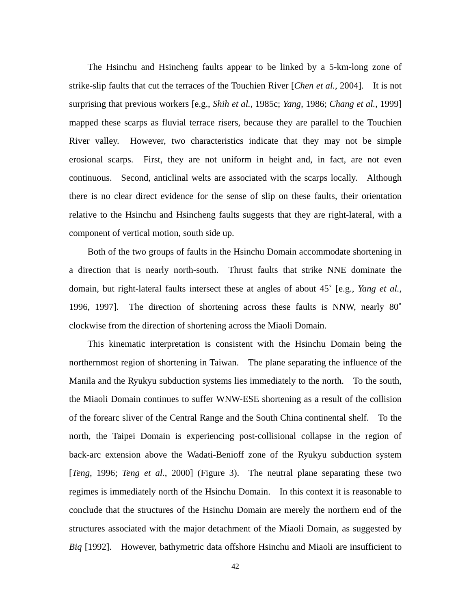The Hsinchu and Hsincheng faults appear to be linked by a 5-km-long zone of strike-slip faults that cut the terraces of the Touchien River [*Chen et al.*, 2004]. It is not surprising that previous workers [e.g., *Shih et al.*, 1985c; *Yang*, 1986; *Chang et al.*, 1999] mapped these scarps as fluvial terrace risers, because they are parallel to the Touchien River valley. However, two characteristics indicate that they may not be simple erosional scarps. First, they are not uniform in height and, in fact, are not even continuous. Second, anticlinal welts are associated with the scarps locally. Although there is no clear direct evidence for the sense of slip on these faults, their orientation relative to the Hsinchu and Hsincheng faults suggests that they are right-lateral, with a component of vertical motion, south side up.

Both of the two groups of faults in the Hsinchu Domain accommodate shortening in a direction that is nearly north-south. Thrust faults that strike NNE dominate the domain, but right-lateral faults intersect these at angles of about 45˚ [e.g., *Yang et al.*, 1996, 1997]. The direction of shortening across these faults is NNW, nearly 80˚ clockwise from the direction of shortening across the Miaoli Domain.

This kinematic interpretation is consistent with the Hsinchu Domain being the northernmost region of shortening in Taiwan. The plane separating the influence of the Manila and the Ryukyu subduction systems lies immediately to the north. To the south, the Miaoli Domain continues to suffer WNW-ESE shortening as a result of the collision of the forearc sliver of the Central Range and the South China continental shelf. To the north, the Taipei Domain is experiencing post-collisional collapse in the region of back-arc extension above the Wadati-Benioff zone of the Ryukyu subduction system [*Teng*, 1996; *Teng et al.*, 2000] (Figure 3). The neutral plane separating these two regimes is immediately north of the Hsinchu Domain. In this context it is reasonable to conclude that the structures of the Hsinchu Domain are merely the northern end of the structures associated with the major detachment of the Miaoli Domain, as suggested by *Biq* [1992]. However, bathymetric data offshore Hsinchu and Miaoli are insufficient to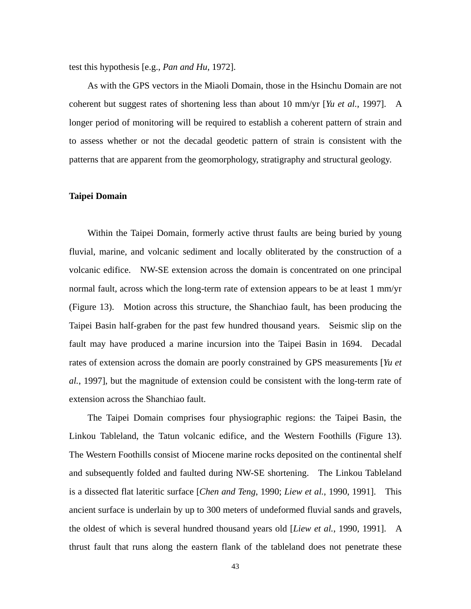test this hypothesis [e.g., *Pan and Hu*, 1972].

As with the GPS vectors in the Miaoli Domain, those in the Hsinchu Domain are not coherent but suggest rates of shortening less than about 10 mm/yr [*Yu et al.*, 1997]. A longer period of monitoring will be required to establish a coherent pattern of strain and to assess whether or not the decadal geodetic pattern of strain is consistent with the patterns that are apparent from the geomorphology, stratigraphy and structural geology.

## **Taipei Domain**

Within the Taipei Domain, formerly active thrust faults are being buried by young fluvial, marine, and volcanic sediment and locally obliterated by the construction of a volcanic edifice. NW-SE extension across the domain is concentrated on one principal normal fault, across which the long-term rate of extension appears to be at least 1 mm/yr (Figure 13). Motion across this structure, the Shanchiao fault, has been producing the Taipei Basin half-graben for the past few hundred thousand years. Seismic slip on the fault may have produced a marine incursion into the Taipei Basin in 1694. Decadal rates of extension across the domain are poorly constrained by GPS measurements [*Yu et al.*, 1997], but the magnitude of extension could be consistent with the long-term rate of extension across the Shanchiao fault.

The Taipei Domain comprises four physiographic regions: the Taipei Basin, the Linkou Tableland, the Tatun volcanic edifice, and the Western Foothills (Figure 13). The Western Foothills consist of Miocene marine rocks deposited on the continental shelf and subsequently folded and faulted during NW-SE shortening. The Linkou Tableland is a dissected flat lateritic surface [*Chen and Teng*, 1990; *Liew et al.*, 1990, 1991]. This ancient surface is underlain by up to 300 meters of undeformed fluvial sands and gravels, the oldest of which is several hundred thousand years old [*Liew et al.*, 1990, 1991]. A thrust fault that runs along the eastern flank of the tableland does not penetrate these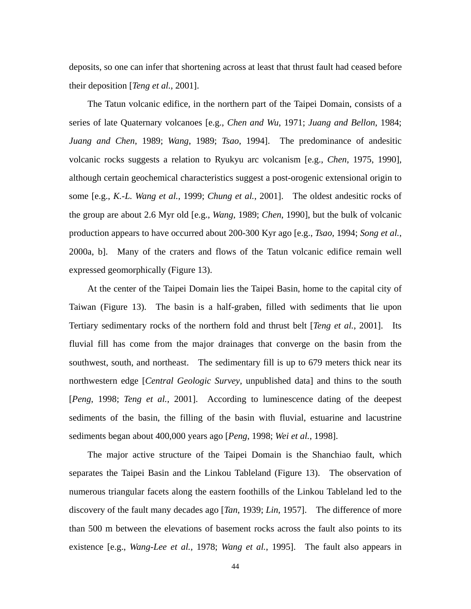deposits, so one can infer that shortening across at least that thrust fault had ceased before their deposition [*Teng et al.*, 2001].

The Tatun volcanic edifice, in the northern part of the Taipei Domain, consists of a series of late Quaternary volcanoes [e.g., *Chen and Wu*, 1971; *Juang and Bellon*, 1984; *Juang and Chen*, 1989; *Wang*, 1989; *Tsao*, 1994]. The predominance of andesitic volcanic rocks suggests a relation to Ryukyu arc volcanism [e.g., *Chen*, 1975, 1990], although certain geochemical characteristics suggest a post-orogenic extensional origin to some [e.g., *K.-L. Wang et al.*, 1999; *Chung et al.*, 2001]. The oldest andesitic rocks of the group are about 2.6 Myr old [e.g., *Wang*, 1989; *Chen*, 1990], but the bulk of volcanic production appears to have occurred about 200-300 Kyr ago [e.g., *Tsao*, 1994; *Song et al.*, 2000a, b]. Many of the craters and flows of the Tatun volcanic edifice remain well expressed geomorphically (Figure 13).

At the center of the Taipei Domain lies the Taipei Basin, home to the capital city of Taiwan (Figure 13). The basin is a half-graben, filled with sediments that lie upon Tertiary sedimentary rocks of the northern fold and thrust belt [*Teng et al.*, 2001]. Its fluvial fill has come from the major drainages that converge on the basin from the southwest, south, and northeast. The sedimentary fill is up to 679 meters thick near its northwestern edge [*Central Geologic Survey*, unpublished data] and thins to the south [*Peng*, 1998; *Teng et al.*, 2001]. According to luminescence dating of the deepest sediments of the basin, the filling of the basin with fluvial, estuarine and lacustrine sediments began about 400,000 years ago [*Peng*, 1998; *Wei et al.*, 1998].

The major active structure of the Taipei Domain is the Shanchiao fault, which separates the Taipei Basin and the Linkou Tableland (Figure 13). The observation of numerous triangular facets along the eastern foothills of the Linkou Tableland led to the discovery of the fault many decades ago [*Tan*, 1939; *Lin*, 1957]. The difference of more than 500 m between the elevations of basement rocks across the fault also points to its existence [e.g., *Wang-Lee et al.*, 1978; *Wang et al.*, 1995]. The fault also appears in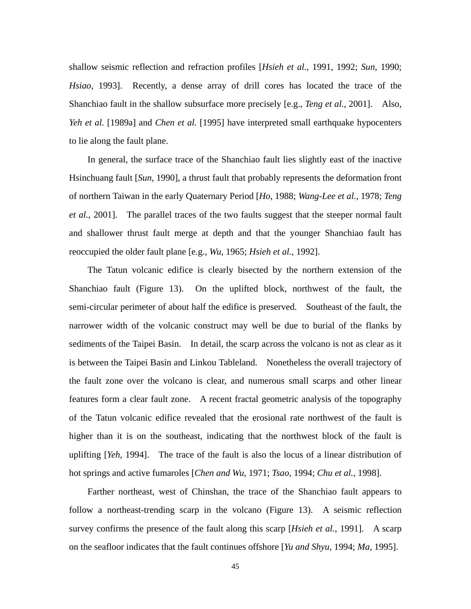shallow seismic reflection and refraction profiles [*Hsieh et al.*, 1991, 1992; *Sun*, 1990; *Hsiao*, 1993]. Recently, a dense array of drill cores has located the trace of the Shanchiao fault in the shallow subsurface more precisely [e.g., *Teng et al.*, 2001]. Also, *Yeh et al.* [1989a] and *Chen et al.* [1995] have interpreted small earthquake hypocenters to lie along the fault plane.

In general, the surface trace of the Shanchiao fault lies slightly east of the inactive Hsinchuang fault [*Sun*, 1990], a thrust fault that probably represents the deformation front of northern Taiwan in the early Quaternary Period [*Ho*, 1988; *Wang-Lee et al.*, 1978; *Teng et al.*, 2001]. The parallel traces of the two faults suggest that the steeper normal fault and shallower thrust fault merge at depth and that the younger Shanchiao fault has reoccupied the older fault plane [e.g., *Wu*, 1965; *Hsieh et al.*, 1992].

The Tatun volcanic edifice is clearly bisected by the northern extension of the Shanchiao fault (Figure 13). On the uplifted block, northwest of the fault, the semi-circular perimeter of about half the edifice is preserved. Southeast of the fault, the narrower width of the volcanic construct may well be due to burial of the flanks by sediments of the Taipei Basin. In detail, the scarp across the volcano is not as clear as it is between the Taipei Basin and Linkou Tableland. Nonetheless the overall trajectory of the fault zone over the volcano is clear, and numerous small scarps and other linear features form a clear fault zone. A recent fractal geometric analysis of the topography of the Tatun volcanic edifice revealed that the erosional rate northwest of the fault is higher than it is on the southeast, indicating that the northwest block of the fault is uplifting [*Yeh*, 1994]. The trace of the fault is also the locus of a linear distribution of hot springs and active fumaroles [*Chen and Wu*, 1971; *Tsao*, 1994; *Chu et al.*, 1998].

Farther northeast, west of Chinshan, the trace of the Shanchiao fault appears to follow a northeast-trending scarp in the volcano (Figure 13). A seismic reflection survey confirms the presence of the fault along this scarp [*Hsieh et al.*, 1991]. A scarp on the seafloor indicates that the fault continues offshore [*Yu and Shyu*, 1994; *Ma*, 1995].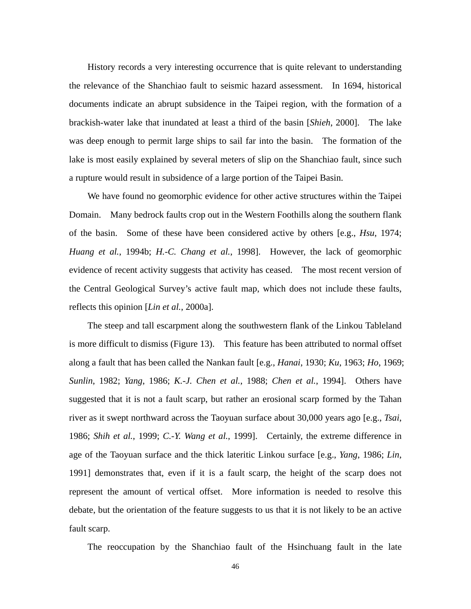History records a very interesting occurrence that is quite relevant to understanding the relevance of the Shanchiao fault to seismic hazard assessment. In 1694, historical documents indicate an abrupt subsidence in the Taipei region, with the formation of a brackish-water lake that inundated at least a third of the basin [*Shieh*, 2000]. The lake was deep enough to permit large ships to sail far into the basin. The formation of the lake is most easily explained by several meters of slip on the Shanchiao fault, since such a rupture would result in subsidence of a large portion of the Taipei Basin.

We have found no geomorphic evidence for other active structures within the Taipei Domain. Many bedrock faults crop out in the Western Foothills along the southern flank of the basin. Some of these have been considered active by others [e.g., *Hsu*, 1974; *Huang et al.*, 1994b; *H.-C. Chang et al.*, 1998]. However, the lack of geomorphic evidence of recent activity suggests that activity has ceased. The most recent version of the Central Geological Survey's active fault map, which does not include these faults, reflects this opinion [*Lin et al.*, 2000a].

The steep and tall escarpment along the southwestern flank of the Linkou Tableland is more difficult to dismiss (Figure 13). This feature has been attributed to normal offset along a fault that has been called the Nankan fault [e.g., *Hanai*, 1930; *Ku*, 1963; *Ho*, 1969; *Sunlin*, 1982; *Yang*, 1986; *K.-J. Chen et al.*, 1988; *Chen et al.*, 1994]. Others have suggested that it is not a fault scarp, but rather an erosional scarp formed by the Tahan river as it swept northward across the Taoyuan surface about 30,000 years ago [e.g., *Tsai*, 1986; *Shih et al.*, 1999; *C.-Y. Wang et al.*, 1999]. Certainly, the extreme difference in age of the Taoyuan surface and the thick lateritic Linkou surface [e.g., *Yang*, 1986; *Lin*, 1991] demonstrates that, even if it is a fault scarp, the height of the scarp does not represent the amount of vertical offset. More information is needed to resolve this debate, but the orientation of the feature suggests to us that it is not likely to be an active fault scarp.

The reoccupation by the Shanchiao fault of the Hsinchuang fault in the late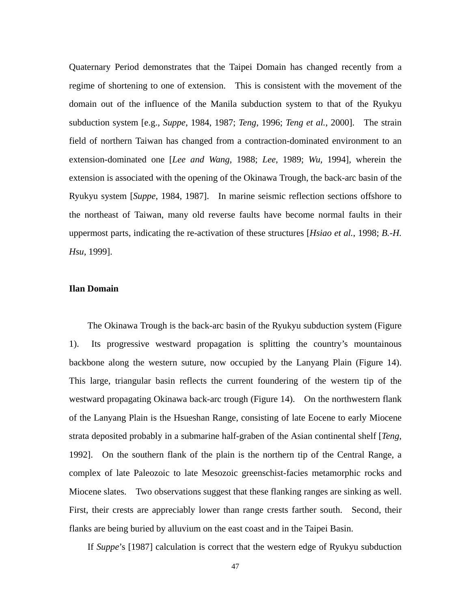Quaternary Period demonstrates that the Taipei Domain has changed recently from a regime of shortening to one of extension. This is consistent with the movement of the domain out of the influence of the Manila subduction system to that of the Ryukyu subduction system [e.g., *Suppe*, 1984, 1987; *Teng*, 1996; *Teng et al.*, 2000]. The strain field of northern Taiwan has changed from a contraction-dominated environment to an extension-dominated one [*Lee and Wang*, 1988; *Lee*, 1989; *Wu*, 1994], wherein the extension is associated with the opening of the Okinawa Trough, the back-arc basin of the Ryukyu system [*Suppe*, 1984, 1987]. In marine seismic reflection sections offshore to the northeast of Taiwan, many old reverse faults have become normal faults in their uppermost parts, indicating the re-activation of these structures [*Hsiao et al.*, 1998; *B.-H. Hsu*, 1999].

## **Ilan Domain**

The Okinawa Trough is the back-arc basin of the Ryukyu subduction system (Figure 1). Its progressive westward propagation is splitting the country's mountainous backbone along the western suture, now occupied by the Lanyang Plain (Figure 14). This large, triangular basin reflects the current foundering of the western tip of the westward propagating Okinawa back-arc trough (Figure 14). On the northwestern flank of the Lanyang Plain is the Hsueshan Range, consisting of late Eocene to early Miocene strata deposited probably in a submarine half-graben of the Asian continental shelf [*Teng*, 1992]. On the southern flank of the plain is the northern tip of the Central Range, a complex of late Paleozoic to late Mesozoic greenschist-facies metamorphic rocks and Miocene slates. Two observations suggest that these flanking ranges are sinking as well. First, their crests are appreciably lower than range crests farther south. Second, their flanks are being buried by alluvium on the east coast and in the Taipei Basin.

If *Suppe*'s [1987] calculation is correct that the western edge of Ryukyu subduction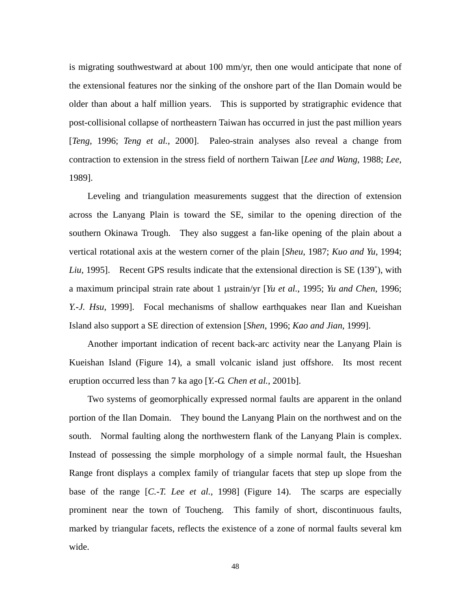is migrating southwestward at about 100 mm/yr, then one would anticipate that none of the extensional features nor the sinking of the onshore part of the Ilan Domain would be older than about a half million years. This is supported by stratigraphic evidence that post-collisional collapse of northeastern Taiwan has occurred in just the past million years [*Teng*, 1996; *Teng et al.*, 2000]. Paleo-strain analyses also reveal a change from contraction to extension in the stress field of northern Taiwan [*Lee and Wang*, 1988; *Lee*, 1989].

Leveling and triangulation measurements suggest that the direction of extension across the Lanyang Plain is toward the SE, similar to the opening direction of the southern Okinawa Trough. They also suggest a fan-like opening of the plain about a vertical rotational axis at the western corner of the plain [*Sheu*, 1987; *Kuo and Yu*, 1994; *Liu*, 1995]. Recent GPS results indicate that the extensional direction is SE (139˚), with a maximum principal strain rate about 1 µstrain/yr [*Yu et al.*, 1995; *Yu and Chen*, 1996; *Y.-J. Hsu*, 1999]. Focal mechanisms of shallow earthquakes near Ilan and Kueishan Island also support a SE direction of extension [*Shen*, 1996; *Kao and Jian*, 1999].

Another important indication of recent back-arc activity near the Lanyang Plain is Kueishan Island (Figure 14), a small volcanic island just offshore. Its most recent eruption occurred less than 7 ka ago [*Y.-G. Chen et al.*, 2001b].

Two systems of geomorphically expressed normal faults are apparent in the onland portion of the Ilan Domain. They bound the Lanyang Plain on the northwest and on the south. Normal faulting along the northwestern flank of the Lanyang Plain is complex. Instead of possessing the simple morphology of a simple normal fault, the Hsueshan Range front displays a complex family of triangular facets that step up slope from the base of the range [*C.-T. Lee et al.*, 1998] (Figure 14). The scarps are especially prominent near the town of Toucheng. This family of short, discontinuous faults, marked by triangular facets, reflects the existence of a zone of normal faults several km wide.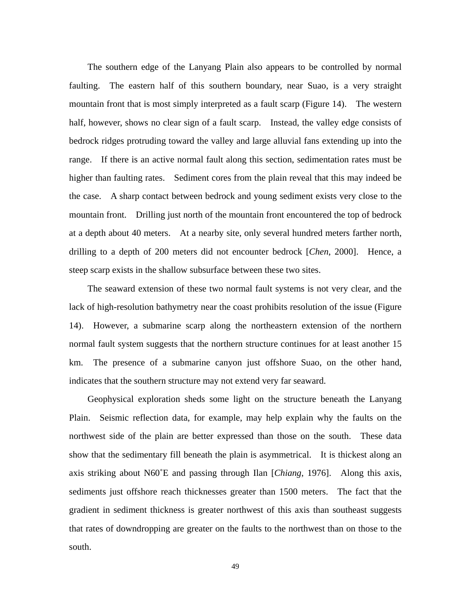The southern edge of the Lanyang Plain also appears to be controlled by normal faulting. The eastern half of this southern boundary, near Suao, is a very straight mountain front that is most simply interpreted as a fault scarp (Figure 14). The western half, however, shows no clear sign of a fault scarp. Instead, the valley edge consists of bedrock ridges protruding toward the valley and large alluvial fans extending up into the range. If there is an active normal fault along this section, sedimentation rates must be higher than faulting rates. Sediment cores from the plain reveal that this may indeed be the case. A sharp contact between bedrock and young sediment exists very close to the mountain front. Drilling just north of the mountain front encountered the top of bedrock at a depth about 40 meters. At a nearby site, only several hundred meters farther north, drilling to a depth of 200 meters did not encounter bedrock [*Chen*, 2000]. Hence, a steep scarp exists in the shallow subsurface between these two sites.

The seaward extension of these two normal fault systems is not very clear, and the lack of high-resolution bathymetry near the coast prohibits resolution of the issue (Figure 14). However, a submarine scarp along the northeastern extension of the northern normal fault system suggests that the northern structure continues for at least another 15 km. The presence of a submarine canyon just offshore Suao, on the other hand, indicates that the southern structure may not extend very far seaward.

Geophysical exploration sheds some light on the structure beneath the Lanyang Plain. Seismic reflection data, for example, may help explain why the faults on the northwest side of the plain are better expressed than those on the south. These data show that the sedimentary fill beneath the plain is asymmetrical. It is thickest along an axis striking about N60˚E and passing through Ilan [*Chiang*, 1976]. Along this axis, sediments just offshore reach thicknesses greater than 1500 meters. The fact that the gradient in sediment thickness is greater northwest of this axis than southeast suggests that rates of downdropping are greater on the faults to the northwest than on those to the south.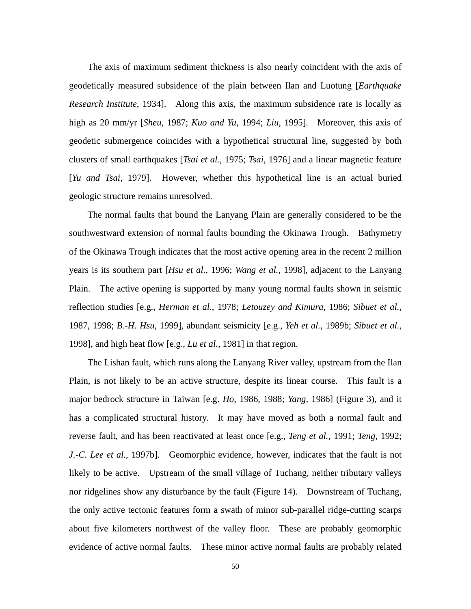The axis of maximum sediment thickness is also nearly coincident with the axis of geodetically measured subsidence of the plain between Ilan and Luotung [*Earthquake Research Institute*, 1934]. Along this axis, the maximum subsidence rate is locally as high as 20 mm/yr [*Sheu*, 1987; *Kuo and Yu*, 1994; *Liu*, 1995]. Moreover, this axis of geodetic submergence coincides with a hypothetical structural line, suggested by both clusters of small earthquakes [*Tsai et al.*, 1975; *Tsai*, 1976] and a linear magnetic feature [*Yu and Tsai*, 1979]. However, whether this hypothetical line is an actual buried geologic structure remains unresolved.

The normal faults that bound the Lanyang Plain are generally considered to be the southwestward extension of normal faults bounding the Okinawa Trough. Bathymetry of the Okinawa Trough indicates that the most active opening area in the recent 2 million years is its southern part [*Hsu et al.*, 1996; *Wang et al.*, 1998], adjacent to the Lanyang Plain. The active opening is supported by many young normal faults shown in seismic reflection studies [e.g., *Herman et al.*, 1978; *Letouzey and Kimura*, 1986; *Sibuet et al.*, 1987, 1998; *B.-H. Hsu*, 1999], abundant seismicity [e.g., *Yeh et al.*, 1989b; *Sibuet et al.*, 1998], and high heat flow [e.g., *Lu et al.*, 1981] in that region.

The Lishan fault, which runs along the Lanyang River valley, upstream from the Ilan Plain, is not likely to be an active structure, despite its linear course. This fault is a major bedrock structure in Taiwan [e.g. *Ho*, 1986, 1988; *Yang*, 1986] (Figure 3), and it has a complicated structural history. It may have moved as both a normal fault and reverse fault, and has been reactivated at least once [e.g., *Teng et al.*, 1991; *Teng*, 1992; *J.-C. Lee et al.*, 1997b]. Geomorphic evidence, however, indicates that the fault is not likely to be active. Upstream of the small village of Tuchang, neither tributary valleys nor ridgelines show any disturbance by the fault (Figure 14). Downstream of Tuchang, the only active tectonic features form a swath of minor sub-parallel ridge-cutting scarps about five kilometers northwest of the valley floor. These are probably geomorphic evidence of active normal faults. These minor active normal faults are probably related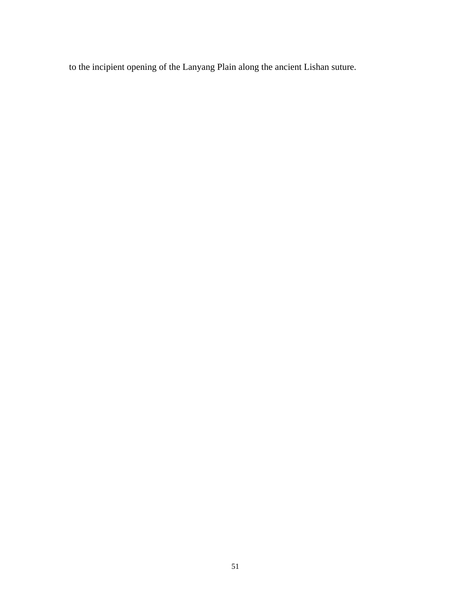to the incipient opening of the Lanyang Plain along the ancient Lishan suture.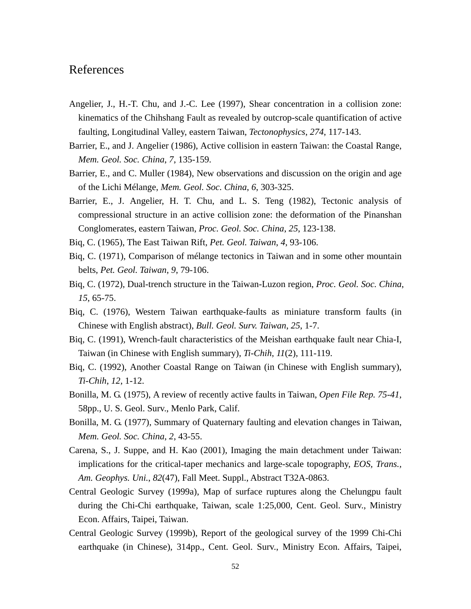## References

- Angelier, J., H.-T. Chu, and J.-C. Lee (1997), Shear concentration in a collision zone: kinematics of the Chihshang Fault as revealed by outcrop-scale quantification of active faulting, Longitudinal Valley, eastern Taiwan, *Tectonophysics*, *274*, 117-143.
- Barrier, E., and J. Angelier (1986), Active collision in eastern Taiwan: the Coastal Range, *Mem. Geol. Soc. China*, *7*, 135-159.
- Barrier, E., and C. Muller (1984), New observations and discussion on the origin and age of the Lichi Mélange, *Mem. Geol. Soc. China*, *6*, 303-325.
- Barrier, E., J. Angelier, H. T. Chu, and L. S. Teng (1982), Tectonic analysis of compressional structure in an active collision zone: the deformation of the Pinanshan Conglomerates, eastern Taiwan, *Proc. Geol. Soc. China*, *25*, 123-138.
- Biq, C. (1965), The East Taiwan Rift, *Pet. Geol. Taiwan*, *4*, 93-106.
- Biq, C. (1971), Comparison of mélange tectonics in Taiwan and in some other mountain belts, *Pet. Geol. Taiwan*, *9*, 79-106.
- Biq, C. (1972), Dual-trench structure in the Taiwan-Luzon region, *Proc. Geol. Soc. China*, *15*, 65-75.
- Biq, C. (1976), Western Taiwan earthquake-faults as miniature transform faults (in Chinese with English abstract), *Bull. Geol. Surv. Taiwan*, *25*, 1-7.
- Biq, C. (1991), Wrench-fault characteristics of the Meishan earthquake fault near Chia-I, Taiwan (in Chinese with English summary), *Ti-Chih*, *11*(2), 111-119.
- Biq, C. (1992), Another Coastal Range on Taiwan (in Chinese with English summary), *Ti-Chih*, *12*, 1-12.
- Bonilla, M. G. (1975), A review of recently active faults in Taiwan, *Open File Rep. 75-41*, 58pp., U. S. Geol. Surv., Menlo Park, Calif.
- Bonilla, M. G. (1977), Summary of Quaternary faulting and elevation changes in Taiwan, *Mem. Geol. Soc. China*, *2*, 43-55.
- Carena, S., J. Suppe, and H. Kao (2001), Imaging the main detachment under Taiwan: implications for the critical-taper mechanics and large-scale topography, *EOS, Trans., Am. Geophys. Uni.*, *82*(47), Fall Meet. Suppl., Abstract T32A-0863.
- Central Geologic Survey (1999a), Map of surface ruptures along the Chelungpu fault during the Chi-Chi earthquake, Taiwan, scale 1:25,000, Cent. Geol. Surv., Ministry Econ. Affairs, Taipei, Taiwan.
- Central Geologic Survey (1999b), Report of the geological survey of the 1999 Chi-Chi earthquake (in Chinese), 314pp., Cent. Geol. Surv., Ministry Econ. Affairs, Taipei,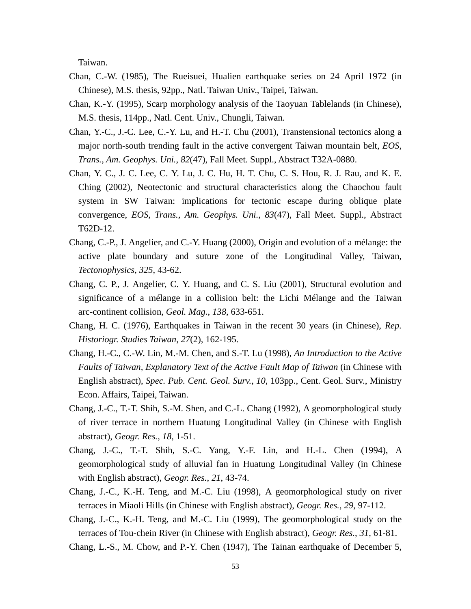Taiwan.

- Chan, C.-W. (1985), The Rueisuei, Hualien earthquake series on 24 April 1972 (in Chinese), M.S. thesis, 92pp., Natl. Taiwan Univ., Taipei, Taiwan.
- Chan, K.-Y. (1995), Scarp morphology analysis of the Taoyuan Tablelands (in Chinese), M.S. thesis, 114pp., Natl. Cent. Univ., Chungli, Taiwan.
- Chan, Y.-C., J.-C. Lee, C.-Y. Lu, and H.-T. Chu (2001), Transtensional tectonics along a major north-south trending fault in the active convergent Taiwan mountain belt, *EOS, Trans., Am. Geophys. Uni.*, *82*(47), Fall Meet. Suppl., Abstract T32A-0880.
- Chan, Y. C., J. C. Lee, C. Y. Lu, J. C. Hu, H. T. Chu, C. S. Hou, R. J. Rau, and K. E. Ching (2002), Neotectonic and structural characteristics along the Chaochou fault system in SW Taiwan: implications for tectonic escape during oblique plate convergence, *EOS, Trans., Am. Geophys. Uni.*, *83*(47), Fall Meet. Suppl., Abstract T62D-12.
- Chang, C.-P., J. Angelier, and C.-Y. Huang (2000), Origin and evolution of a mélange: the active plate boundary and suture zone of the Longitudinal Valley, Taiwan, *Tectonophysics*, *325*, 43-62.
- Chang, C. P., J. Angelier, C. Y. Huang, and C. S. Liu (2001), Structural evolution and significance of a mélange in a collision belt: the Lichi Mélange and the Taiwan arc-continent collision, *Geol. Mag.*, *138*, 633-651.
- Chang, H. C. (1976), Earthquakes in Taiwan in the recent 30 years (in Chinese), *Rep. Historiogr. Studies Taiwan*, *27*(2), 162-195.
- Chang, H.-C., C.-W. Lin, M.-M. Chen, and S.-T. Lu (1998), *An Introduction to the Active Faults of Taiwan, Explanatory Text of the Active Fault Map of Taiwan* (in Chinese with English abstract), *Spec. Pub. Cent. Geol. Surv.*, *10*, 103pp., Cent. Geol. Surv., Ministry Econ. Affairs, Taipei, Taiwan.
- Chang, J.-C., T.-T. Shih, S.-M. Shen, and C.-L. Chang (1992), A geomorphological study of river terrace in northern Huatung Longitudinal Valley (in Chinese with English abstract), *Geogr. Res.*, *18*, 1-51.
- Chang, J.-C., T.-T. Shih, S.-C. Yang, Y.-F. Lin, and H.-L. Chen (1994), A geomorphological study of alluvial fan in Huatung Longitudinal Valley (in Chinese with English abstract), *Geogr. Res.*, *21*, 43-74.
- Chang, J.-C., K.-H. Teng, and M.-C. Liu (1998), A geomorphological study on river terraces in Miaoli Hills (in Chinese with English abstract), *Geogr. Res.*, *29*, 97-112.
- Chang, J.-C., K.-H. Teng, and M.-C. Liu (1999), The geomorphological study on the terraces of Tou-chein River (in Chinese with English abstract), *Geogr. Res.*, *31*, 61-81.
- Chang, L.-S., M. Chow, and P.-Y. Chen (1947), The Tainan earthquake of December 5,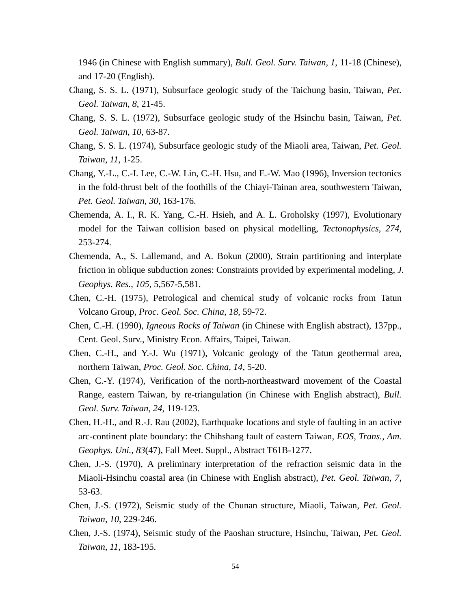1946 (in Chinese with English summary), *Bull. Geol. Surv. Taiwan*, *1*, 11-18 (Chinese), and 17-20 (English).

- Chang, S. S. L. (1971), Subsurface geologic study of the Taichung basin, Taiwan, *Pet. Geol. Taiwan*, *8*, 21-45.
- Chang, S. S. L. (1972), Subsurface geologic study of the Hsinchu basin, Taiwan, *Pet. Geol. Taiwan*, *10*, 63-87.
- Chang, S. S. L. (1974), Subsurface geologic study of the Miaoli area, Taiwan, *Pet. Geol. Taiwan*, *11*, 1-25.
- Chang, Y.-L., C.-I. Lee, C.-W. Lin, C.-H. Hsu, and E.-W. Mao (1996), Inversion tectonics in the fold-thrust belt of the foothills of the Chiayi-Tainan area, southwestern Taiwan, *Pet. Geol. Taiwan*, *30*, 163-176.
- Chemenda, A. I., R. K. Yang, C.-H. Hsieh, and A. L. Groholsky (1997), Evolutionary model for the Taiwan collision based on physical modelling, *Tectonophysics*, *274*, 253-274.
- Chemenda, A., S. Lallemand, and A. Bokun (2000), Strain partitioning and interplate friction in oblique subduction zones: Constraints provided by experimental modeling, *J. Geophys. Res.*, *105*, 5,567-5,581.
- Chen, C.-H. (1975), Petrological and chemical study of volcanic rocks from Tatun Volcano Group, *Proc. Geol. Soc. China*, *18*, 59-72.
- Chen, C.-H. (1990), *Igneous Rocks of Taiwan* (in Chinese with English abstract), 137pp., Cent. Geol. Surv., Ministry Econ. Affairs, Taipei, Taiwan.
- Chen, C.-H., and Y.-J. Wu (1971), Volcanic geology of the Tatun geothermal area, northern Taiwan, *Proc. Geol. Soc. China*, *14*, 5-20.
- Chen, C.-Y. (1974), Verification of the north-northeastward movement of the Coastal Range, eastern Taiwan, by re-triangulation (in Chinese with English abstract), *Bull. Geol. Surv. Taiwan*, *24*, 119-123.
- Chen, H.-H., and R.-J. Rau (2002), Earthquake locations and style of faulting in an active arc-continent plate boundary: the Chihshang fault of eastern Taiwan, *EOS, Trans., Am. Geophys. Uni.*, *83*(47), Fall Meet. Suppl., Abstract T61B-1277.
- Chen, J.-S. (1970), A preliminary interpretation of the refraction seismic data in the Miaoli-Hsinchu coastal area (in Chinese with English abstract), *Pet. Geol. Taiwan*, *7*, 53-63.
- Chen, J.-S. (1972), Seismic study of the Chunan structure, Miaoli, Taiwan, *Pet. Geol. Taiwan*, *10*, 229-246.
- Chen, J.-S. (1974), Seismic study of the Paoshan structure, Hsinchu, Taiwan, *Pet. Geol. Taiwan*, *11*, 183-195.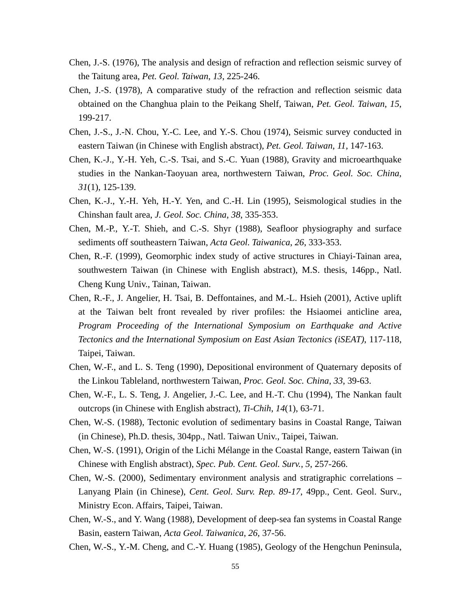- Chen, J.-S. (1976), The analysis and design of refraction and reflection seismic survey of the Taitung area, *Pet. Geol. Taiwan*, *13*, 225-246.
- Chen, J.-S. (1978), A comparative study of the refraction and reflection seismic data obtained on the Changhua plain to the Peikang Shelf, Taiwan, *Pet. Geol. Taiwan*, *15*, 199-217.
- Chen, J.-S., J.-N. Chou, Y.-C. Lee, and Y.-S. Chou (1974), Seismic survey conducted in eastern Taiwan (in Chinese with English abstract), *Pet. Geol. Taiwan*, *11*, 147-163.
- Chen, K.-J., Y.-H. Yeh, C.-S. Tsai, and S.-C. Yuan (1988), Gravity and microearthquake studies in the Nankan-Taoyuan area, northwestern Taiwan, *Proc. Geol. Soc. China*, *31*(1), 125-139.
- Chen, K.-J., Y.-H. Yeh, H.-Y. Yen, and C.-H. Lin (1995), Seismological studies in the Chinshan fault area, *J. Geol. Soc. China*, *38*, 335-353.
- Chen, M.-P., Y.-T. Shieh, and C.-S. Shyr (1988), Seafloor physiography and surface sediments off southeastern Taiwan, *Acta Geol. Taiwanica*, *26*, 333-353.
- Chen, R.-F. (1999), Geomorphic index study of active structures in Chiayi-Tainan area, southwestern Taiwan (in Chinese with English abstract), M.S. thesis, 146pp., Natl. Cheng Kung Univ., Tainan, Taiwan.
- Chen, R.-F., J. Angelier, H. Tsai, B. Deffontaines, and M.-L. Hsieh (2001), Active uplift at the Taiwan belt front revealed by river profiles: the Hsiaomei anticline area, *Program Proceeding of the International Symposium on Earthquake and Active Tectonics and the International Symposium on East Asian Tectonics (iSEAT)*, 117-118, Taipei, Taiwan.
- Chen, W.-F., and L. S. Teng (1990), Depositional environment of Quaternary deposits of the Linkou Tableland, northwestern Taiwan, *Proc. Geol. Soc. China*, *33*, 39-63.
- Chen, W.-F., L. S. Teng, J. Angelier, J.-C. Lee, and H.-T. Chu (1994), The Nankan fault outcrops (in Chinese with English abstract), *Ti-Chih*, *14*(1), 63-71.
- Chen, W.-S. (1988), Tectonic evolution of sedimentary basins in Coastal Range, Taiwan (in Chinese), Ph.D. thesis, 304pp., Natl. Taiwan Univ., Taipei, Taiwan.
- Chen, W.-S. (1991), Origin of the Lichi Mélange in the Coastal Range, eastern Taiwan (in Chinese with English abstract), *Spec. Pub. Cent. Geol. Surv.*, *5*, 257-266.
- Chen, W.-S. (2000), Sedimentary environment analysis and stratigraphic correlations Lanyang Plain (in Chinese), *Cent. Geol. Surv. Rep. 89-17*, 49pp., Cent. Geol. Surv., Ministry Econ. Affairs, Taipei, Taiwan.
- Chen, W.-S., and Y. Wang (1988), Development of deep-sea fan systems in Coastal Range Basin, eastern Taiwan, *Acta Geol. Taiwanica*, *26*, 37-56.
- Chen, W.-S., Y.-M. Cheng, and C.-Y. Huang (1985), Geology of the Hengchun Peninsula,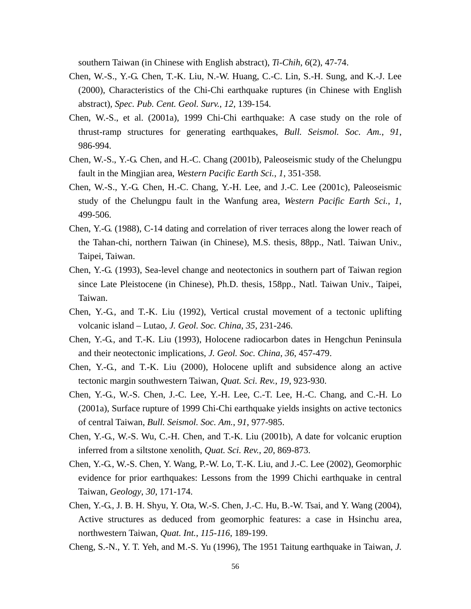southern Taiwan (in Chinese with English abstract), *Ti-Chih*, *6*(2), 47-74.

- Chen, W.-S., Y.-G. Chen, T.-K. Liu, N.-W. Huang, C.-C. Lin, S.-H. Sung, and K.-J. Lee (2000), Characteristics of the Chi-Chi earthquake ruptures (in Chinese with English abstract), *Spec. Pub. Cent. Geol. Surv.*, *12*, 139-154.
- Chen, W.-S., et al. (2001a), 1999 Chi-Chi earthquake: A case study on the role of thrust-ramp structures for generating earthquakes, *Bull. Seismol. Soc. Am.*, *91*, 986-994.
- Chen, W.-S., Y.-G. Chen, and H.-C. Chang (2001b), Paleoseismic study of the Chelungpu fault in the Mingjian area, *Western Pacific Earth Sci.*, *1*, 351-358.
- Chen, W.-S., Y.-G. Chen, H.-C. Chang, Y.-H. Lee, and J.-C. Lee (2001c), Paleoseismic study of the Chelungpu fault in the Wanfung area, *Western Pacific Earth Sci.*, *1*, 499-506.
- Chen, Y.-G. (1988), C-14 dating and correlation of river terraces along the lower reach of the Tahan-chi, northern Taiwan (in Chinese), M.S. thesis, 88pp., Natl. Taiwan Univ., Taipei, Taiwan.
- Chen, Y.-G. (1993), Sea-level change and neotectonics in southern part of Taiwan region since Late Pleistocene (in Chinese), Ph.D. thesis, 158pp., Natl. Taiwan Univ., Taipei, Taiwan.
- Chen, Y.-G., and T.-K. Liu (1992), Vertical crustal movement of a tectonic uplifting volcanic island – Lutao, *J. Geol. Soc. China*, *35*, 231-246.
- Chen, Y.-G., and T.-K. Liu (1993), Holocene radiocarbon dates in Hengchun Peninsula and their neotectonic implications, *J. Geol. Soc. China*, *36*, 457-479.
- Chen, Y.-G., and T.-K. Liu (2000), Holocene uplift and subsidence along an active tectonic margin southwestern Taiwan, *Quat. Sci. Rev.*, *19*, 923-930.
- Chen, Y.-G., W.-S. Chen, J.-C. Lee, Y.-H. Lee, C.-T. Lee, H.-C. Chang, and C.-H. Lo (2001a), Surface rupture of 1999 Chi-Chi earthquake yields insights on active tectonics of central Taiwan, *Bull. Seismol. Soc. Am.*, *91*, 977-985.
- Chen, Y.-G., W.-S. Wu, C.-H. Chen, and T.-K. Liu (2001b), A date for volcanic eruption inferred from a siltstone xenolith, *Quat. Sci. Rev.*, *20*, 869-873.
- Chen, Y.-G., W.-S. Chen, Y. Wang, P.-W. Lo, T.-K. Liu, and J.-C. Lee (2002), Geomorphic evidence for prior earthquakes: Lessons from the 1999 Chichi earthquake in central Taiwan, *Geology*, *30*, 171-174.
- Chen, Y.-G., J. B. H. Shyu, Y. Ota, W.-S. Chen, J.-C. Hu, B.-W. Tsai, and Y. Wang (2004), Active structures as deduced from geomorphic features: a case in Hsinchu area, northwestern Taiwan, *Quat. Int.*, *115-116*, 189-199.
- Cheng, S.-N., Y. T. Yeh, and M.-S. Yu (1996), The 1951 Taitung earthquake in Taiwan, *J.*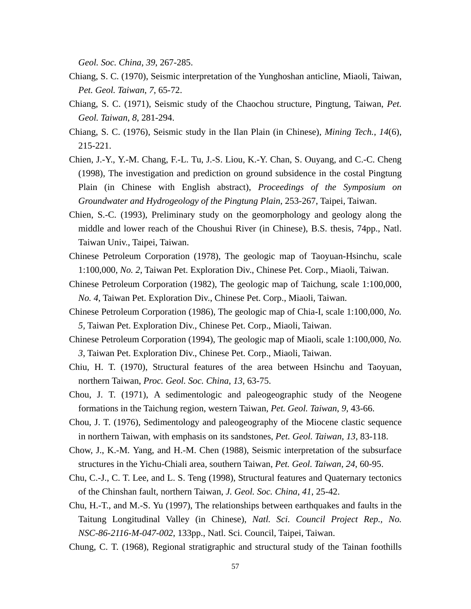*Geol. Soc. China*, *39*, 267-285.

- Chiang, S. C. (1970), Seismic interpretation of the Yunghoshan anticline, Miaoli, Taiwan, *Pet. Geol. Taiwan*, *7*, 65-72.
- Chiang, S. C. (1971), Seismic study of the Chaochou structure, Pingtung, Taiwan, *Pet. Geol. Taiwan*, *8*, 281-294.
- Chiang, S. C. (1976), Seismic study in the Ilan Plain (in Chinese), *Mining Tech.*, *14*(6), 215-221.
- Chien, J.-Y., Y.-M. Chang, F.-L. Tu, J.-S. Liou, K.-Y. Chan, S. Ouyang, and C.-C. Cheng (1998), The investigation and prediction on ground subsidence in the costal Pingtung Plain (in Chinese with English abstract), *Proceedings of the Symposium on Groundwater and Hydrogeology of the Pingtung Plain*, 253-267, Taipei, Taiwan.
- Chien, S.-C. (1993), Preliminary study on the geomorphology and geology along the middle and lower reach of the Choushui River (in Chinese), B.S. thesis, 74pp., Natl. Taiwan Univ., Taipei, Taiwan.
- Chinese Petroleum Corporation (1978), The geologic map of Taoyuan-Hsinchu, scale 1:100,000, *No. 2*, Taiwan Pet. Exploration Div., Chinese Pet. Corp., Miaoli, Taiwan.
- Chinese Petroleum Corporation (1982), The geologic map of Taichung, scale 1:100,000, *No. 4*, Taiwan Pet. Exploration Div., Chinese Pet. Corp., Miaoli, Taiwan.
- Chinese Petroleum Corporation (1986), The geologic map of Chia-I, scale 1:100,000, *No. 5,* Taiwan Pet. Exploration Div., Chinese Pet. Corp., Miaoli, Taiwan.
- Chinese Petroleum Corporation (1994), The geologic map of Miaoli, scale 1:100,000, *No. 3*, Taiwan Pet. Exploration Div., Chinese Pet. Corp., Miaoli, Taiwan.
- Chiu, H. T. (1970), Structural features of the area between Hsinchu and Taoyuan, northern Taiwan, *Proc. Geol. Soc. China*, *13*, 63-75.
- Chou, J. T. (1971), A sedimentologic and paleogeographic study of the Neogene formations in the Taichung region, western Taiwan, *Pet. Geol. Taiwan*, *9*, 43-66.
- Chou, J. T. (1976), Sedimentology and paleogeography of the Miocene clastic sequence in northern Taiwan, with emphasis on its sandstones, *Pet. Geol. Taiwan*, *13*, 83-118.
- Chow, J., K.-M. Yang, and H.-M. Chen (1988), Seismic interpretation of the subsurface structures in the Yichu-Chiali area, southern Taiwan, *Pet. Geol. Taiwan*, *24*, 60-95.
- Chu, C.-J., C. T. Lee, and L. S. Teng (1998), Structural features and Quaternary tectonics of the Chinshan fault, northern Taiwan, *J. Geol. Soc. China*, *41*, 25-42.
- Chu, H.-T., and M.-S. Yu (1997), The relationships between earthquakes and faults in the Taitung Longitudinal Valley (in Chinese), *Natl. Sci. Council Project Rep., No. NSC-86-2116-M-047-002*, 133pp., Natl. Sci. Council, Taipei, Taiwan.
- Chung, C. T. (1968), Regional stratigraphic and structural study of the Tainan foothills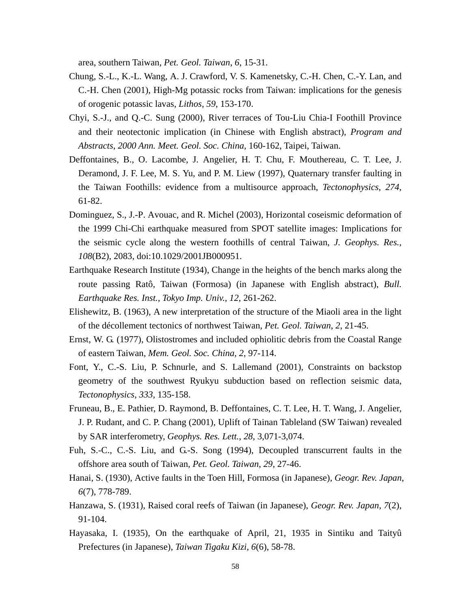area, southern Taiwan, *Pet. Geol. Taiwan*, *6*, 15-31.

- Chung, S.-L., K.-L. Wang, A. J. Crawford, V. S. Kamenetsky, C.-H. Chen, C.-Y. Lan, and C.-H. Chen (2001), High-Mg potassic rocks from Taiwan: implications for the genesis of orogenic potassic lavas, *Lithos*, *59*, 153-170.
- Chyi, S.-J., and Q.-C. Sung (2000), River terraces of Tou-Liu Chia-I Foothill Province and their neotectonic implication (in Chinese with English abstract), *Program and Abstracts, 2000 Ann. Meet. Geol. Soc. China*, 160-162, Taipei, Taiwan.
- Deffontaines, B., O. Lacombe, J. Angelier, H. T. Chu, F. Mouthereau, C. T. Lee, J. Deramond, J. F. Lee, M. S. Yu, and P. M. Liew (1997), Quaternary transfer faulting in the Taiwan Foothills: evidence from a multisource approach, *Tectonophysics*, *274*, 61-82.
- Dominguez, S., J.-P. Avouac, and R. Michel (2003), Horizontal coseismic deformation of the 1999 Chi-Chi earthquake measured from SPOT satellite images: Implications for the seismic cycle along the western foothills of central Taiwan, *J. Geophys. Res.*, *108*(B2), 2083, doi:10.1029/2001JB000951.
- Earthquake Research Institute (1934), Change in the heights of the bench marks along the route passing Ratô, Taiwan (Formosa) (in Japanese with English abstract), *Bull. Earthquake Res. Inst., Tokyo Imp. Univ.*, *12*, 261-262.
- Elishewitz, B. (1963), A new interpretation of the structure of the Miaoli area in the light of the décollement tectonics of northwest Taiwan, *Pet. Geol. Taiwan*, *2*, 21-45.
- Ernst, W. G. (1977), Olistostromes and included ophiolitic debris from the Coastal Range of eastern Taiwan, *Mem. Geol. Soc. China*, *2*, 97-114.
- Font, Y., C.-S. Liu, P. Schnurle, and S. Lallemand (2001), Constraints on backstop geometry of the southwest Ryukyu subduction based on reflection seismic data, *Tectonophysics*, *333*, 135-158.
- Fruneau, B., E. Pathier, D. Raymond, B. Deffontaines, C. T. Lee, H. T. Wang, J. Angelier, J. P. Rudant, and C. P. Chang (2001), Uplift of Tainan Tableland (SW Taiwan) revealed by SAR interferometry, *Geophys. Res. Lett.*, *28*, 3,071-3,074.
- Fuh, S.-C., C.-S. Liu, and G.-S. Song (1994), Decoupled transcurrent faults in the offshore area south of Taiwan, *Pet. Geol. Taiwan*, *29*, 27-46.
- Hanai, S. (1930), Active faults in the Toen Hill, Formosa (in Japanese), *Geogr. Rev. Japan*, *6*(7), 778-789.
- Hanzawa, S. (1931), Raised coral reefs of Taiwan (in Japanese), *Geogr. Rev. Japan*, *7*(2), 91-104.
- Hayasaka, I. (1935), On the earthquake of April, 21, 1935 in Sintiku and Taityû Prefectures (in Japanese), *Taiwan Tigaku Kizi*, *6*(6), 58-78.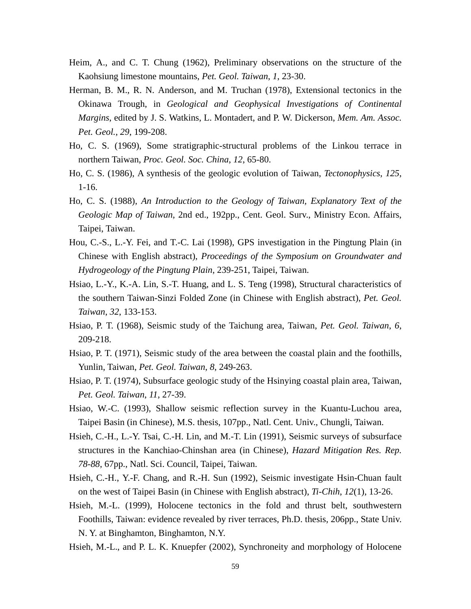- Heim, A., and C. T. Chung (1962), Preliminary observations on the structure of the Kaohsiung limestone mountains, *Pet. Geol. Taiwan*, *1*, 23-30.
- Herman, B. M., R. N. Anderson, and M. Truchan (1978), Extensional tectonics in the Okinawa Trough, in *Geological and Geophysical Investigations of Continental Margins*, edited by J. S. Watkins, L. Montadert, and P. W. Dickerson, *Mem. Am. Assoc. Pet. Geol.*, *29*, 199-208.
- Ho, C. S. (1969), Some stratigraphic-structural problems of the Linkou terrace in northern Taiwan, *Proc. Geol. Soc. China*, *12*, 65-80.
- Ho, C. S. (1986), A synthesis of the geologic evolution of Taiwan, *Tectonophysics*, *125*, 1-16.
- Ho, C. S. (1988), *An Introduction to the Geology of Taiwan, Explanatory Text of the Geologic Map of Taiwan*, 2nd ed., 192pp., Cent. Geol. Surv., Ministry Econ. Affairs, Taipei, Taiwan.
- Hou, C.-S., L.-Y. Fei, and T.-C. Lai (1998), GPS investigation in the Pingtung Plain (in Chinese with English abstract), *Proceedings of the Symposium on Groundwater and Hydrogeology of the Pingtung Plain*, 239-251, Taipei, Taiwan.
- Hsiao, L.-Y., K.-A. Lin, S.-T. Huang, and L. S. Teng (1998), Structural characteristics of the southern Taiwan-Sinzi Folded Zone (in Chinese with English abstract), *Pet. Geol. Taiwan*, *32*, 133-153.
- Hsiao, P. T. (1968), Seismic study of the Taichung area, Taiwan, *Pet. Geol. Taiwan*, *6*, 209-218.
- Hsiao, P. T. (1971), Seismic study of the area between the coastal plain and the foothills, Yunlin, Taiwan, *Pet. Geol. Taiwan*, *8*, 249-263.
- Hsiao, P. T. (1974), Subsurface geologic study of the Hsinying coastal plain area, Taiwan, *Pet. Geol. Taiwan*, *11*, 27-39.
- Hsiao, W.-C. (1993), Shallow seismic reflection survey in the Kuantu-Luchou area, Taipei Basin (in Chinese), M.S. thesis, 107pp., Natl. Cent. Univ., Chungli, Taiwan.
- Hsieh, C.-H., L.-Y. Tsai, C.-H. Lin, and M.-T. Lin (1991), Seismic surveys of subsurface structures in the Kanchiao-Chinshan area (in Chinese), *Hazard Mitigation Res. Rep. 78-88*, 67pp., Natl. Sci. Council, Taipei, Taiwan.
- Hsieh, C.-H., Y.-F. Chang, and R.-H. Sun (1992), Seismic investigate Hsin-Chuan fault on the west of Taipei Basin (in Chinese with English abstract), *Ti-Chih*, *12*(1), 13-26.
- Hsieh, M.-L. (1999), Holocene tectonics in the fold and thrust belt, southwestern Foothills, Taiwan: evidence revealed by river terraces, Ph.D. thesis, 206pp., State Univ. N. Y. at Binghamton, Binghamton, N.Y.
- Hsieh, M.-L., and P. L. K. Knuepfer (2002), Synchroneity and morphology of Holocene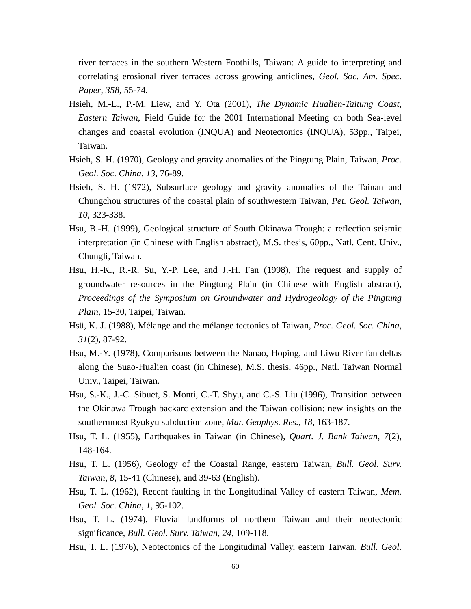river terraces in the southern Western Foothills, Taiwan: A guide to interpreting and correlating erosional river terraces across growing anticlines, *Geol. Soc. Am. Spec. Paper*, *358*, 55-74.

- Hsieh, M.-L., P.-M. Liew, and Y. Ota (2001), *The Dynamic Hualien-Taitung Coast, Eastern Taiwan*, Field Guide for the 2001 International Meeting on both Sea-level changes and coastal evolution (INQUA) and Neotectonics (INQUA), 53pp., Taipei, Taiwan.
- Hsieh, S. H. (1970), Geology and gravity anomalies of the Pingtung Plain, Taiwan, *Proc. Geol. Soc. China*, *13*, 76-89.
- Hsieh, S. H. (1972), Subsurface geology and gravity anomalies of the Tainan and Chungchou structures of the coastal plain of southwestern Taiwan, *Pet. Geol. Taiwan*, *10*, 323-338.
- Hsu, B.-H. (1999), Geological structure of South Okinawa Trough: a reflection seismic interpretation (in Chinese with English abstract), M.S. thesis, 60pp., Natl. Cent. Univ., Chungli, Taiwan.
- Hsu, H.-K., R.-R. Su, Y.-P. Lee, and J.-H. Fan (1998), The request and supply of groundwater resources in the Pingtung Plain (in Chinese with English abstract), *Proceedings of the Symposium on Groundwater and Hydrogeology of the Pingtung Plain*, 15-30, Taipei, Taiwan.
- Hsü, K. J. (1988), Mélange and the mélange tectonics of Taiwan, *Proc. Geol. Soc. China*, *31*(2), 87-92.
- Hsu, M.-Y. (1978), Comparisons between the Nanao, Hoping, and Liwu River fan deltas along the Suao-Hualien coast (in Chinese), M.S. thesis, 46pp., Natl. Taiwan Normal Univ., Taipei, Taiwan.
- Hsu, S.-K., J.-C. Sibuet, S. Monti, C.-T. Shyu, and C.-S. Liu (1996), Transition between the Okinawa Trough backarc extension and the Taiwan collision: new insights on the southernmost Ryukyu subduction zone, *Mar. Geophys. Res.*, *18*, 163-187.
- Hsu, T. L. (1955), Earthquakes in Taiwan (in Chinese), *Quart. J. Bank Taiwan*, *7*(2), 148-164.
- Hsu, T. L. (1956), Geology of the Coastal Range, eastern Taiwan, *Bull. Geol. Surv. Taiwan*, *8*, 15-41 (Chinese), and 39-63 (English).
- Hsu, T. L. (1962), Recent faulting in the Longitudinal Valley of eastern Taiwan, *Mem. Geol. Soc. China*, *1*, 95-102.
- Hsu, T. L. (1974), Fluvial landforms of northern Taiwan and their neotectonic significance, *Bull. Geol. Surv. Taiwan*, *24*, 109-118.
- Hsu, T. L. (1976), Neotectonics of the Longitudinal Valley, eastern Taiwan, *Bull. Geol.*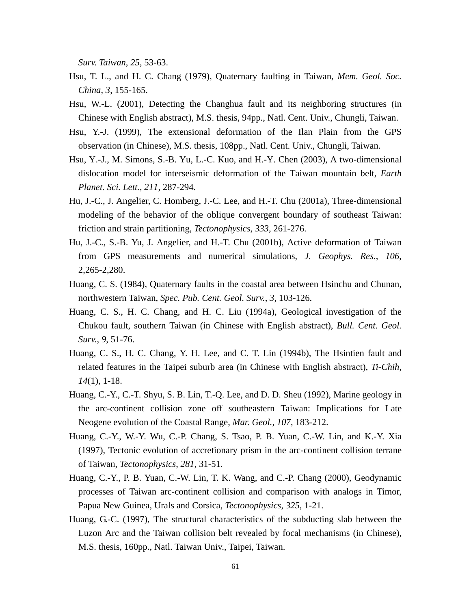*Surv. Taiwan*, *25*, 53-63.

- Hsu, T. L., and H. C. Chang (1979), Quaternary faulting in Taiwan, *Mem. Geol. Soc. China*, *3*, 155-165.
- Hsu, W.-L. (2001), Detecting the Changhua fault and its neighboring structures (in Chinese with English abstract), M.S. thesis, 94pp., Natl. Cent. Univ., Chungli, Taiwan.
- Hsu, Y.-J. (1999), The extensional deformation of the Ilan Plain from the GPS observation (in Chinese), M.S. thesis, 108pp., Natl. Cent. Univ., Chungli, Taiwan.
- Hsu, Y.-J., M. Simons, S.-B. Yu, L.-C. Kuo, and H.-Y. Chen (2003), A two-dimensional dislocation model for interseismic deformation of the Taiwan mountain belt, *Earth Planet. Sci. Lett.*, *211*, 287-294.
- Hu, J.-C., J. Angelier, C. Homberg, J.-C. Lee, and H.-T. Chu (2001a), Three-dimensional modeling of the behavior of the oblique convergent boundary of southeast Taiwan: friction and strain partitioning, *Tectonophysics*, *333*, 261-276.
- Hu, J.-C., S.-B. Yu, J. Angelier, and H.-T. Chu (2001b), Active deformation of Taiwan from GPS measurements and numerical simulations, *J. Geophys. Res.*, *106*, 2,265-2,280.
- Huang, C. S. (1984), Quaternary faults in the coastal area between Hsinchu and Chunan, northwestern Taiwan, *Spec. Pub. Cent. Geol. Surv.*, *3*, 103-126.
- Huang, C. S., H. C. Chang, and H. C. Liu (1994a), Geological investigation of the Chukou fault, southern Taiwan (in Chinese with English abstract), *Bull. Cent. Geol. Surv.*, *9*, 51-76.
- Huang, C. S., H. C. Chang, Y. H. Lee, and C. T. Lin (1994b), The Hsintien fault and related features in the Taipei suburb area (in Chinese with English abstract), *Ti-Chih*, *14*(1), 1-18.
- Huang, C.-Y., C.-T. Shyu, S. B. Lin, T.-Q. Lee, and D. D. Sheu (1992), Marine geology in the arc-continent collision zone off southeastern Taiwan: Implications for Late Neogene evolution of the Coastal Range, *Mar. Geol.*, *107*, 183-212.
- Huang, C.-Y., W.-Y. Wu, C.-P. Chang, S. Tsao, P. B. Yuan, C.-W. Lin, and K.-Y. Xia (1997), Tectonic evolution of accretionary prism in the arc-continent collision terrane of Taiwan, *Tectonophysics*, *281*, 31-51.
- Huang, C.-Y., P. B. Yuan, C.-W. Lin, T. K. Wang, and C.-P. Chang (2000), Geodynamic processes of Taiwan arc-continent collision and comparison with analogs in Timor, Papua New Guinea, Urals and Corsica, *Tectonophysics*, *325*, 1-21.
- Huang, G.-C. (1997), The structural characteristics of the subducting slab between the Luzon Arc and the Taiwan collision belt revealed by focal mechanisms (in Chinese), M.S. thesis, 160pp., Natl. Taiwan Univ., Taipei, Taiwan.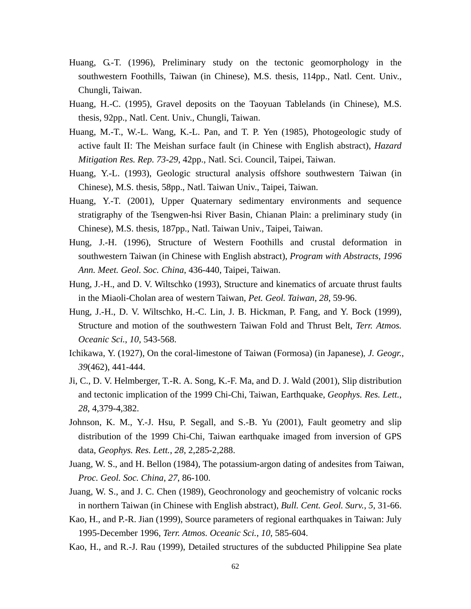- Huang, G.-T. (1996), Preliminary study on the tectonic geomorphology in the southwestern Foothills, Taiwan (in Chinese), M.S. thesis, 114pp., Natl. Cent. Univ., Chungli, Taiwan.
- Huang, H.-C. (1995), Gravel deposits on the Taoyuan Tablelands (in Chinese), M.S. thesis, 92pp., Natl. Cent. Univ., Chungli, Taiwan.
- Huang, M.-T., W.-L. Wang, K.-L. Pan, and T. P. Yen (1985), Photogeologic study of active fault II: The Meishan surface fault (in Chinese with English abstract), *Hazard Mitigation Res. Rep. 73-29*, 42pp., Natl. Sci. Council, Taipei, Taiwan.
- Huang, Y.-L. (1993), Geologic structural analysis offshore southwestern Taiwan (in Chinese), M.S. thesis, 58pp., Natl. Taiwan Univ., Taipei, Taiwan.
- Huang, Y.-T. (2001), Upper Quaternary sedimentary environments and sequence stratigraphy of the Tsengwen-hsi River Basin, Chianan Plain: a preliminary study (in Chinese), M.S. thesis, 187pp., Natl. Taiwan Univ., Taipei, Taiwan.
- Hung, J.-H. (1996), Structure of Western Foothills and crustal deformation in southwestern Taiwan (in Chinese with English abstract), *Program with Abstracts, 1996 Ann. Meet. Geol. Soc. China*, 436-440, Taipei, Taiwan.
- Hung, J.-H., and D. V. Wiltschko (1993), Structure and kinematics of arcuate thrust faults in the Miaoli-Cholan area of western Taiwan, *Pet. Geol. Taiwan*, *28*, 59-96.
- Hung, J.-H., D. V. Wiltschko, H.-C. Lin, J. B. Hickman, P. Fang, and Y. Bock (1999), Structure and motion of the southwestern Taiwan Fold and Thrust Belt, *Terr. Atmos. Oceanic Sci.*, *10*, 543-568.
- Ichikawa, Y. (1927), On the coral-limestone of Taiwan (Formosa) (in Japanese), *J. Geogr.*, *39*(462), 441-444.
- Ji, C., D. V. Helmberger, T.-R. A. Song, K.-F. Ma, and D. J. Wald (2001), Slip distribution and tectonic implication of the 1999 Chi-Chi, Taiwan, Earthquake, *Geophys. Res. Lett.*, *28*, 4,379-4,382.
- Johnson, K. M., Y.-J. Hsu, P. Segall, and S.-B. Yu (2001), Fault geometry and slip distribution of the 1999 Chi-Chi, Taiwan earthquake imaged from inversion of GPS data, *Geophys. Res. Lett.*, *28*, 2,285-2,288.
- Juang, W. S., and H. Bellon (1984), The potassium-argon dating of andesites from Taiwan, *Proc. Geol. Soc. China*, *27*, 86-100.
- Juang, W. S., and J. C. Chen (1989), Geochronology and geochemistry of volcanic rocks in northern Taiwan (in Chinese with English abstract), *Bull. Cent. Geol. Surv.*, *5*, 31-66.
- Kao, H., and P.-R. Jian (1999), Source parameters of regional earthquakes in Taiwan: July 1995-December 1996, *Terr. Atmos. Oceanic Sci.*, *10*, 585-604.
- Kao, H., and R.-J. Rau (1999), Detailed structures of the subducted Philippine Sea plate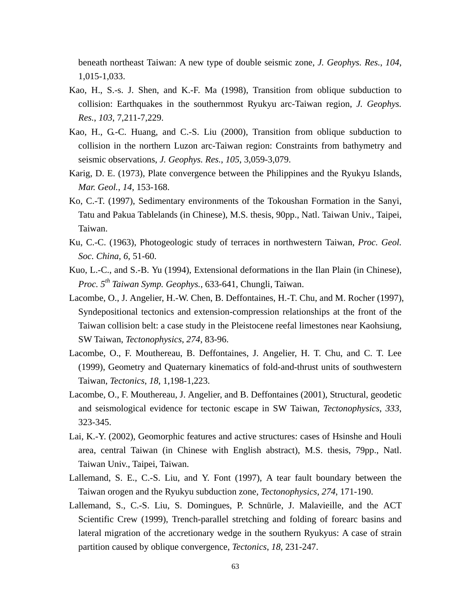beneath northeast Taiwan: A new type of double seismic zone, *J. Geophys. Res.*, *104*, 1,015-1,033.

- Kao, H., S.-s. J. Shen, and K.-F. Ma (1998), Transition from oblique subduction to collision: Earthquakes in the southernmost Ryukyu arc-Taiwan region, *J. Geophys. Res.*, *103*, 7,211-7,229.
- Kao, H., G.-C. Huang, and C.-S. Liu (2000), Transition from oblique subduction to collision in the northern Luzon arc-Taiwan region: Constraints from bathymetry and seismic observations, *J. Geophys. Res.*, *105*, 3,059-3,079.
- Karig, D. E. (1973), Plate convergence between the Philippines and the Ryukyu Islands, *Mar. Geol.*, *14*, 153-168.
- Ko, C.-T. (1997), Sedimentary environments of the Tokoushan Formation in the Sanyi, Tatu and Pakua Tablelands (in Chinese), M.S. thesis, 90pp., Natl. Taiwan Univ., Taipei, Taiwan.
- Ku, C.-C. (1963), Photogeologic study of terraces in northwestern Taiwan, *Proc. Geol. Soc. China*, *6*, 51-60.
- Kuo, L.-C., and S.-B. Yu (1994), Extensional deformations in the Ilan Plain (in Chinese), *Proc. 5th Taiwan Symp. Geophys.*, 633-641, Chungli, Taiwan.
- Lacombe, O., J. Angelier, H.-W. Chen, B. Deffontaines, H.-T. Chu, and M. Rocher (1997), Syndepositional tectonics and extension-compression relationships at the front of the Taiwan collision belt: a case study in the Pleistocene reefal limestones near Kaohsiung, SW Taiwan, *Tectonophysics*, *274*, 83-96.
- Lacombe, O., F. Mouthereau, B. Deffontaines, J. Angelier, H. T. Chu, and C. T. Lee (1999), Geometry and Quaternary kinematics of fold-and-thrust units of southwestern Taiwan, *Tectonics*, *18*, 1,198-1,223.
- Lacombe, O., F. Mouthereau, J. Angelier, and B. Deffontaines (2001), Structural, geodetic and seismological evidence for tectonic escape in SW Taiwan, *Tectonophysics*, *333*, 323-345.
- Lai, K.-Y. (2002), Geomorphic features and active structures: cases of Hsinshe and Houli area, central Taiwan (in Chinese with English abstract), M.S. thesis, 79pp., Natl. Taiwan Univ., Taipei, Taiwan.
- Lallemand, S. E., C.-S. Liu, and Y. Font (1997), A tear fault boundary between the Taiwan orogen and the Ryukyu subduction zone, *Tectonophysics*, *274*, 171-190.
- Lallemand, S., C.-S. Liu, S. Domingues, P. Schnürle, J. Malavieille, and the ACT Scientific Crew (1999), Trench-parallel stretching and folding of forearc basins and lateral migration of the accretionary wedge in the southern Ryukyus: A case of strain partition caused by oblique convergence, *Tectonics*, *18*, 231-247.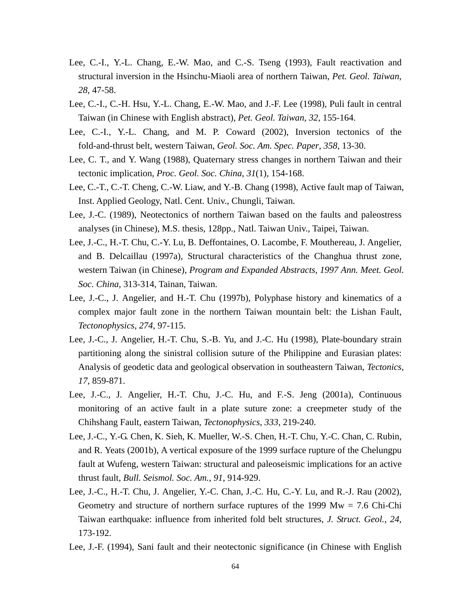- Lee, C.-I., Y.-L. Chang, E.-W. Mao, and C.-S. Tseng (1993), Fault reactivation and structural inversion in the Hsinchu-Miaoli area of northern Taiwan, *Pet. Geol. Taiwan*, *28*, 47-58.
- Lee, C.-I., C.-H. Hsu, Y.-L. Chang, E.-W. Mao, and J.-F. Lee (1998), Puli fault in central Taiwan (in Chinese with English abstract), *Pet. Geol. Taiwan*, *32*, 155-164.
- Lee, C.-I., Y.-L. Chang, and M. P. Coward (2002), Inversion tectonics of the fold-and-thrust belt, western Taiwan, *Geol. Soc. Am. Spec. Paper*, *358*, 13-30.
- Lee, C. T., and Y. Wang (1988), Quaternary stress changes in northern Taiwan and their tectonic implication, *Proc. Geol. Soc. China*, *31*(1), 154-168.
- Lee, C.-T., C.-T. Cheng, C.-W. Liaw, and Y.-B. Chang (1998), Active fault map of Taiwan, Inst. Applied Geology, Natl. Cent. Univ., Chungli, Taiwan.
- Lee, J.-C. (1989), Neotectonics of northern Taiwan based on the faults and paleostress analyses (in Chinese), M.S. thesis, 128pp., Natl. Taiwan Univ., Taipei, Taiwan.
- Lee, J.-C., H.-T. Chu, C.-Y. Lu, B. Deffontaines, O. Lacombe, F. Mouthereau, J. Angelier, and B. Delcaillau (1997a), Structural characteristics of the Changhua thrust zone, western Taiwan (in Chinese), *Program and Expanded Abstracts, 1997 Ann. Meet. Geol. Soc. China*, 313-314, Tainan, Taiwan.
- Lee, J.-C., J. Angelier, and H.-T. Chu (1997b), Polyphase history and kinematics of a complex major fault zone in the northern Taiwan mountain belt: the Lishan Fault, *Tectonophysics*, *274*, 97-115.
- Lee, J.-C., J. Angelier, H.-T. Chu, S.-B. Yu, and J.-C. Hu (1998), Plate-boundary strain partitioning along the sinistral collision suture of the Philippine and Eurasian plates: Analysis of geodetic data and geological observation in southeastern Taiwan, *Tectonics*, *17*, 859-871.
- Lee, J.-C., J. Angelier, H.-T. Chu, J.-C. Hu, and F.-S. Jeng (2001a), Continuous monitoring of an active fault in a plate suture zone: a creepmeter study of the Chihshang Fault, eastern Taiwan, *Tectonophysics*, *333*, 219-240.
- Lee, J.-C., Y.-G. Chen, K. Sieh, K. Mueller, W.-S. Chen, H.-T. Chu, Y.-C. Chan, C. Rubin, and R. Yeats (2001b), A vertical exposure of the 1999 surface rupture of the Chelungpu fault at Wufeng, western Taiwan: structural and paleoseismic implications for an active thrust fault, *Bull. Seismol. Soc. Am.*, *91*, 914-929.
- Lee, J.-C., H.-T. Chu, J. Angelier, Y.-C. Chan, J.-C. Hu, C.-Y. Lu, and R.-J. Rau (2002), Geometry and structure of northern surface ruptures of the 1999  $Mw = 7.6$  Chi-Chi Taiwan earthquake: influence from inherited fold belt structures, *J. Struct. Geol.*, *24*, 173-192.
- Lee, J.-F. (1994), Sani fault and their neotectonic significance (in Chinese with English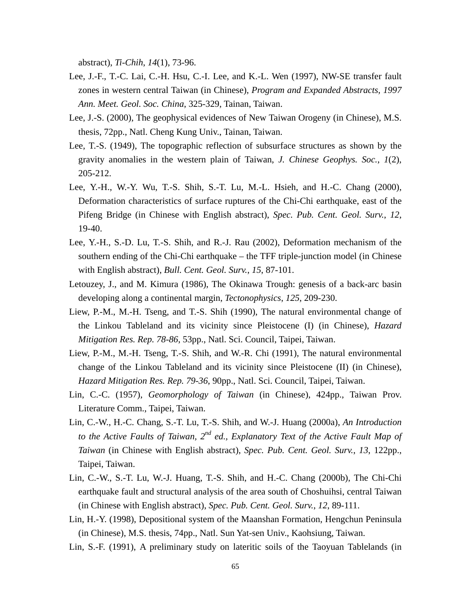abstract), *Ti-Chih*, *14*(1), 73-96.

- Lee, J.-F., T.-C. Lai, C.-H. Hsu, C.-I. Lee, and K.-L. Wen (1997), NW-SE transfer fault zones in western central Taiwan (in Chinese), *Program and Expanded Abstracts, 1997 Ann. Meet. Geol. Soc. China*, 325-329, Tainan, Taiwan.
- Lee, J.-S. (2000), The geophysical evidences of New Taiwan Orogeny (in Chinese), M.S. thesis, 72pp., Natl. Cheng Kung Univ., Tainan, Taiwan.
- Lee, T.-S. (1949), The topographic reflection of subsurface structures as shown by the gravity anomalies in the western plain of Taiwan, *J. Chinese Geophys. Soc.*, *1*(2), 205-212.
- Lee, Y.-H., W.-Y. Wu, T.-S. Shih, S.-T. Lu, M.-L. Hsieh, and H.-C. Chang (2000), Deformation characteristics of surface ruptures of the Chi-Chi earthquake, east of the Pifeng Bridge (in Chinese with English abstract), *Spec. Pub. Cent. Geol. Surv.*, *12*, 19-40.
- Lee, Y.-H., S.-D. Lu, T.-S. Shih, and R.-J. Rau (2002), Deformation mechanism of the southern ending of the Chi-Chi earthquake – the TFF triple-junction model (in Chinese with English abstract), *Bull. Cent. Geol. Surv.*, *15*, 87-101.
- Letouzey, J., and M. Kimura (1986), The Okinawa Trough: genesis of a back-arc basin developing along a continental margin, *Tectonophysics*, *125*, 209-230.
- Liew, P.-M., M.-H. Tseng, and T.-S. Shih (1990), The natural environmental change of the Linkou Tableland and its vicinity since Pleistocene (I) (in Chinese), *Hazard Mitigation Res. Rep. 78-86*, 53pp., Natl. Sci. Council, Taipei, Taiwan.
- Liew, P.-M., M.-H. Tseng, T.-S. Shih, and W.-R. Chi (1991), The natural environmental change of the Linkou Tableland and its vicinity since Pleistocene (II) (in Chinese), *Hazard Mitigation Res. Rep. 79-36*, 90pp., Natl. Sci. Council, Taipei, Taiwan.
- Lin, C.-C. (1957), *Geomorphology of Taiwan* (in Chinese), 424pp., Taiwan Prov. Literature Comm., Taipei, Taiwan.
- Lin, C.-W., H.-C. Chang, S.-T. Lu, T.-S. Shih, and W.-J. Huang (2000a), *An Introduction to the Active Faults of Taiwan, 2nd ed., Explanatory Text of the Active Fault Map of Taiwan* (in Chinese with English abstract), *Spec. Pub. Cent. Geol. Surv.*, *13*, 122pp., Taipei, Taiwan.
- Lin, C.-W., S.-T. Lu, W.-J. Huang, T.-S. Shih, and H.-C. Chang (2000b), The Chi-Chi earthquake fault and structural analysis of the area south of Choshuihsi, central Taiwan (in Chinese with English abstract), *Spec. Pub. Cent. Geol. Surv.*, *12*, 89-111.
- Lin, H.-Y. (1998), Depositional system of the Maanshan Formation, Hengchun Peninsula (in Chinese), M.S. thesis, 74pp., Natl. Sun Yat-sen Univ., Kaohsiung, Taiwan.
- Lin, S.-F. (1991), A preliminary study on lateritic soils of the Taoyuan Tablelands (in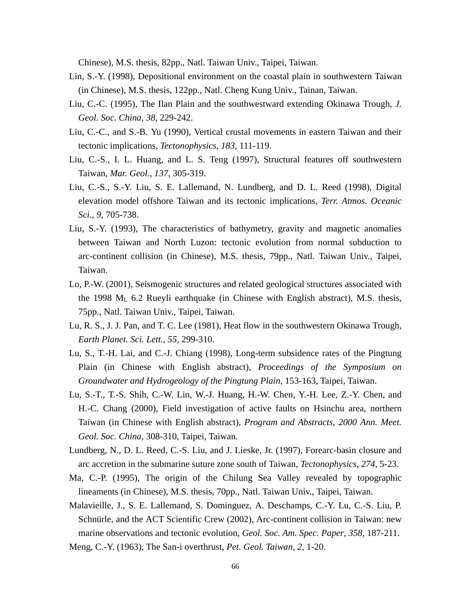Chinese), M.S. thesis, 82pp., Natl. Taiwan Univ., Taipei, Taiwan.

- Lin, S.-Y. (1998), Depositional environment on the coastal plain in southwestern Taiwan (in Chinese), M.S. thesis, 122pp., Natl. Cheng Kung Univ., Tainan, Taiwan.
- Liu, C.-C. (1995), The Ilan Plain and the southwestward extending Okinawa Trough, *J. Geol. Soc. China*, *38*, 229-242.
- Liu, C.-C., and S.-B. Yu (1990), Vertical crustal movements in eastern Taiwan and their tectonic implications, *Tectonophysics*, *183*, 111-119.
- Liu, C.-S., I. L. Huang, and L. S. Teng (1997), Structural features off southwestern Taiwan, *Mar. Geol.*, *137*, 305-319.
- Liu, C.-S., S.-Y. Liu, S. E. Lallemand, N. Lundberg, and D. L. Reed (1998), Digital elevation model offshore Taiwan and its tectonic implications, *Terr. Atmos. Oceanic Sci.*, *9*, 705-738.
- Liu, S.-Y. (1993), The characteristics of bathymetry, gravity and magnetic anomalies between Taiwan and North Luzon: tectonic evolution from normal subduction to arc-continent collision (in Chinese), M.S. thesis, 79pp., Natl. Taiwan Univ., Taipei, Taiwan.
- Lo, P.-W. (2001), Seismogenic structures and related geological structures associated with the 1998  $M<sub>L</sub>$  6.2 Rueyli earthquake (in Chinese with English abstract), M.S. thesis, 75pp., Natl. Taiwan Univ., Taipei, Taiwan.
- Lu, R. S., J. J. Pan, and T. C. Lee (1981), Heat flow in the southwestern Okinawa Trough, *Earth Planet. Sci. Lett.*, *55*, 299-310.
- Lu, S., T.-H. Lai, and C.-J. Chiang (1998), Long-term subsidence rates of the Pingtung Plain (in Chinese with English abstract), *Proceedings of the Symposium on Groundwater and Hydrogeology of the Pingtung Plain*, 153-163, Taipei, Taiwan.
- Lu, S.-T., T.-S. Shih, C.-W. Lin, W.-J. Huang, H.-W. Chen, Y.-H. Lee, Z.-Y. Chen, and H.-C. Chang (2000), Field investigation of active faults on Hsinchu area, northern Taiwan (in Chinese with English abstract), *Program and Abstracts, 2000 Ann. Meet. Geol. Soc. China*, 308-310, Taipei, Taiwan.
- Lundberg, N., D. L. Reed, C.-S. Liu, and J. Lieske, Jr. (1997), Forearc-basin closure and arc accretion in the submarine suture zone south of Taiwan, *Tectonophysics*, *274*, 5-23.
- Ma, C.-P. (1995), The origin of the Chilung Sea Valley revealed by topographic lineaments (in Chinese), M.S. thesis, 70pp., Natl. Taiwan Univ., Taipei, Taiwan.
- Malavieille, J., S. E. Lallemand, S. Dominguez, A. Deschamps, C.-Y. Lu, C.-S. Liu, P. Schnürle, and the ACT Scientific Crew (2002), Arc-continent collision in Taiwan: new marine observations and tectonic evolution, *Geol. Soc. Am. Spec. Paper*, *358*, 187-211.

Meng, C.-Y. (1963), The San-i overthrust, *Pet. Geol. Taiwan*, *2*, 1-20.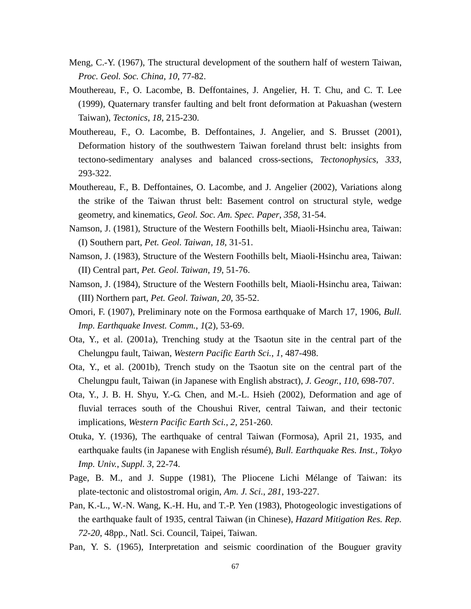- Meng, C.-Y. (1967), The structural development of the southern half of western Taiwan, *Proc. Geol. Soc. China*, *10*, 77-82.
- Mouthereau, F., O. Lacombe, B. Deffontaines, J. Angelier, H. T. Chu, and C. T. Lee (1999), Quaternary transfer faulting and belt front deformation at Pakuashan (western Taiwan), *Tectonics*, *18*, 215-230.
- Mouthereau, F., O. Lacombe, B. Deffontaines, J. Angelier, and S. Brusset (2001), Deformation history of the southwestern Taiwan foreland thrust belt: insights from tectono-sedimentary analyses and balanced cross-sections, *Tectonophysics*, *333*, 293-322.
- Mouthereau, F., B. Deffontaines, O. Lacombe, and J. Angelier (2002), Variations along the strike of the Taiwan thrust belt: Basement control on structural style, wedge geometry, and kinematics, *Geol. Soc. Am. Spec. Paper*, *358*, 31-54.
- Namson, J. (1981), Structure of the Western Foothills belt, Miaoli-Hsinchu area, Taiwan: (I) Southern part, *Pet. Geol. Taiwan*, *18*, 31-51.
- Namson, J. (1983), Structure of the Western Foothills belt, Miaoli-Hsinchu area, Taiwan: (II) Central part, *Pet. Geol. Taiwan*, *19*, 51-76.
- Namson, J. (1984), Structure of the Western Foothills belt, Miaoli-Hsinchu area, Taiwan: (III) Northern part, *Pet. Geol. Taiwan*, *20*, 35-52.
- Omori, F. (1907), Preliminary note on the Formosa earthquake of March 17, 1906, *Bull. Imp. Earthquake Invest. Comm.*, *1*(2), 53-69.
- Ota, Y., et al. (2001a), Trenching study at the Tsaotun site in the central part of the Chelungpu fault, Taiwan, *Western Pacific Earth Sci.*, *1*, 487-498.
- Ota, Y., et al. (2001b), Trench study on the Tsaotun site on the central part of the Chelungpu fault, Taiwan (in Japanese with English abstract), *J. Geogr.*, *110*, 698-707.
- Ota, Y., J. B. H. Shyu, Y.-G. Chen, and M.-L. Hsieh (2002), Deformation and age of fluvial terraces south of the Choushui River, central Taiwan, and their tectonic implications, *Western Pacific Earth Sci.*, *2*, 251-260.
- Otuka, Y. (1936), The earthquake of central Taiwan (Formosa), April 21, 1935, and earthquake faults (in Japanese with English résumé), *Bull. Earthquake Res. Inst., Tokyo Imp. Univ.*, *Suppl. 3*, 22-74.
- Page, B. M., and J. Suppe (1981), The Pliocene Lichi Mélange of Taiwan: its plate-tectonic and olistostromal origin, *Am. J. Sci.*, *281*, 193-227.
- Pan, K.-L., W.-N. Wang, K.-H. Hu, and T.-P. Yen (1983), Photogeologic investigations of the earthquake fault of 1935, central Taiwan (in Chinese), *Hazard Mitigation Res. Rep. 72-20*, 48pp., Natl. Sci. Council, Taipei, Taiwan.
- Pan, Y. S. (1965), Interpretation and seismic coordination of the Bouguer gravity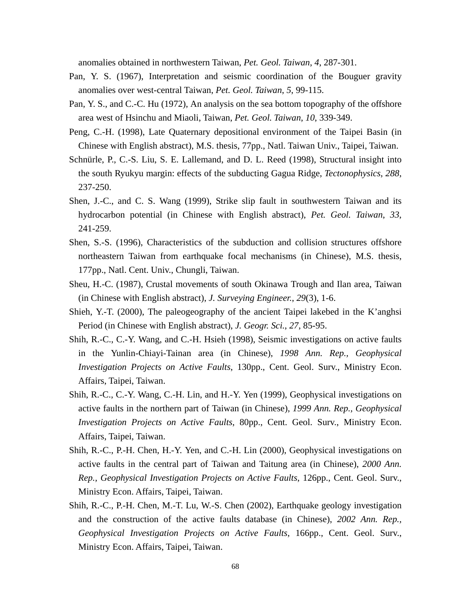anomalies obtained in northwestern Taiwan, *Pet. Geol. Taiwan*, *4*, 287-301.

- Pan, Y. S. (1967), Interpretation and seismic coordination of the Bouguer gravity anomalies over west-central Taiwan, *Pet. Geol. Taiwan*, *5*, 99-115.
- Pan, Y. S., and C.-C. Hu (1972), An analysis on the sea bottom topography of the offshore area west of Hsinchu and Miaoli, Taiwan, *Pet. Geol. Taiwan*, *10*, 339-349.
- Peng, C.-H. (1998), Late Quaternary depositional environment of the Taipei Basin (in Chinese with English abstract), M.S. thesis, 77pp., Natl. Taiwan Univ., Taipei, Taiwan.
- Schnürle, P., C.-S. Liu, S. E. Lallemand, and D. L. Reed (1998), Structural insight into the south Ryukyu margin: effects of the subducting Gagua Ridge, *Tectonophysics*, *288*, 237-250.
- Shen, J.-C., and C. S. Wang (1999), Strike slip fault in southwestern Taiwan and its hydrocarbon potential (in Chinese with English abstract), *Pet. Geol. Taiwan*, *33*, 241-259.
- Shen, S.-S. (1996), Characteristics of the subduction and collision structures offshore northeastern Taiwan from earthquake focal mechanisms (in Chinese), M.S. thesis, 177pp., Natl. Cent. Univ., Chungli, Taiwan.
- Sheu, H.-C. (1987), Crustal movements of south Okinawa Trough and Ilan area, Taiwan (in Chinese with English abstract), *J. Surveying Engineer.*, *29*(3), 1-6.
- Shieh, Y.-T. (2000), The paleogeography of the ancient Taipei lakebed in the K'anghsi Period (in Chinese with English abstract), *J. Geogr. Sci.*, *27*, 85-95.
- Shih, R.-C., C.-Y. Wang, and C.-H. Hsieh (1998), Seismic investigations on active faults in the Yunlin-Chiayi-Tainan area (in Chinese), *1998 Ann. Rep., Geophysical Investigation Projects on Active Faults*, 130pp., Cent. Geol. Surv., Ministry Econ. Affairs, Taipei, Taiwan.
- Shih, R.-C., C.-Y. Wang, C.-H. Lin, and H.-Y. Yen (1999), Geophysical investigations on active faults in the northern part of Taiwan (in Chinese), *1999 Ann. Rep., Geophysical Investigation Projects on Active Faults*, 80pp., Cent. Geol. Surv., Ministry Econ. Affairs, Taipei, Taiwan.
- Shih, R.-C., P.-H. Chen, H.-Y. Yen, and C.-H. Lin (2000), Geophysical investigations on active faults in the central part of Taiwan and Taitung area (in Chinese), *2000 Ann. Rep., Geophysical Investigation Projects on Active Faults*, 126pp., Cent. Geol. Surv., Ministry Econ. Affairs, Taipei, Taiwan.
- Shih, R.-C., P.-H. Chen, M.-T. Lu, W.-S. Chen (2002), Earthquake geology investigation and the construction of the active faults database (in Chinese), *2002 Ann. Rep., Geophysical Investigation Projects on Active Faults*, 166pp., Cent. Geol. Surv., Ministry Econ. Affairs, Taipei, Taiwan.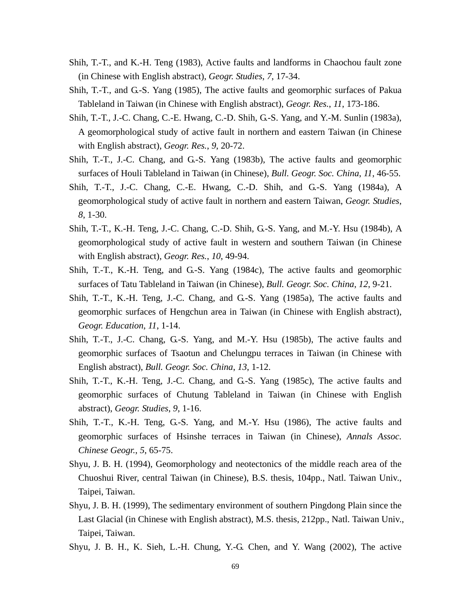- Shih, T.-T., and K.-H. Teng (1983), Active faults and landforms in Chaochou fault zone (in Chinese with English abstract), *Geogr. Studies*, *7*, 17-34.
- Shih, T.-T., and G.-S. Yang (1985), The active faults and geomorphic surfaces of Pakua Tableland in Taiwan (in Chinese with English abstract), *Geogr. Res.*, *11*, 173-186.
- Shih, T.-T., J.-C. Chang, C.-E. Hwang, C.-D. Shih, G.-S. Yang, and Y.-M. Sunlin (1983a), A geomorphological study of active fault in northern and eastern Taiwan (in Chinese with English abstract), *Geogr. Res.*, *9*, 20-72.
- Shih, T.-T., J.-C. Chang, and G.-S. Yang (1983b), The active faults and geomorphic surfaces of Houli Tableland in Taiwan (in Chinese), *Bull. Geogr. Soc. China*, *11*, 46-55.
- Shih, T.-T., J.-C. Chang, C.-E. Hwang, C.-D. Shih, and G.-S. Yang (1984a), A geomorphological study of active fault in northern and eastern Taiwan, *Geogr. Studies*, *8*, 1-30.
- Shih, T.-T., K.-H. Teng, J.-C. Chang, C.-D. Shih, G.-S. Yang, and M.-Y. Hsu (1984b), A geomorphological study of active fault in western and southern Taiwan (in Chinese with English abstract), *Geogr. Res.*, *10*, 49-94.
- Shih, T.-T., K.-H. Teng, and G.-S. Yang (1984c), The active faults and geomorphic surfaces of Tatu Tableland in Taiwan (in Chinese), *Bull. Geogr. Soc. China*, *12*, 9-21.
- Shih, T.-T., K.-H. Teng, J.-C. Chang, and G.-S. Yang (1985a), The active faults and geomorphic surfaces of Hengchun area in Taiwan (in Chinese with English abstract), *Geogr. Education*, *11*, 1-14.
- Shih, T.-T., J.-C. Chang, G.-S. Yang, and M.-Y. Hsu (1985b), The active faults and geomorphic surfaces of Tsaotun and Chelungpu terraces in Taiwan (in Chinese with English abstract), *Bull. Geogr. Soc. China*, *13*, 1-12.
- Shih, T.-T., K.-H. Teng, J.-C. Chang, and G.-S. Yang (1985c), The active faults and geomorphic surfaces of Chutung Tableland in Taiwan (in Chinese with English abstract), *Geogr. Studies*, *9*, 1-16.
- Shih, T.-T., K.-H. Teng, G.-S. Yang, and M.-Y. Hsu (1986), The active faults and geomorphic surfaces of Hsinshe terraces in Taiwan (in Chinese), *Annals Assoc. Chinese Geogr.*, *5*, 65-75.
- Shyu, J. B. H. (1994), Geomorphology and neotectonics of the middle reach area of the Chuoshui River, central Taiwan (in Chinese), B.S. thesis, 104pp., Natl. Taiwan Univ., Taipei, Taiwan.
- Shyu, J. B. H. (1999), The sedimentary environment of southern Pingdong Plain since the Last Glacial (in Chinese with English abstract), M.S. thesis, 212pp., Natl. Taiwan Univ., Taipei, Taiwan.
- Shyu, J. B. H., K. Sieh, L.-H. Chung, Y.-G. Chen, and Y. Wang (2002), The active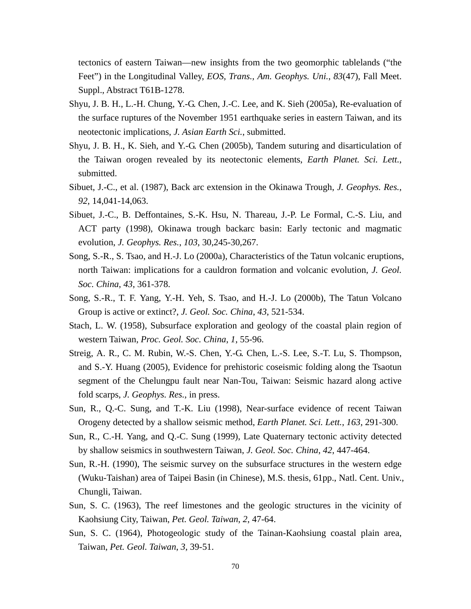tectonics of eastern Taiwan—new insights from the two geomorphic tablelands ("the Feet") in the Longitudinal Valley, *EOS, Trans., Am. Geophys. Uni.*, *83*(47), Fall Meet. Suppl., Abstract T61B-1278.

- Shyu, J. B. H., L.-H. Chung, Y.-G. Chen, J.-C. Lee, and K. Sieh (2005a), Re-evaluation of the surface ruptures of the November 1951 earthquake series in eastern Taiwan, and its neotectonic implications, *J. Asian Earth Sci.*, submitted.
- Shyu, J. B. H., K. Sieh, and Y.-G. Chen (2005b), Tandem suturing and disarticulation of the Taiwan orogen revealed by its neotectonic elements, *Earth Planet. Sci. Lett.*, submitted.
- Sibuet, J.-C., et al. (1987), Back arc extension in the Okinawa Trough, *J. Geophys. Res.*, *92*, 14,041-14,063.
- Sibuet, J.-C., B. Deffontaines, S.-K. Hsu, N. Thareau, J.-P. Le Formal, C.-S. Liu, and ACT party (1998), Okinawa trough backarc basin: Early tectonic and magmatic evolution, *J. Geophys. Res.*, *103*, 30,245-30,267.
- Song, S.-R., S. Tsao, and H.-J. Lo (2000a), Characteristics of the Tatun volcanic eruptions, north Taiwan: implications for a cauldron formation and volcanic evolution, *J. Geol. Soc. China*, *43*, 361-378.
- Song, S.-R., T. F. Yang, Y.-H. Yeh, S. Tsao, and H.-J. Lo (2000b), The Tatun Volcano Group is active or extinct?, *J. Geol. Soc. China*, *43*, 521-534.
- Stach, L. W. (1958), Subsurface exploration and geology of the coastal plain region of western Taiwan, *Proc. Geol. Soc. China*, *1*, 55-96.
- Streig, A. R., C. M. Rubin, W.-S. Chen, Y.-G. Chen, L.-S. Lee, S.-T. Lu, S. Thompson, and S.-Y. Huang (2005), Evidence for prehistoric coseismic folding along the Tsaotun segment of the Chelungpu fault near Nan-Tou, Taiwan: Seismic hazard along active fold scarps, *J. Geophys. Res.*, in press.
- Sun, R., Q.-C. Sung, and T.-K. Liu (1998), Near-surface evidence of recent Taiwan Orogeny detected by a shallow seismic method, *Earth Planet. Sci. Lett.*, *163*, 291-300.
- Sun, R., C.-H. Yang, and Q.-C. Sung (1999), Late Quaternary tectonic activity detected by shallow seismics in southwestern Taiwan, *J. Geol. Soc. China*, *42*, 447-464.
- Sun, R.-H. (1990), The seismic survey on the subsurface structures in the western edge (Wuku-Taishan) area of Taipei Basin (in Chinese), M.S. thesis, 61pp., Natl. Cent. Univ., Chungli, Taiwan.
- Sun, S. C. (1963), The reef limestones and the geologic structures in the vicinity of Kaohsiung City, Taiwan, *Pet. Geol. Taiwan*, *2*, 47-64.
- Sun, S. C. (1964), Photogeologic study of the Tainan-Kaohsiung coastal plain area, Taiwan, *Pet. Geol. Taiwan*, *3*, 39-51.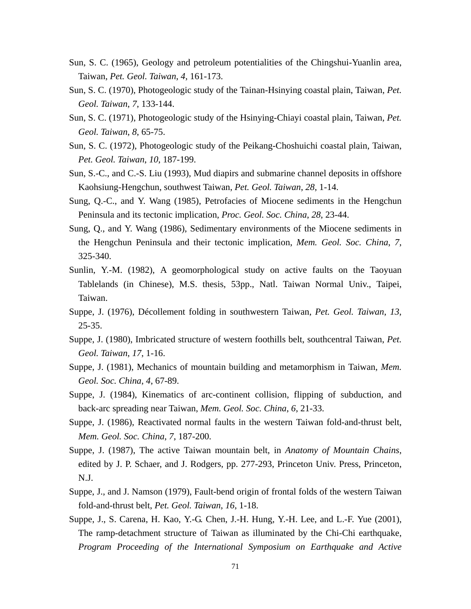- Sun, S. C. (1965), Geology and petroleum potentialities of the Chingshui-Yuanlin area, Taiwan, *Pet. Geol. Taiwan*, *4*, 161-173.
- Sun, S. C. (1970), Photogeologic study of the Tainan-Hsinying coastal plain, Taiwan, *Pet. Geol. Taiwan*, *7*, 133-144.
- Sun, S. C. (1971), Photogeologic study of the Hsinying-Chiayi coastal plain, Taiwan, *Pet. Geol. Taiwan*, *8*, 65-75.
- Sun, S. C. (1972), Photogeologic study of the Peikang-Choshuichi coastal plain, Taiwan, *Pet. Geol. Taiwan*, *10*, 187-199.
- Sun, S.-C., and C.-S. Liu (1993), Mud diapirs and submarine channel deposits in offshore Kaohsiung-Hengchun, southwest Taiwan, *Pet. Geol. Taiwan*, *28*, 1-14.
- Sung, Q.-C., and Y. Wang (1985), Petrofacies of Miocene sediments in the Hengchun Peninsula and its tectonic implication, *Proc. Geol. Soc. China*, *28*, 23-44.
- Sung, Q., and Y. Wang (1986), Sedimentary environments of the Miocene sediments in the Hengchun Peninsula and their tectonic implication, *Mem. Geol. Soc. China*, *7*, 325-340.
- Sunlin, Y.-M. (1982), A geomorphological study on active faults on the Taoyuan Tablelands (in Chinese), M.S. thesis, 53pp., Natl. Taiwan Normal Univ., Taipei, Taiwan.
- Suppe, J. (1976), Décollement folding in southwestern Taiwan, *Pet. Geol. Taiwan*, *13*, 25-35.
- Suppe, J. (1980), Imbricated structure of western foothills belt, southcentral Taiwan, *Pet. Geol. Taiwan*, *17*, 1-16.
- Suppe, J. (1981), Mechanics of mountain building and metamorphism in Taiwan, *Mem. Geol. Soc. China*, *4*, 67-89.
- Suppe, J. (1984), Kinematics of arc-continent collision, flipping of subduction, and back-arc spreading near Taiwan, *Mem. Geol. Soc. China*, *6*, 21-33.
- Suppe, J. (1986), Reactivated normal faults in the western Taiwan fold-and-thrust belt, *Mem. Geol. Soc. China*, *7*, 187-200.
- Suppe, J. (1987), The active Taiwan mountain belt, in *Anatomy of Mountain Chains*, edited by J. P. Schaer, and J. Rodgers, pp. 277-293, Princeton Univ. Press, Princeton, N.J.
- Suppe, J., and J. Namson (1979), Fault-bend origin of frontal folds of the western Taiwan fold-and-thrust belt, *Pet. Geol. Taiwan*, *16*, 1-18.
- Suppe, J., S. Carena, H. Kao, Y.-G. Chen, J.-H. Hung, Y.-H. Lee, and L.-F. Yue (2001), The ramp-detachment structure of Taiwan as illuminated by the Chi-Chi earthquake, *Program Proceeding of the International Symposium on Earthquake and Active*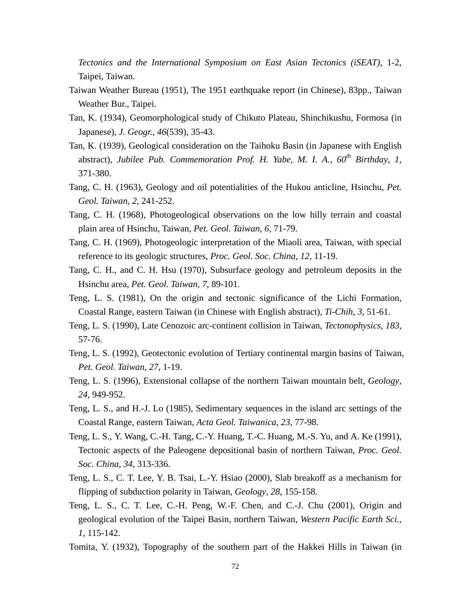*Tectonics and the International Symposium on East Asian Tectonics (iSEAT)*, 1-2, Taipei, Taiwan.

- Taiwan Weather Bureau (1951), The 1951 earthquake report (in Chinese), 83pp., Taiwan Weather Bur., Taipei.
- Tan, K. (1934), Geomorphological study of Chikuto Plateau, Shinchikushu, Formosa (in Japanese), *J. Geogr.*, *46*(539), 35-43.
- Tan, K. (1939), Geological consideration on the Taihoku Basin (in Japanese with English abstract), *Jubilee Pub. Commemoration Prof. H. Yabe, M. I. A., 60th Birthday*, *1*, 371-380.
- Tang, C. H. (1963), Geology and oil potentialities of the Hukou anticline, Hsinchu, *Pet. Geol. Taiwan*, *2*, 241-252.
- Tang, C. H. (1968), Photogeological observations on the low hilly terrain and coastal plain area of Hsinchu, Taiwan, *Pet. Geol. Taiwan*, *6*, 71-79.
- Tang, C. H. (1969), Photogeologic interpretation of the Miaoli area, Taiwan, with special reference to its geologic structures, *Proc. Geol. Soc. China*, *12*, 11-19.
- Tang, C. H., and C. H. Hsu (1970), Subsurface geology and petroleum deposits in the Hsinchu area, *Pet. Geol. Taiwan*, *7*, 89-101.
- Teng, L. S. (1981), On the origin and tectonic significance of the Lichi Formation, Coastal Range, eastern Taiwan (in Chinese with English abstract), *Ti-Chih*, *3*, 51-61.
- Teng, L. S. (1990), Late Cenozoic arc-continent collision in Taiwan, *Tectonophysics*, *183*, 57-76.
- Teng, L. S. (1992), Geotectonic evolution of Tertiary continental margin basins of Taiwan, *Pet. Geol. Taiwan*, *27*, 1-19.
- Teng, L. S. (1996), Extensional collapse of the northern Taiwan mountain belt, *Geology*, *24*, 949-952.
- Teng, L. S., and H.-J. Lo (1985), Sedimentary sequences in the island arc settings of the Coastal Range, eastern Taiwan, *Acta Geol. Taiwanica*, *23*, 77-98.
- Teng, L. S., Y. Wang, C.-H. Tang, C.-Y. Huang, T.-C. Huang, M.-S. Yu, and A. Ke (1991), Tectonic aspects of the Paleogene depositional basin of northern Taiwan, *Proc. Geol. Soc. China*, *34*, 313-336.
- Teng, L. S., C. T. Lee, Y. B. Tsai, L.-Y. Hsiao (2000), Slab breakoff as a mechanism for flipping of subduction polarity in Taiwan, *Geology*, *28*, 155-158.
- Teng, L. S., C. T. Lee, C.-H. Peng, W.-F. Chen, and C.-J. Chu (2001), Origin and geological evolution of the Taipei Basin, northern Taiwan, *Western Pacific Earth Sci.*, *1*, 115-142.
- Tomita, Y. (1932), Topography of the southern part of the Hakkei Hills in Taiwan (in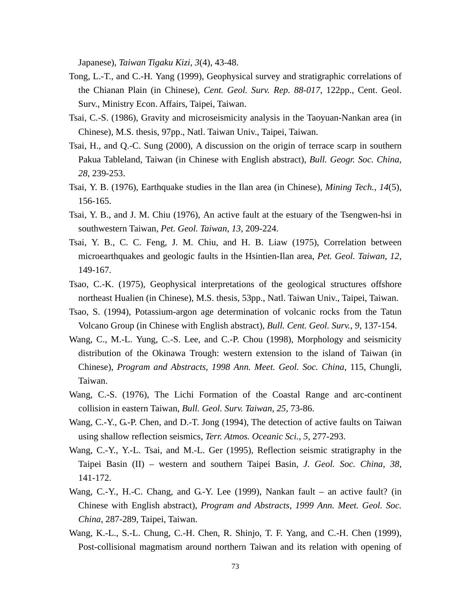Japanese), *Taiwan Tigaku Kizi*, *3*(4), 43-48.

- Tong, L.-T., and C.-H. Yang (1999), Geophysical survey and stratigraphic correlations of the Chianan Plain (in Chinese), *Cent. Geol. Surv. Rep. 88-017*, 122pp., Cent. Geol. Surv., Ministry Econ. Affairs, Taipei, Taiwan.
- Tsai, C.-S. (1986), Gravity and microseismicity analysis in the Taoyuan-Nankan area (in Chinese), M.S. thesis, 97pp., Natl. Taiwan Univ., Taipei, Taiwan.
- Tsai, H., and Q.-C. Sung (2000), A discussion on the origin of terrace scarp in southern Pakua Tableland, Taiwan (in Chinese with English abstract), *Bull. Geogr. Soc. China*, *28*, 239-253.
- Tsai, Y. B. (1976), Earthquake studies in the Ilan area (in Chinese), *Mining Tech.*, *14*(5), 156-165.
- Tsai, Y. B., and J. M. Chiu (1976), An active fault at the estuary of the Tsengwen-hsi in southwestern Taiwan, *Pet. Geol. Taiwan*, *13*, 209-224.
- Tsai, Y. B., C. C. Feng, J. M. Chiu, and H. B. Liaw (1975), Correlation between microearthquakes and geologic faults in the Hsintien-Ilan area, *Pet. Geol. Taiwan*, *12*, 149-167.
- Tsao, C.-K. (1975), Geophysical interpretations of the geological structures offshore northeast Hualien (in Chinese), M.S. thesis, 53pp., Natl. Taiwan Univ., Taipei, Taiwan.
- Tsao, S. (1994), Potassium-argon age determination of volcanic rocks from the Tatun Volcano Group (in Chinese with English abstract), *Bull. Cent. Geol. Surv.*, *9*, 137-154.
- Wang, C., M.-L. Yung, C.-S. Lee, and C.-P. Chou (1998), Morphology and seismicity distribution of the Okinawa Trough: western extension to the island of Taiwan (in Chinese), *Program and Abstracts, 1998 Ann. Meet. Geol. Soc. China*, 115, Chungli, Taiwan.
- Wang, C.-S. (1976), The Lichi Formation of the Coastal Range and arc-continent collision in eastern Taiwan, *Bull. Geol. Surv. Taiwan*, *25*, 73-86.
- Wang, C.-Y., G.-P. Chen, and D.-T. Jong (1994), The detection of active faults on Taiwan using shallow reflection seismics, *Terr. Atmos. Oceanic Sci.*, *5*, 277-293.
- Wang, C.-Y., Y.-L. Tsai, and M.-L. Ger (1995), Reflection seismic stratigraphy in the Taipei Basin (II) – western and southern Taipei Basin, *J. Geol. Soc. China*, *38*, 141-172.
- Wang, C.-Y., H.-C. Chang, and G.-Y. Lee (1999), Nankan fault an active fault? (in Chinese with English abstract), *Program and Abstracts, 1999 Ann. Meet. Geol. Soc. China*, 287-289, Taipei, Taiwan.
- Wang, K.-L., S.-L. Chung, C.-H. Chen, R. Shinjo, T. F. Yang, and C.-H. Chen (1999), Post-collisional magmatism around northern Taiwan and its relation with opening of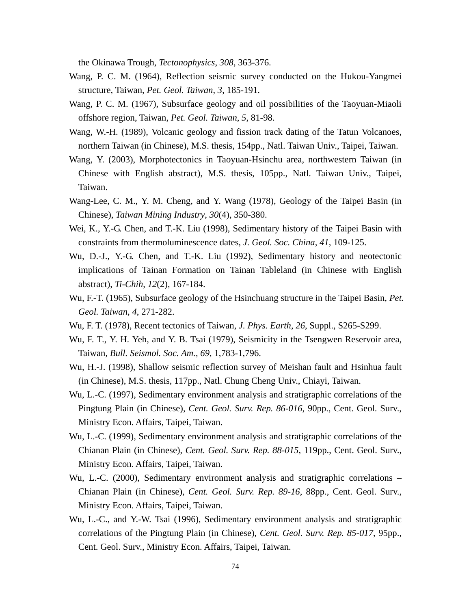the Okinawa Trough, *Tectonophysics*, *308*, 363-376.

- Wang, P. C. M. (1964), Reflection seismic survey conducted on the Hukou-Yangmei structure, Taiwan, *Pet. Geol. Taiwan*, *3*, 185-191.
- Wang, P. C. M. (1967), Subsurface geology and oil possibilities of the Taoyuan-Miaoli offshore region, Taiwan, *Pet. Geol. Taiwan*, *5*, 81-98.
- Wang, W.-H. (1989), Volcanic geology and fission track dating of the Tatun Volcanoes, northern Taiwan (in Chinese), M.S. thesis, 154pp., Natl. Taiwan Univ., Taipei, Taiwan.
- Wang, Y. (2003), Morphotectonics in Taoyuan-Hsinchu area, northwestern Taiwan (in Chinese with English abstract), M.S. thesis, 105pp., Natl. Taiwan Univ., Taipei, Taiwan.
- Wang-Lee, C. M., Y. M. Cheng, and Y. Wang (1978), Geology of the Taipei Basin (in Chinese), *Taiwan Mining Industry*, *30*(4), 350-380.
- Wei, K., Y.-G. Chen, and T.-K. Liu (1998), Sedimentary history of the Taipei Basin with constraints from thermoluminescence dates, *J. Geol. Soc. China*, *41*, 109-125.
- Wu, D.-J., Y.-G. Chen, and T.-K. Liu (1992), Sedimentary history and neotectonic implications of Tainan Formation on Tainan Tableland (in Chinese with English abstract), *Ti-Chih*, *12*(2), 167-184.
- Wu, F.-T. (1965), Subsurface geology of the Hsinchuang structure in the Taipei Basin, *Pet. Geol. Taiwan*, *4*, 271-282.
- Wu, F. T. (1978), Recent tectonics of Taiwan, *J. Phys. Earth*, *26*, Suppl., S265-S299.
- Wu, F. T., Y. H. Yeh, and Y. B. Tsai (1979), Seismicity in the Tsengwen Reservoir area, Taiwan, *Bull. Seismol. Soc. Am.*, *69*, 1,783-1,796.
- Wu, H.-J. (1998), Shallow seismic reflection survey of Meishan fault and Hsinhua fault (in Chinese), M.S. thesis, 117pp., Natl. Chung Cheng Univ., Chiayi, Taiwan.
- Wu, L.-C. (1997), Sedimentary environment analysis and stratigraphic correlations of the Pingtung Plain (in Chinese), *Cent. Geol. Surv. Rep. 86-016*, 90pp., Cent. Geol. Surv., Ministry Econ. Affairs, Taipei, Taiwan.
- Wu, L.-C. (1999), Sedimentary environment analysis and stratigraphic correlations of the Chianan Plain (in Chinese), *Cent. Geol. Surv. Rep. 88-015*, 119pp., Cent. Geol. Surv., Ministry Econ. Affairs, Taipei, Taiwan.
- Wu, L.-C. (2000), Sedimentary environment analysis and stratigraphic correlations Chianan Plain (in Chinese), *Cent. Geol. Surv. Rep. 89-16*, 88pp., Cent. Geol. Surv., Ministry Econ. Affairs, Taipei, Taiwan.
- Wu, L.-C., and Y.-W. Tsai (1996), Sedimentary environment analysis and stratigraphic correlations of the Pingtung Plain (in Chinese), *Cent. Geol. Surv. Rep. 85-017*, 95pp., Cent. Geol. Surv., Ministry Econ. Affairs, Taipei, Taiwan.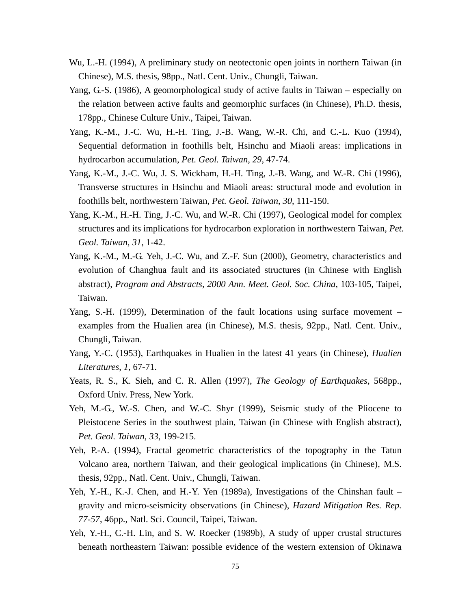- Wu, L.-H. (1994), A preliminary study on neotectonic open joints in northern Taiwan (in Chinese), M.S. thesis, 98pp., Natl. Cent. Univ., Chungli, Taiwan.
- Yang, G.-S. (1986), A geomorphological study of active faults in Taiwan especially on the relation between active faults and geomorphic surfaces (in Chinese), Ph.D. thesis, 178pp., Chinese Culture Univ., Taipei, Taiwan.
- Yang, K.-M., J.-C. Wu, H.-H. Ting, J.-B. Wang, W.-R. Chi, and C.-L. Kuo (1994), Sequential deformation in foothills belt, Hsinchu and Miaoli areas: implications in hydrocarbon accumulation, *Pet. Geol. Taiwan*, *29*, 47-74.
- Yang, K.-M., J.-C. Wu, J. S. Wickham, H.-H. Ting, J.-B. Wang, and W.-R. Chi (1996), Transverse structures in Hsinchu and Miaoli areas: structural mode and evolution in foothills belt, northwestern Taiwan, *Pet. Geol. Taiwan*, *30*, 111-150.
- Yang, K.-M., H.-H. Ting, J.-C. Wu, and W.-R. Chi (1997), Geological model for complex structures and its implications for hydrocarbon exploration in northwestern Taiwan, *Pet. Geol. Taiwan*, *31*, 1-42.
- Yang, K.-M., M.-G. Yeh, J.-C. Wu, and Z.-F. Sun (2000), Geometry, characteristics and evolution of Changhua fault and its associated structures (in Chinese with English abstract), *Program and Abstracts, 2000 Ann. Meet. Geol. Soc. China*, 103-105, Taipei, Taiwan.
- Yang, S.-H. (1999), Determination of the fault locations using surface movement examples from the Hualien area (in Chinese), M.S. thesis, 92pp., Natl. Cent. Univ., Chungli, Taiwan.
- Yang, Y.-C. (1953), Earthquakes in Hualien in the latest 41 years (in Chinese), *Hualien Literatures*, *1*, 67-71.
- Yeats, R. S., K. Sieh, and C. R. Allen (1997), *The Geology of Earthquakes*, 568pp., Oxford Univ. Press, New York.
- Yeh, M.-G., W.-S. Chen, and W.-C. Shyr (1999), Seismic study of the Pliocene to Pleistocene Series in the southwest plain, Taiwan (in Chinese with English abstract), *Pet. Geol. Taiwan*, *33*, 199-215.
- Yeh, P.-A. (1994), Fractal geometric characteristics of the topography in the Tatun Volcano area, northern Taiwan, and their geological implications (in Chinese), M.S. thesis, 92pp., Natl. Cent. Univ., Chungli, Taiwan.
- Yeh, Y.-H., K.-J. Chen, and H.-Y. Yen (1989a), Investigations of the Chinshan fault gravity and micro-seismicity observations (in Chinese), *Hazard Mitigation Res. Rep. 77-57*, 46pp., Natl. Sci. Council, Taipei, Taiwan.
- Yeh, Y.-H., C.-H. Lin, and S. W. Roecker (1989b), A study of upper crustal structures beneath northeastern Taiwan: possible evidence of the western extension of Okinawa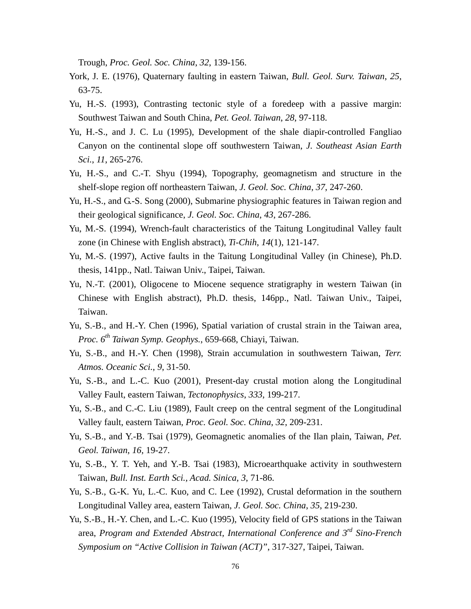Trough, *Proc. Geol. Soc. China*, *32*, 139-156.

- York, J. E. (1976), Quaternary faulting in eastern Taiwan, *Bull. Geol. Surv. Taiwan*, *25*, 63-75.
- Yu, H.-S. (1993), Contrasting tectonic style of a foredeep with a passive margin: Southwest Taiwan and South China, *Pet. Geol. Taiwan*, *28*, 97-118.
- Yu, H.-S., and J. C. Lu (1995), Development of the shale diapir-controlled Fangliao Canyon on the continental slope off southwestern Taiwan, *J. Southeast Asian Earth Sci.*, *11*, 265-276.
- Yu, H.-S., and C.-T. Shyu (1994), Topography, geomagnetism and structure in the shelf-slope region off northeastern Taiwan, *J. Geol. Soc. China*, *37*, 247-260.
- Yu, H.-S., and G.-S. Song (2000), Submarine physiographic features in Taiwan region and their geological significance, *J. Geol. Soc. China*, *43*, 267-286.
- Yu, M.-S. (1994), Wrench-fault characteristics of the Taitung Longitudinal Valley fault zone (in Chinese with English abstract), *Ti-Chih*, *14*(1), 121-147.
- Yu, M.-S. (1997), Active faults in the Taitung Longitudinal Valley (in Chinese), Ph.D. thesis, 141pp., Natl. Taiwan Univ., Taipei, Taiwan.
- Yu, N.-T. (2001), Oligocene to Miocene sequence stratigraphy in western Taiwan (in Chinese with English abstract), Ph.D. thesis, 146pp., Natl. Taiwan Univ., Taipei, Taiwan.
- Yu, S.-B., and H.-Y. Chen (1996), Spatial variation of crustal strain in the Taiwan area, *Proc. 6th Taiwan Symp. Geophys.*, 659-668, Chiayi, Taiwan.
- Yu, S.-B., and H.-Y. Chen (1998), Strain accumulation in southwestern Taiwan, *Terr. Atmos. Oceanic Sci.*, *9*, 31-50.
- Yu, S.-B., and L.-C. Kuo (2001), Present-day crustal motion along the Longitudinal Valley Fault, eastern Taiwan, *Tectonophysics*, *333*, 199-217.
- Yu, S.-B., and C.-C. Liu (1989), Fault creep on the central segment of the Longitudinal Valley fault, eastern Taiwan, *Proc. Geol. Soc. China*, *32*, 209-231.
- Yu, S.-B., and Y.-B. Tsai (1979), Geomagnetic anomalies of the Ilan plain, Taiwan, *Pet. Geol. Taiwan*, *16*, 19-27.
- Yu, S.-B., Y. T. Yeh, and Y.-B. Tsai (1983), Microearthquake activity in southwestern Taiwan, *Bull. Inst. Earth Sci., Acad. Sinica*, *3*, 71-86.
- Yu, S.-B., G.-K. Yu, L.-C. Kuo, and C. Lee (1992), Crustal deformation in the southern Longitudinal Valley area, eastern Taiwan, *J. Geol. Soc. China*, *35*, 219-230.
- Yu, S.-B., H.-Y. Chen, and L.-C. Kuo (1995), Velocity field of GPS stations in the Taiwan area, *Program and Extended Abstract, International Conference and 3rd Sino-French Symposium on "Active Collision in Taiwan (ACT)"*, 317-327, Taipei, Taiwan.